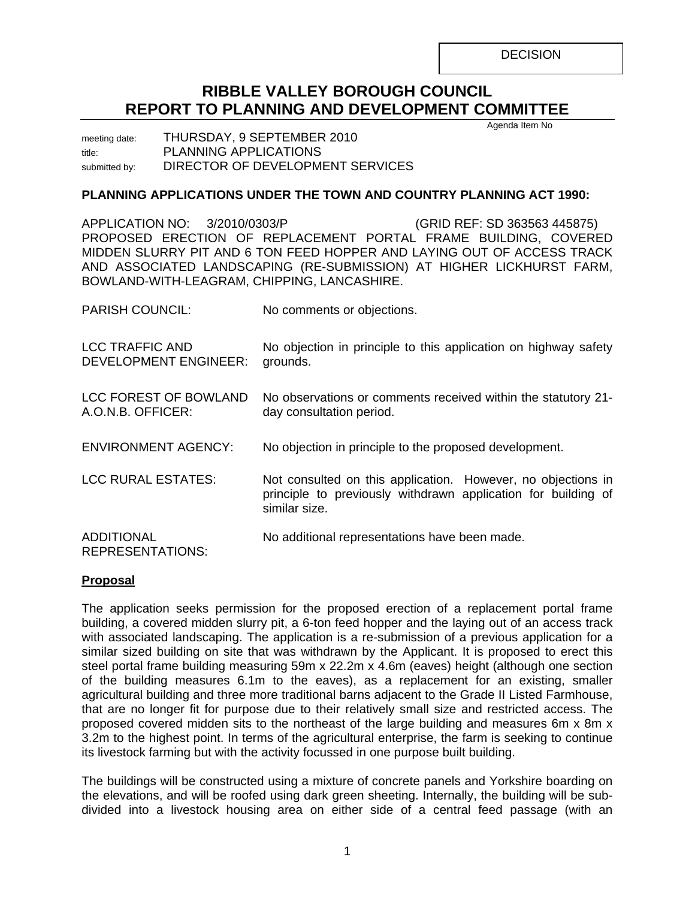**DECISION** 

# **RIBBLE VALLEY BOROUGH COUNCIL REPORT TO PLANNING AND DEVELOPMENT COMMITTEE**

Agenda Item No

meeting date: THURSDAY, 9 SEPTEMBER 2010 title: PLANNING APPLICATIONS submitted by: DIRECTOR OF DEVELOPMENT SERVICES

#### **PLANNING APPLICATIONS UNDER THE TOWN AND COUNTRY PLANNING ACT 1990:**

APPLICATION NO: 3/2010/0303/P (GRID REF: SD 363563 445875) PROPOSED ERECTION OF REPLACEMENT PORTAL FRAME BUILDING, COVERED MIDDEN SLURRY PIT AND 6 TON FEED HOPPER AND LAYING OUT OF ACCESS TRACK AND ASSOCIATED LANDSCAPING (RE-SUBMISSION) AT HIGHER LICKHURST FARM, BOWLAND-WITH-LEAGRAM, CHIPPING, LANCASHIRE.

| <b>PARISH COUNCIL:</b>                                 | No comments or objections.                                                                                                                     |
|--------------------------------------------------------|------------------------------------------------------------------------------------------------------------------------------------------------|
| <b>LCC TRAFFIC AND</b><br><b>DEVELOPMENT ENGINEER:</b> | No objection in principle to this application on highway safety<br>grounds.                                                                    |
| <b>LCC FOREST OF BOWLAND</b><br>A.O.N.B. OFFICER:      | No observations or comments received within the statutory 21-<br>day consultation period.                                                      |
| <b>ENVIRONMENT AGENCY:</b>                             | No objection in principle to the proposed development.                                                                                         |
| <b>LCC RURAL ESTATES:</b>                              | Not consulted on this application. However, no objections in<br>principle to previously withdrawn application for building of<br>similar size. |
| <b>ADDITIONAL</b><br><b>REPRESENTATIONS:</b>           | No additional representations have been made.                                                                                                  |

### **Proposal**

The application seeks permission for the proposed erection of a replacement portal frame building, a covered midden slurry pit, a 6-ton feed hopper and the laying out of an access track with associated landscaping. The application is a re-submission of a previous application for a similar sized building on site that was withdrawn by the Applicant. It is proposed to erect this steel portal frame building measuring 59m x 22.2m x 4.6m (eaves) height (although one section of the building measures 6.1m to the eaves), as a replacement for an existing, smaller agricultural building and three more traditional barns adjacent to the Grade II Listed Farmhouse, that are no longer fit for purpose due to their relatively small size and restricted access. The proposed covered midden sits to the northeast of the large building and measures 6m x 8m x 3.2m to the highest point. In terms of the agricultural enterprise, the farm is seeking to continue its livestock farming but with the activity focussed in one purpose built building.

The buildings will be constructed using a mixture of concrete panels and Yorkshire boarding on the elevations, and will be roofed using dark green sheeting. Internally, the building will be subdivided into a livestock housing area on either side of a central feed passage (with an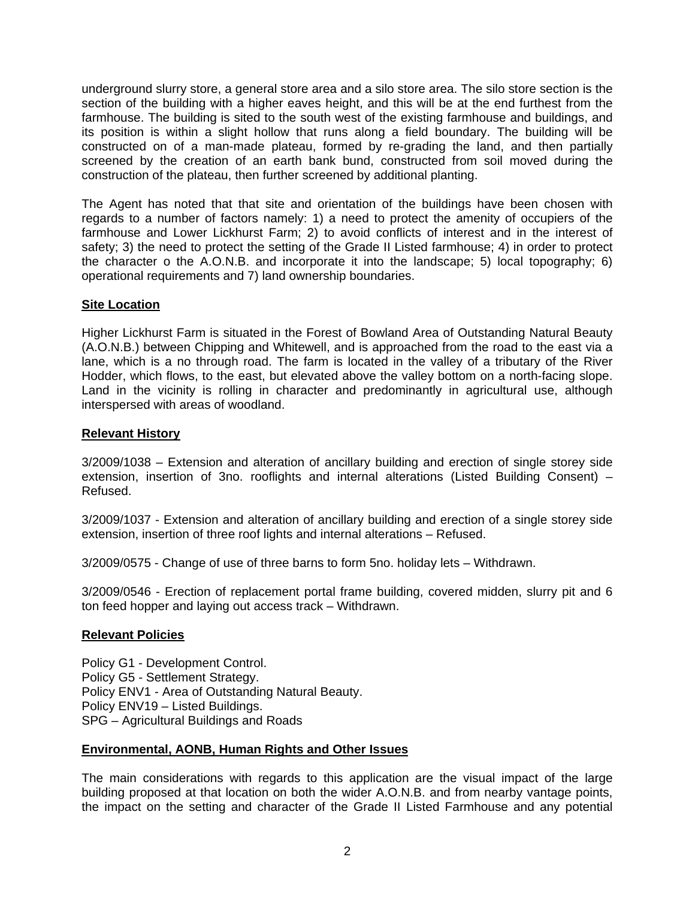underground slurry store, a general store area and a silo store area. The silo store section is the section of the building with a higher eaves height, and this will be at the end furthest from the farmhouse. The building is sited to the south west of the existing farmhouse and buildings, and its position is within a slight hollow that runs along a field boundary. The building will be constructed on of a man-made plateau, formed by re-grading the land, and then partially screened by the creation of an earth bank bund, constructed from soil moved during the construction of the plateau, then further screened by additional planting.

The Agent has noted that that site and orientation of the buildings have been chosen with regards to a number of factors namely: 1) a need to protect the amenity of occupiers of the farmhouse and Lower Lickhurst Farm; 2) to avoid conflicts of interest and in the interest of safety; 3) the need to protect the setting of the Grade II Listed farmhouse; 4) in order to protect the character o the A.O.N.B. and incorporate it into the landscape; 5) local topography; 6) operational requirements and 7) land ownership boundaries.

### **Site Location**

Higher Lickhurst Farm is situated in the Forest of Bowland Area of Outstanding Natural Beauty (A.O.N.B.) between Chipping and Whitewell, and is approached from the road to the east via a lane, which is a no through road. The farm is located in the valley of a tributary of the River Hodder, which flows, to the east, but elevated above the valley bottom on a north-facing slope. Land in the vicinity is rolling in character and predominantly in agricultural use, although interspersed with areas of woodland.

### **Relevant History**

3/2009/1038 – Extension and alteration of ancillary building and erection of single storey side extension, insertion of 3no. rooflights and internal alterations (Listed Building Consent) – Refused.

3/2009/1037 - Extension and alteration of ancillary building and erection of a single storey side extension, insertion of three roof lights and internal alterations – Refused.

3/2009/0575 - Change of use of three barns to form 5no. holiday lets – Withdrawn.

3/2009/0546 - Erection of replacement portal frame building, covered midden, slurry pit and 6 ton feed hopper and laying out access track – Withdrawn.

### **Relevant Policies**

Policy G1 - Development Control. Policy G5 - Settlement Strategy. Policy ENV1 - Area of Outstanding Natural Beauty. Policy ENV19 – Listed Buildings. SPG – Agricultural Buildings and Roads

#### **Environmental, AONB, Human Rights and Other Issues**

The main considerations with regards to this application are the visual impact of the large building proposed at that location on both the wider A.O.N.B. and from nearby vantage points, the impact on the setting and character of the Grade II Listed Farmhouse and any potential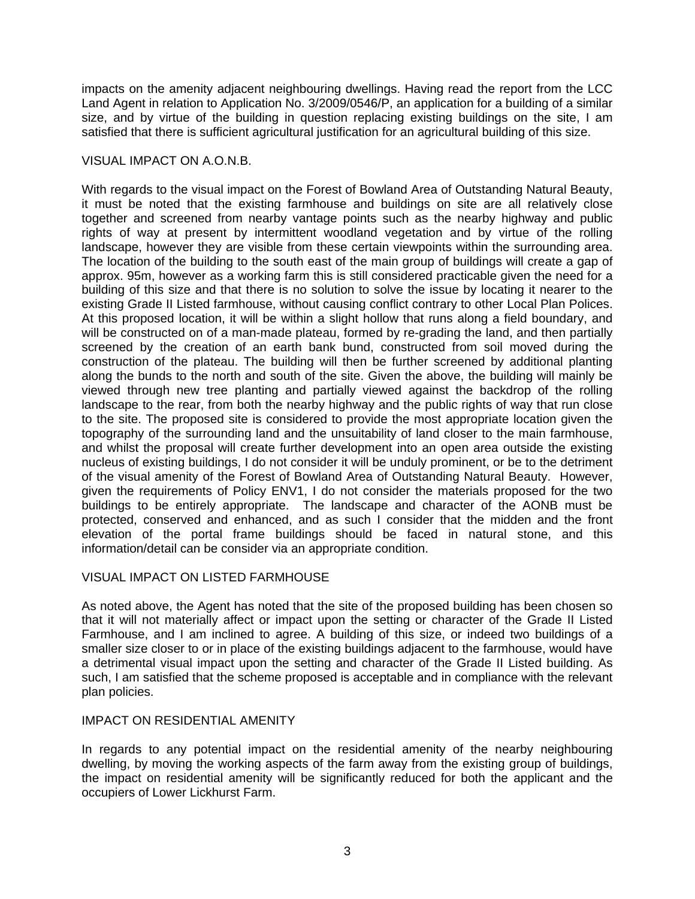impacts on the amenity adjacent neighbouring dwellings. Having read the report from the LCC Land Agent in relation to Application No. 3/2009/0546/P, an application for a building of a similar size, and by virtue of the building in question replacing existing buildings on the site, I am satisfied that there is sufficient agricultural justification for an agricultural building of this size.

#### VISUAL IMPACT ON A.O.N.B.

With regards to the visual impact on the Forest of Bowland Area of Outstanding Natural Beauty, it must be noted that the existing farmhouse and buildings on site are all relatively close together and screened from nearby vantage points such as the nearby highway and public rights of way at present by intermittent woodland vegetation and by virtue of the rolling landscape, however they are visible from these certain viewpoints within the surrounding area. The location of the building to the south east of the main group of buildings will create a gap of approx. 95m, however as a working farm this is still considered practicable given the need for a building of this size and that there is no solution to solve the issue by locating it nearer to the existing Grade II Listed farmhouse, without causing conflict contrary to other Local Plan Polices. At this proposed location, it will be within a slight hollow that runs along a field boundary, and will be constructed on of a man-made plateau, formed by re-grading the land, and then partially screened by the creation of an earth bank bund, constructed from soil moved during the construction of the plateau. The building will then be further screened by additional planting along the bunds to the north and south of the site. Given the above, the building will mainly be viewed through new tree planting and partially viewed against the backdrop of the rolling landscape to the rear, from both the nearby highway and the public rights of way that run close to the site. The proposed site is considered to provide the most appropriate location given the topography of the surrounding land and the unsuitability of land closer to the main farmhouse, and whilst the proposal will create further development into an open area outside the existing nucleus of existing buildings, I do not consider it will be unduly prominent, or be to the detriment of the visual amenity of the Forest of Bowland Area of Outstanding Natural Beauty. However, given the requirements of Policy ENV1, I do not consider the materials proposed for the two buildings to be entirely appropriate. The landscape and character of the AONB must be protected, conserved and enhanced, and as such I consider that the midden and the front elevation of the portal frame buildings should be faced in natural stone, and this information/detail can be consider via an appropriate condition.

### VISUAL IMPACT ON LISTED FARMHOUSE

As noted above, the Agent has noted that the site of the proposed building has been chosen so that it will not materially affect or impact upon the setting or character of the Grade II Listed Farmhouse, and I am inclined to agree. A building of this size, or indeed two buildings of a smaller size closer to or in place of the existing buildings adjacent to the farmhouse, would have a detrimental visual impact upon the setting and character of the Grade II Listed building. As such, I am satisfied that the scheme proposed is acceptable and in compliance with the relevant plan policies.

### IMPACT ON RESIDENTIAL AMENITY

In regards to any potential impact on the residential amenity of the nearby neighbouring dwelling, by moving the working aspects of the farm away from the existing group of buildings, the impact on residential amenity will be significantly reduced for both the applicant and the occupiers of Lower Lickhurst Farm.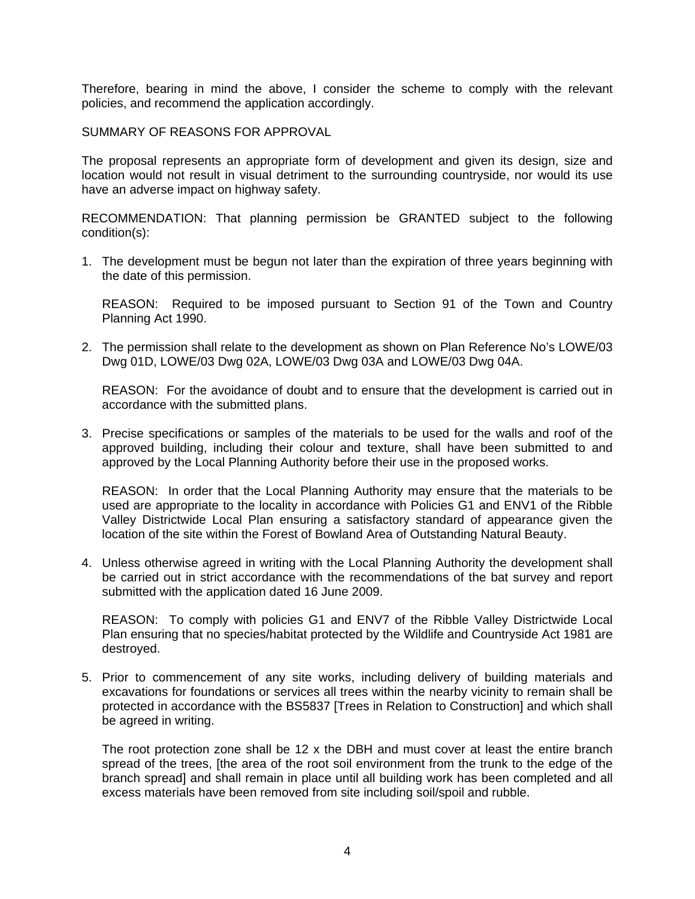Therefore, bearing in mind the above, I consider the scheme to comply with the relevant policies, and recommend the application accordingly.

SUMMARY OF REASONS FOR APPROVAL

The proposal represents an appropriate form of development and given its design, size and location would not result in visual detriment to the surrounding countryside, nor would its use have an adverse impact on highway safety.

RECOMMENDATION: That planning permission be GRANTED subject to the following condition(s):

1. The development must be begun not later than the expiration of three years beginning with the date of this permission.

 REASON: Required to be imposed pursuant to Section 91 of the Town and Country Planning Act 1990.

2. The permission shall relate to the development as shown on Plan Reference No's LOWE/03 Dwg 01D, LOWE/03 Dwg 02A, LOWE/03 Dwg 03A and LOWE/03 Dwg 04A.

 REASON: For the avoidance of doubt and to ensure that the development is carried out in accordance with the submitted plans.

3. Precise specifications or samples of the materials to be used for the walls and roof of the approved building, including their colour and texture, shall have been submitted to and approved by the Local Planning Authority before their use in the proposed works.

 REASON: In order that the Local Planning Authority may ensure that the materials to be used are appropriate to the locality in accordance with Policies G1 and ENV1 of the Ribble Valley Districtwide Local Plan ensuring a satisfactory standard of appearance given the location of the site within the Forest of Bowland Area of Outstanding Natural Beauty.

4. Unless otherwise agreed in writing with the Local Planning Authority the development shall be carried out in strict accordance with the recommendations of the bat survey and report submitted with the application dated 16 June 2009.

 REASON: To comply with policies G1 and ENV7 of the Ribble Valley Districtwide Local Plan ensuring that no species/habitat protected by the Wildlife and Countryside Act 1981 are destroyed.

5. Prior to commencement of any site works, including delivery of building materials and excavations for foundations or services all trees within the nearby vicinity to remain shall be protected in accordance with the BS5837 [Trees in Relation to Construction] and which shall be agreed in writing.

 The root protection zone shall be 12 x the DBH and must cover at least the entire branch spread of the trees, [the area of the root soil environment from the trunk to the edge of the branch spread] and shall remain in place until all building work has been completed and all excess materials have been removed from site including soil/spoil and rubble.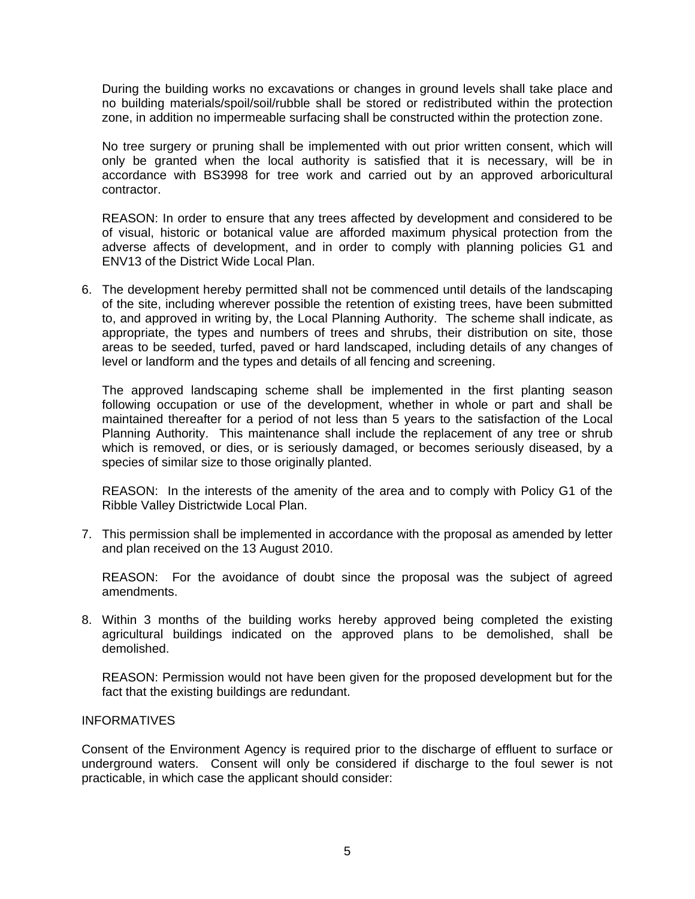During the building works no excavations or changes in ground levels shall take place and no building materials/spoil/soil/rubble shall be stored or redistributed within the protection zone, in addition no impermeable surfacing shall be constructed within the protection zone.

 No tree surgery or pruning shall be implemented with out prior written consent, which will only be granted when the local authority is satisfied that it is necessary, will be in accordance with BS3998 for tree work and carried out by an approved arboricultural contractor.

 REASON: In order to ensure that any trees affected by development and considered to be of visual, historic or botanical value are afforded maximum physical protection from the adverse affects of development, and in order to comply with planning policies G1 and ENV13 of the District Wide Local Plan.

6. The development hereby permitted shall not be commenced until details of the landscaping of the site, including wherever possible the retention of existing trees, have been submitted to, and approved in writing by, the Local Planning Authority. The scheme shall indicate, as appropriate, the types and numbers of trees and shrubs, their distribution on site, those areas to be seeded, turfed, paved or hard landscaped, including details of any changes of level or landform and the types and details of all fencing and screening.

 The approved landscaping scheme shall be implemented in the first planting season following occupation or use of the development, whether in whole or part and shall be maintained thereafter for a period of not less than 5 years to the satisfaction of the Local Planning Authority. This maintenance shall include the replacement of any tree or shrub which is removed, or dies, or is seriously damaged, or becomes seriously diseased, by a species of similar size to those originally planted.

 REASON: In the interests of the amenity of the area and to comply with Policy G1 of the Ribble Valley Districtwide Local Plan.

7. This permission shall be implemented in accordance with the proposal as amended by letter and plan received on the 13 August 2010.

 REASON: For the avoidance of doubt since the proposal was the subject of agreed amendments.

8. Within 3 months of the building works hereby approved being completed the existing agricultural buildings indicated on the approved plans to be demolished, shall be demolished.

REASON: Permission would not have been given for the proposed development but for the fact that the existing buildings are redundant.

#### INFORMATIVES

Consent of the Environment Agency is required prior to the discharge of effluent to surface or underground waters. Consent will only be considered if discharge to the foul sewer is not practicable, in which case the applicant should consider: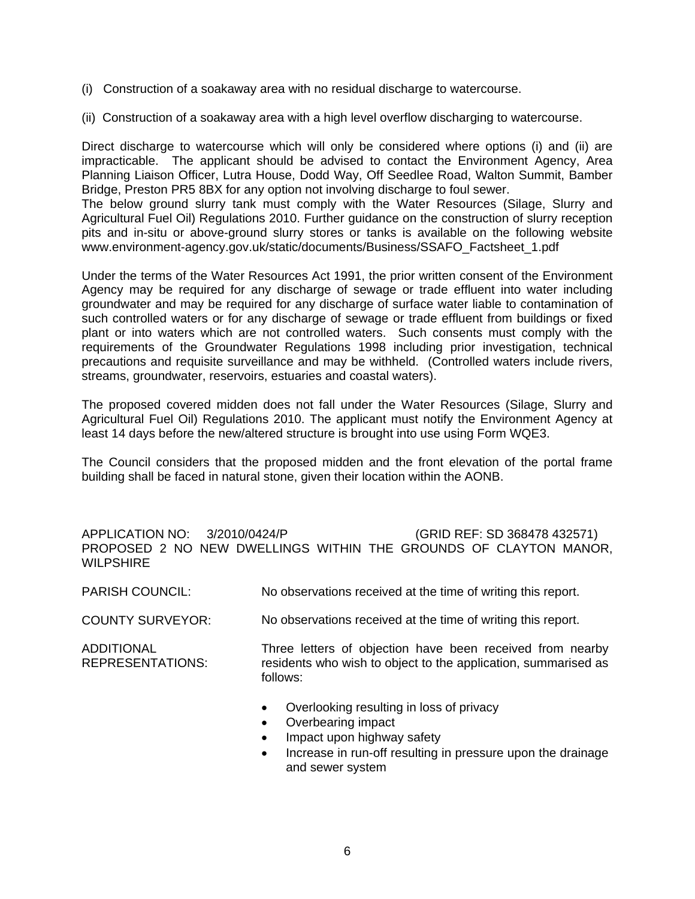- (i) Construction of a soakaway area with no residual discharge to watercourse.
- (ii) Construction of a soakaway area with a high level overflow discharging to watercourse.

Direct discharge to watercourse which will only be considered where options (i) and (ii) are impracticable. The applicant should be advised to contact the Environment Agency, Area Planning Liaison Officer, Lutra House, Dodd Way, Off Seedlee Road, Walton Summit, Bamber Bridge, Preston PR5 8BX for any option not involving discharge to foul sewer.

The below ground slurry tank must comply with the Water Resources (Silage, Slurry and Agricultural Fuel Oil) Regulations 2010. Further guidance on the construction of slurry reception pits and in-situ or above-ground slurry stores or tanks is available on the following website [www.environment-agency.gov.uk/static/documents/Business/SSAFO\\_Factsheet\\_1.pdf](http://www.environment-agency.gov.uk/static/documents/Business/SSAFO_Factsheet_1.pdf) 

Under the terms of the Water Resources Act 1991, the prior written consent of the Environment Agency may be required for any discharge of sewage or trade effluent into water including groundwater and may be required for any discharge of surface water liable to contamination of such controlled waters or for any discharge of sewage or trade effluent from buildings or fixed plant or into waters which are not controlled waters. Such consents must comply with the requirements of the Groundwater Regulations 1998 including prior investigation, technical precautions and requisite surveillance and may be withheld. (Controlled waters include rivers, streams, groundwater, reservoirs, estuaries and coastal waters).

The proposed covered midden does not fall under the Water Resources (Silage, Slurry and Agricultural Fuel Oil) Regulations 2010. The applicant must notify the Environment Agency at least 14 days before the new/altered structure is brought into use using Form WQE3.

The Council considers that the proposed midden and the front elevation of the portal frame building shall be faced in natural stone, given their location within the AONB.

APPLICATION NO: 3/2010/0424/P (GRID REF: SD 368478 432571) PROPOSED 2 NO NEW DWELLINGS WITHIN THE GROUNDS OF CLAYTON MANOR, WILPSHIRE

| <b>PARISH COUNCIL:</b> | No observations received at the time of writing this report. |
|------------------------|--------------------------------------------------------------|
|------------------------|--------------------------------------------------------------|

#### COUNTY SURVEYOR: No observations received at the time of writing this report.

ADDITIONAL REPRESENTATIONS: Three letters of objection have been received from nearby residents who wish to object to the application, summarised as follows:

- Overlooking resulting in loss of privacy
- Overbearing impact
- Impact upon highway safety
- Increase in run-off resulting in pressure upon the drainage and sewer system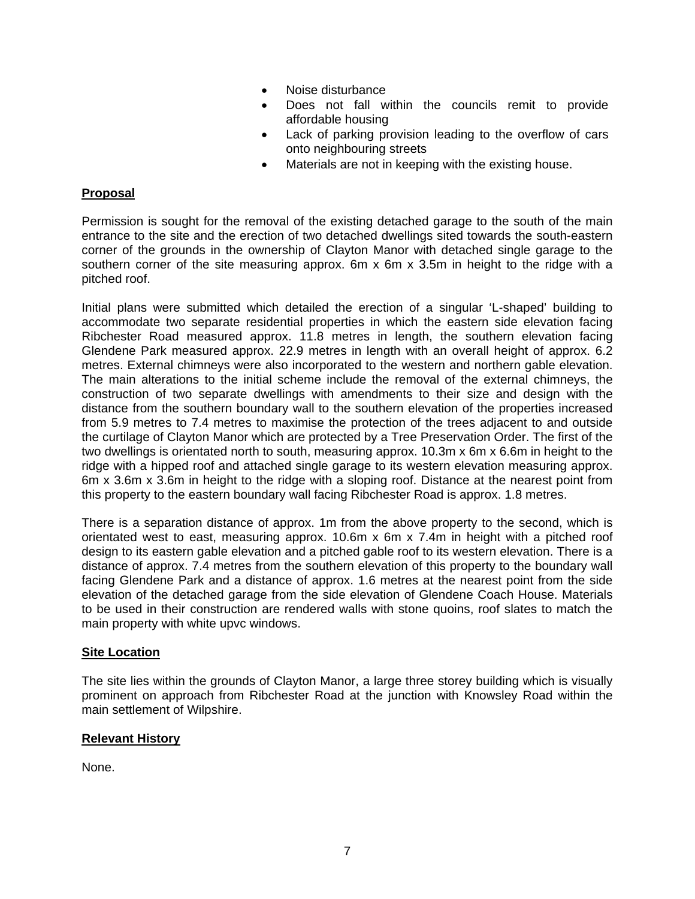- Noise disturbance
- Does not fall within the councils remit to provide affordable housing
- Lack of parking provision leading to the overflow of cars onto neighbouring streets
- Materials are not in keeping with the existing house.

#### **Proposal**

Permission is sought for the removal of the existing detached garage to the south of the main entrance to the site and the erection of two detached dwellings sited towards the south-eastern corner of the grounds in the ownership of Clayton Manor with detached single garage to the southern corner of the site measuring approx.  $6m \times 6m \times 3.5m$  in height to the ridge with a pitched roof.

Initial plans were submitted which detailed the erection of a singular 'L-shaped' building to accommodate two separate residential properties in which the eastern side elevation facing Ribchester Road measured approx. 11.8 metres in length, the southern elevation facing Glendene Park measured approx. 22.9 metres in length with an overall height of approx. 6.2 metres. External chimneys were also incorporated to the western and northern gable elevation. The main alterations to the initial scheme include the removal of the external chimneys, the construction of two separate dwellings with amendments to their size and design with the distance from the southern boundary wall to the southern elevation of the properties increased from 5.9 metres to 7.4 metres to maximise the protection of the trees adjacent to and outside the curtilage of Clayton Manor which are protected by a Tree Preservation Order. The first of the two dwellings is orientated north to south, measuring approx. 10.3m x 6m x 6.6m in height to the ridge with a hipped roof and attached single garage to its western elevation measuring approx. 6m x 3.6m x 3.6m in height to the ridge with a sloping roof. Distance at the nearest point from this property to the eastern boundary wall facing Ribchester Road is approx. 1.8 metres.

There is a separation distance of approx. 1m from the above property to the second, which is orientated west to east, measuring approx. 10.6m x 6m x 7.4m in height with a pitched roof design to its eastern gable elevation and a pitched gable roof to its western elevation. There is a distance of approx. 7.4 metres from the southern elevation of this property to the boundary wall facing Glendene Park and a distance of approx. 1.6 metres at the nearest point from the side elevation of the detached garage from the side elevation of Glendene Coach House. Materials to be used in their construction are rendered walls with stone quoins, roof slates to match the main property with white upvc windows.

### **Site Location**

The site lies within the grounds of Clayton Manor, a large three storey building which is visually prominent on approach from Ribchester Road at the junction with Knowsley Road within the main settlement of Wilpshire.

### **Relevant History**

None.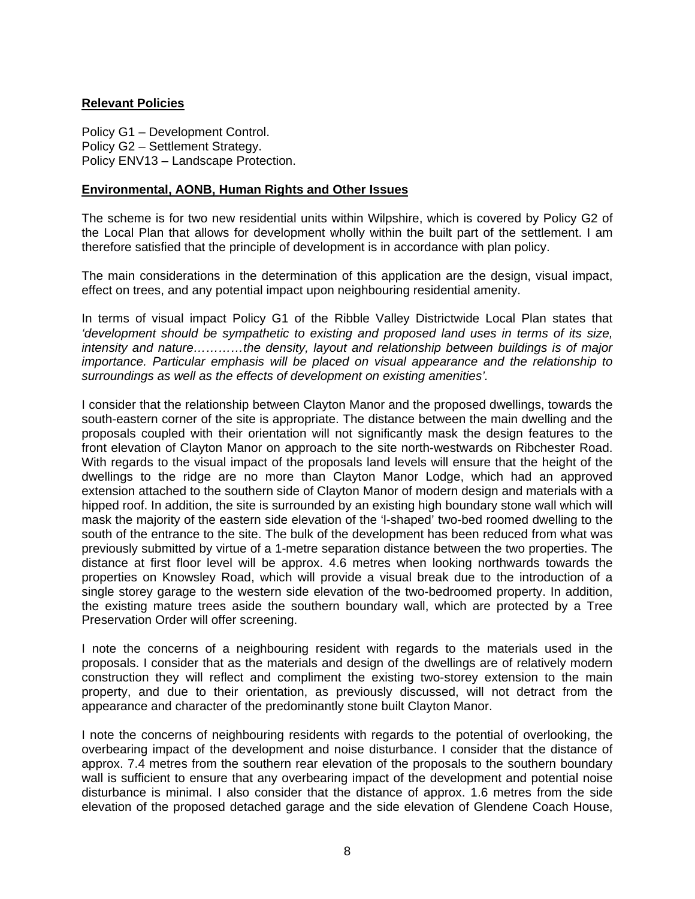#### **Relevant Policies**

Policy G1 – Development Control. Policy G2 – Settlement Strategy. Policy ENV13 – Landscape Protection.

#### **Environmental, AONB, Human Rights and Other Issues**

The scheme is for two new residential units within Wilpshire, which is covered by Policy G2 of the Local Plan that allows for development wholly within the built part of the settlement. I am therefore satisfied that the principle of development is in accordance with plan policy.

The main considerations in the determination of this application are the design, visual impact, effect on trees, and any potential impact upon neighbouring residential amenity.

In terms of visual impact Policy G1 of the Ribble Valley Districtwide Local Plan states that *'development should be sympathetic to existing and proposed land uses in terms of its size, intensity and nature…………the density, layout and relationship between buildings is of major importance. Particular emphasis will be placed on visual appearance and the relationship to surroundings as well as the effects of development on existing amenities'.* 

I consider that the relationship between Clayton Manor and the proposed dwellings, towards the south-eastern corner of the site is appropriate. The distance between the main dwelling and the proposals coupled with their orientation will not significantly mask the design features to the front elevation of Clayton Manor on approach to the site north-westwards on Ribchester Road. With regards to the visual impact of the proposals land levels will ensure that the height of the dwellings to the ridge are no more than Clayton Manor Lodge, which had an approved extension attached to the southern side of Clayton Manor of modern design and materials with a hipped roof. In addition, the site is surrounded by an existing high boundary stone wall which will mask the majority of the eastern side elevation of the 'l-shaped' two-bed roomed dwelling to the south of the entrance to the site. The bulk of the development has been reduced from what was previously submitted by virtue of a 1-metre separation distance between the two properties. The distance at first floor level will be approx. 4.6 metres when looking northwards towards the properties on Knowsley Road, which will provide a visual break due to the introduction of a single storey garage to the western side elevation of the two-bedroomed property. In addition, the existing mature trees aside the southern boundary wall, which are protected by a Tree Preservation Order will offer screening.

I note the concerns of a neighbouring resident with regards to the materials used in the proposals. I consider that as the materials and design of the dwellings are of relatively modern construction they will reflect and compliment the existing two-storey extension to the main property, and due to their orientation, as previously discussed, will not detract from the appearance and character of the predominantly stone built Clayton Manor.

I note the concerns of neighbouring residents with regards to the potential of overlooking, the overbearing impact of the development and noise disturbance. I consider that the distance of approx. 7.4 metres from the southern rear elevation of the proposals to the southern boundary wall is sufficient to ensure that any overbearing impact of the development and potential noise disturbance is minimal. I also consider that the distance of approx. 1.6 metres from the side elevation of the proposed detached garage and the side elevation of Glendene Coach House,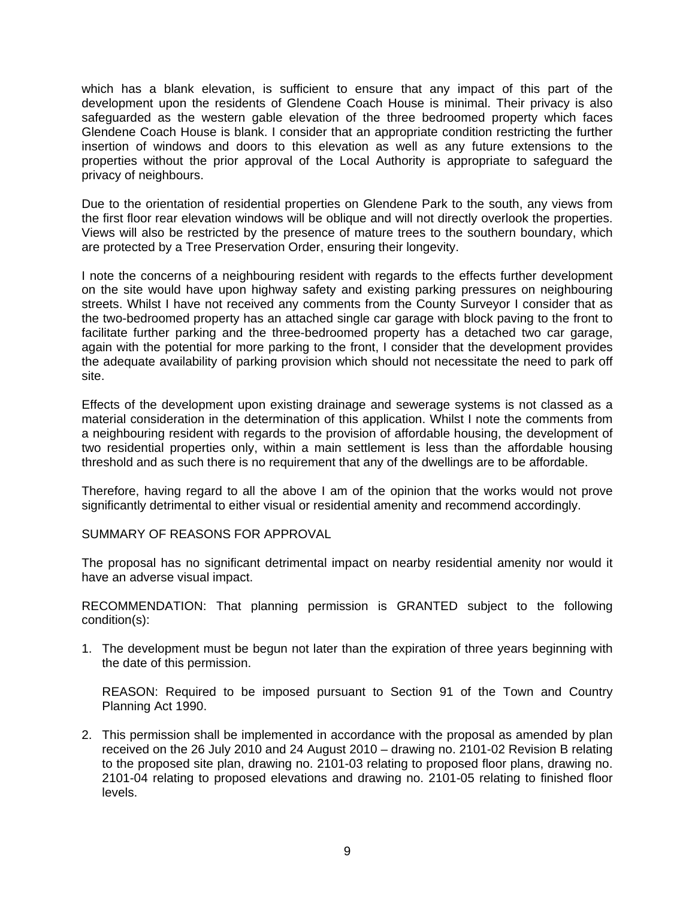which has a blank elevation, is sufficient to ensure that any impact of this part of the development upon the residents of Glendene Coach House is minimal. Their privacy is also safeguarded as the western gable elevation of the three bedroomed property which faces Glendene Coach House is blank. I consider that an appropriate condition restricting the further insertion of windows and doors to this elevation as well as any future extensions to the properties without the prior approval of the Local Authority is appropriate to safeguard the privacy of neighbours.

Due to the orientation of residential properties on Glendene Park to the south, any views from the first floor rear elevation windows will be oblique and will not directly overlook the properties. Views will also be restricted by the presence of mature trees to the southern boundary, which are protected by a Tree Preservation Order, ensuring their longevity.

I note the concerns of a neighbouring resident with regards to the effects further development on the site would have upon highway safety and existing parking pressures on neighbouring streets. Whilst I have not received any comments from the County Surveyor I consider that as the two-bedroomed property has an attached single car garage with block paving to the front to facilitate further parking and the three-bedroomed property has a detached two car garage, again with the potential for more parking to the front, I consider that the development provides the adequate availability of parking provision which should not necessitate the need to park off site.

Effects of the development upon existing drainage and sewerage systems is not classed as a material consideration in the determination of this application. Whilst I note the comments from a neighbouring resident with regards to the provision of affordable housing, the development of two residential properties only, within a main settlement is less than the affordable housing threshold and as such there is no requirement that any of the dwellings are to be affordable.

Therefore, having regard to all the above I am of the opinion that the works would not prove significantly detrimental to either visual or residential amenity and recommend accordingly.

SUMMARY OF REASONS FOR APPROVAL

The proposal has no significant detrimental impact on nearby residential amenity nor would it have an adverse visual impact.

RECOMMENDATION: That planning permission is GRANTED subject to the following condition(s):

1. The development must be begun not later than the expiration of three years beginning with the date of this permission.

 REASON: Required to be imposed pursuant to Section 91 of the Town and Country Planning Act 1990.

2. This permission shall be implemented in accordance with the proposal as amended by plan received on the 26 July 2010 and 24 August 2010 – drawing no. 2101-02 Revision B relating to the proposed site plan, drawing no. 2101-03 relating to proposed floor plans, drawing no. 2101-04 relating to proposed elevations and drawing no. 2101-05 relating to finished floor levels.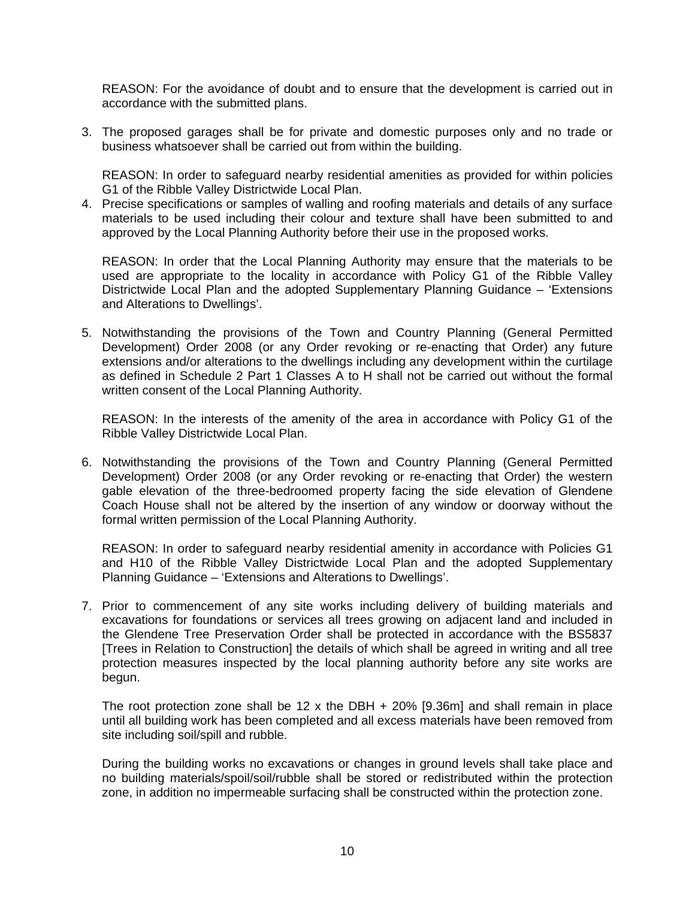REASON: For the avoidance of doubt and to ensure that the development is carried out in accordance with the submitted plans.

3. The proposed garages shall be for private and domestic purposes only and no trade or business whatsoever shall be carried out from within the building.

 REASON: In order to safeguard nearby residential amenities as provided for within policies G1 of the Ribble Valley Districtwide Local Plan.

4. Precise specifications or samples of walling and roofing materials and details of any surface materials to be used including their colour and texture shall have been submitted to and approved by the Local Planning Authority before their use in the proposed works.

 REASON: In order that the Local Planning Authority may ensure that the materials to be used are appropriate to the locality in accordance with Policy G1 of the Ribble Valley Districtwide Local Plan and the adopted Supplementary Planning Guidance – 'Extensions and Alterations to Dwellings'.

5. Notwithstanding the provisions of the Town and Country Planning (General Permitted Development) Order 2008 (or any Order revoking or re-enacting that Order) any future extensions and/or alterations to the dwellings including any development within the curtilage as defined in Schedule 2 Part 1 Classes A to H shall not be carried out without the formal written consent of the Local Planning Authority.

 REASON: In the interests of the amenity of the area in accordance with Policy G1 of the Ribble Valley Districtwide Local Plan.

6. Notwithstanding the provisions of the Town and Country Planning (General Permitted Development) Order 2008 (or any Order revoking or re-enacting that Order) the western gable elevation of the three-bedroomed property facing the side elevation of Glendene Coach House shall not be altered by the insertion of any window or doorway without the formal written permission of the Local Planning Authority.

 REASON: In order to safeguard nearby residential amenity in accordance with Policies G1 and H10 of the Ribble Valley Districtwide Local Plan and the adopted Supplementary Planning Guidance – 'Extensions and Alterations to Dwellings'.

7. Prior to commencement of any site works including delivery of building materials and excavations for foundations or services all trees growing on adjacent land and included in the Glendene Tree Preservation Order shall be protected in accordance with the BS5837 [Trees in Relation to Construction] the details of which shall be agreed in writing and all tree protection measures inspected by the local planning authority before any site works are begun.

The root protection zone shall be 12 x the DBH  $+$  20% [9.36m] and shall remain in place until all building work has been completed and all excess materials have been removed from site including soil/spill and rubble.

 During the building works no excavations or changes in ground levels shall take place and no building materials/spoil/soil/rubble shall be stored or redistributed within the protection zone, in addition no impermeable surfacing shall be constructed within the protection zone.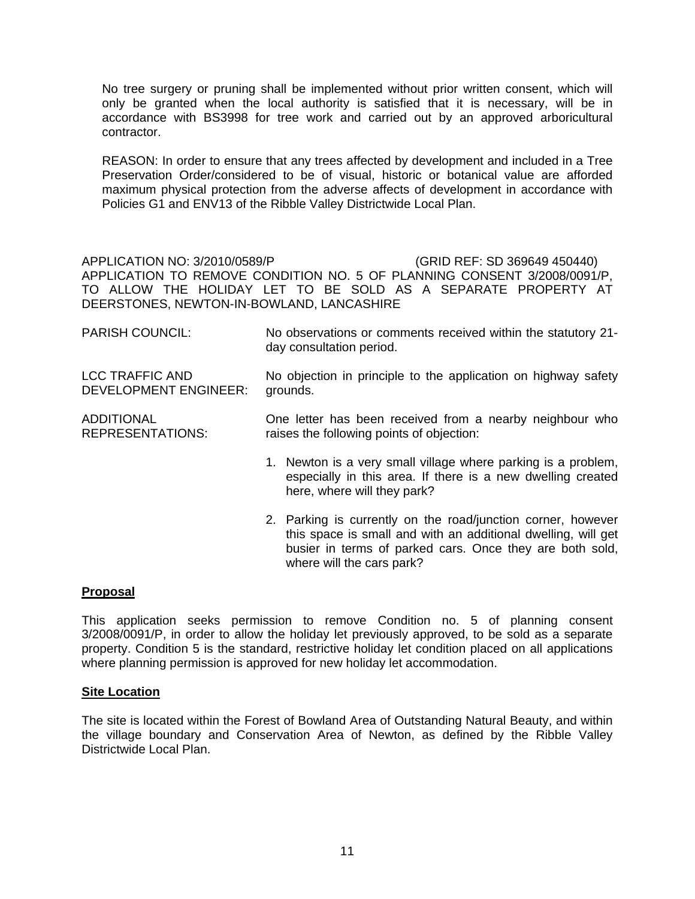No tree surgery or pruning shall be implemented without prior written consent, which will only be granted when the local authority is satisfied that it is necessary, will be in accordance with BS3998 for tree work and carried out by an approved arboricultural contractor.

 REASON: In order to ensure that any trees affected by development and included in a Tree Preservation Order/considered to be of visual, historic or botanical value are afforded maximum physical protection from the adverse affects of development in accordance with Policies G1 and ENV13 of the Ribble Valley Districtwide Local Plan.

APPLICATION NO: 3/2010/0589/P (GRID REF: SD 369649 450440) APPLICATION TO REMOVE CONDITION NO. 5 OF PLANNING CONSENT 3/2008/0091/P, TO ALLOW THE HOLIDAY LET TO BE SOLD AS A SEPARATE PROPERTY AT DEERSTONES, NEWTON-IN-BOWLAND, LANCASHIRE

- PARISH COUNCIL: No observations or comments received within the statutory 21 day consultation period.
- LCC TRAFFIC AND DEVELOPMENT ENGINEER: No objection in principle to the application on highway safety grounds.

ADDITIONAL REPRESENTATIONS: One letter has been received from a nearby neighbour who raises the following points of objection:

- 1. Newton is a very small village where parking is a problem, especially in this area. If there is a new dwelling created here, where will they park?
- 2. Parking is currently on the road/junction corner, however this space is small and with an additional dwelling, will get busier in terms of parked cars. Once they are both sold, where will the cars park?

### **Proposal**

This application seeks permission to remove Condition no. 5 of planning consent 3/2008/0091/P, in order to allow the holiday let previously approved, to be sold as a separate property. Condition 5 is the standard, restrictive holiday let condition placed on all applications where planning permission is approved for new holiday let accommodation.

#### **Site Location**

The site is located within the Forest of Bowland Area of Outstanding Natural Beauty, and within the village boundary and Conservation Area of Newton, as defined by the Ribble Valley Districtwide Local Plan.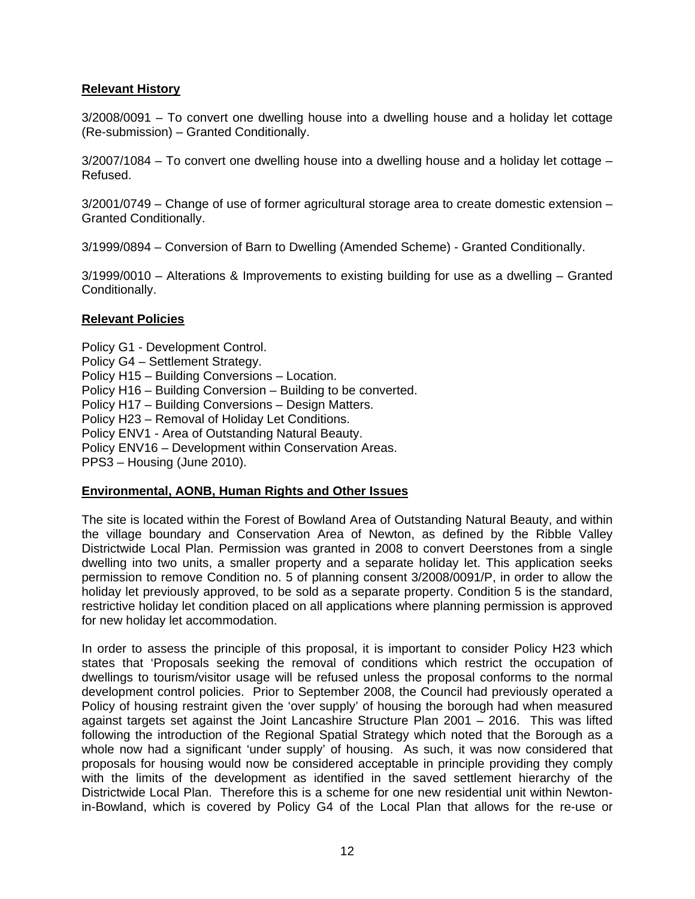### **Relevant History**

3/2008/0091 – To convert one dwelling house into a dwelling house and a holiday let cottage (Re-submission) – Granted Conditionally.

3/2007/1084 – To convert one dwelling house into a dwelling house and a holiday let cottage – Refused.

3/2001/0749 – Change of use of former agricultural storage area to create domestic extension – Granted Conditionally.

3/1999/0894 – Conversion of Barn to Dwelling (Amended Scheme) - Granted Conditionally.

3/1999/0010 – Alterations & Improvements to existing building for use as a dwelling – Granted Conditionally.

#### **Relevant Policies**

Policy G1 - Development Control. Policy G4 – Settlement Strategy. Policy H15 – Building Conversions – Location. Policy H16 – Building Conversion – Building to be converted. Policy H17 – Building Conversions – Design Matters. Policy H23 – Removal of Holiday Let Conditions. Policy ENV1 - Area of Outstanding Natural Beauty. Policy ENV16 – Development within Conservation Areas. PPS3 – Housing (June 2010).

### **Environmental, AONB, Human Rights and Other Issues**

The site is located within the Forest of Bowland Area of Outstanding Natural Beauty, and within the village boundary and Conservation Area of Newton, as defined by the Ribble Valley Districtwide Local Plan. Permission was granted in 2008 to convert Deerstones from a single dwelling into two units, a smaller property and a separate holiday let. This application seeks permission to remove Condition no. 5 of planning consent 3/2008/0091/P, in order to allow the holiday let previously approved, to be sold as a separate property. Condition 5 is the standard, restrictive holiday let condition placed on all applications where planning permission is approved for new holiday let accommodation.

In order to assess the principle of this proposal, it is important to consider Policy H23 which states that 'Proposals seeking the removal of conditions which restrict the occupation of dwellings to tourism/visitor usage will be refused unless the proposal conforms to the normal development control policies. Prior to September 2008, the Council had previously operated a Policy of housing restraint given the 'over supply' of housing the borough had when measured against targets set against the Joint Lancashire Structure Plan 2001 – 2016. This was lifted following the introduction of the Regional Spatial Strategy which noted that the Borough as a whole now had a significant 'under supply' of housing. As such, it was now considered that proposals for housing would now be considered acceptable in principle providing they comply with the limits of the development as identified in the saved settlement hierarchy of the Districtwide Local Plan. Therefore this is a scheme for one new residential unit within Newtonin-Bowland, which is covered by Policy G4 of the Local Plan that allows for the re-use or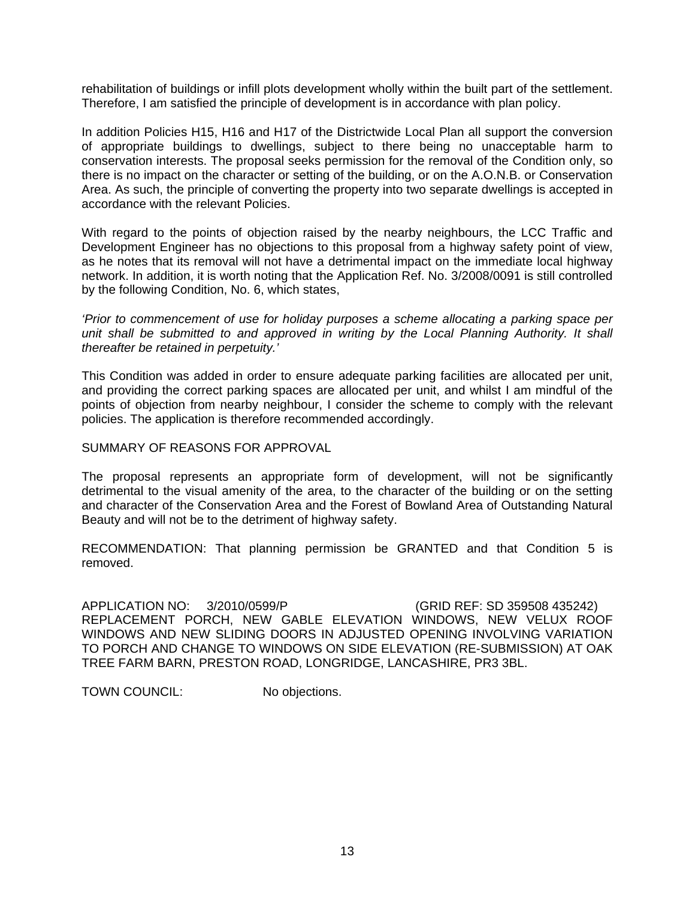rehabilitation of buildings or infill plots development wholly within the built part of the settlement. Therefore, I am satisfied the principle of development is in accordance with plan policy.

In addition Policies H15, H16 and H17 of the Districtwide Local Plan all support the conversion of appropriate buildings to dwellings, subject to there being no unacceptable harm to conservation interests. The proposal seeks permission for the removal of the Condition only, so there is no impact on the character or setting of the building, or on the A.O.N.B. or Conservation Area. As such, the principle of converting the property into two separate dwellings is accepted in accordance with the relevant Policies.

With regard to the points of objection raised by the nearby neighbours, the LCC Traffic and Development Engineer has no objections to this proposal from a highway safety point of view, as he notes that its removal will not have a detrimental impact on the immediate local highway network. In addition, it is worth noting that the Application Ref. No. 3/2008/0091 is still controlled by the following Condition, No. 6, which states,

*'Prior to commencement of use for holiday purposes a scheme allocating a parking space per unit shall be submitted to and approved in writing by the Local Planning Authority. It shall thereafter be retained in perpetuity.'* 

This Condition was added in order to ensure adequate parking facilities are allocated per unit, and providing the correct parking spaces are allocated per unit, and whilst I am mindful of the points of objection from nearby neighbour, I consider the scheme to comply with the relevant policies. The application is therefore recommended accordingly.

#### SUMMARY OF REASONS FOR APPROVAL

The proposal represents an appropriate form of development, will not be significantly detrimental to the visual amenity of the area, to the character of the building or on the setting and character of the Conservation Area and the Forest of Bowland Area of Outstanding Natural Beauty and will not be to the detriment of highway safety.

RECOMMENDATION: That planning permission be GRANTED and that Condition 5 is removed.

APPLICATION NO: 3/2010/0599/P (GRID REF: SD 359508 435242) REPLACEMENT PORCH, NEW GABLE ELEVATION WINDOWS, NEW VELUX ROOF WINDOWS AND NEW SLIDING DOORS IN ADJUSTED OPENING INVOLVING VARIATION TO PORCH AND CHANGE TO WINDOWS ON SIDE ELEVATION (RE-SUBMISSION) AT OAK TREE FARM BARN, PRESTON ROAD, LONGRIDGE, LANCASHIRE, PR3 3BL.

TOWN COUNCIL: No objections.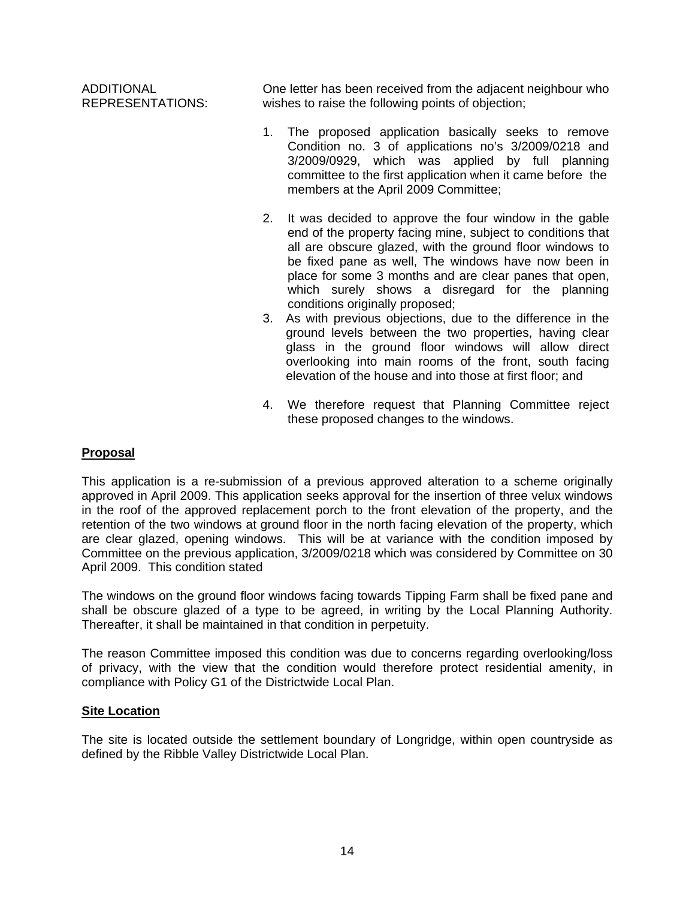ADDITIONAL REPRESENTATIONS:

One letter has been received from the adjacent neighbour who wishes to raise the following points of objection;

- 1. The proposed application basically seeks to remove Condition no. 3 of applications no's 3/2009/0218 and 3/2009/0929, which was applied by full planning committee to the first application when it came before the members at the April 2009 Committee;
- 2. It was decided to approve the four window in the gable end of the property facing mine, subject to conditions that all are obscure glazed, with the ground floor windows to be fixed pane as well, The windows have now been in place for some 3 months and are clear panes that open, which surely shows a disregard for the planning conditions originally proposed;
- 3. As with previous objections, due to the difference in the ground levels between the two properties, having clear glass in the ground floor windows will allow direct overlooking into main rooms of the front, south facing elevation of the house and into those at first floor; and
- 4. We therefore request that Planning Committee reject these proposed changes to the windows.

# **Proposal**

This application is a re-submission of a previous approved alteration to a scheme originally approved in April 2009. This application seeks approval for the insertion of three velux windows in the roof of the approved replacement porch to the front elevation of the property, and the retention of the two windows at ground floor in the north facing elevation of the property, which are clear glazed, opening windows. This will be at variance with the condition imposed by Committee on the previous application, 3/2009/0218 which was considered by Committee on 30 April 2009. This condition stated

The windows on the ground floor windows facing towards Tipping Farm shall be fixed pane and shall be obscure glazed of a type to be agreed, in writing by the Local Planning Authority. Thereafter, it shall be maintained in that condition in perpetuity.

The reason Committee imposed this condition was due to concerns regarding overlooking/loss of privacy, with the view that the condition would therefore protect residential amenity, in compliance with Policy G1 of the Districtwide Local Plan.

#### **Site Location**

The site is located outside the settlement boundary of Longridge, within open countryside as defined by the Ribble Valley Districtwide Local Plan.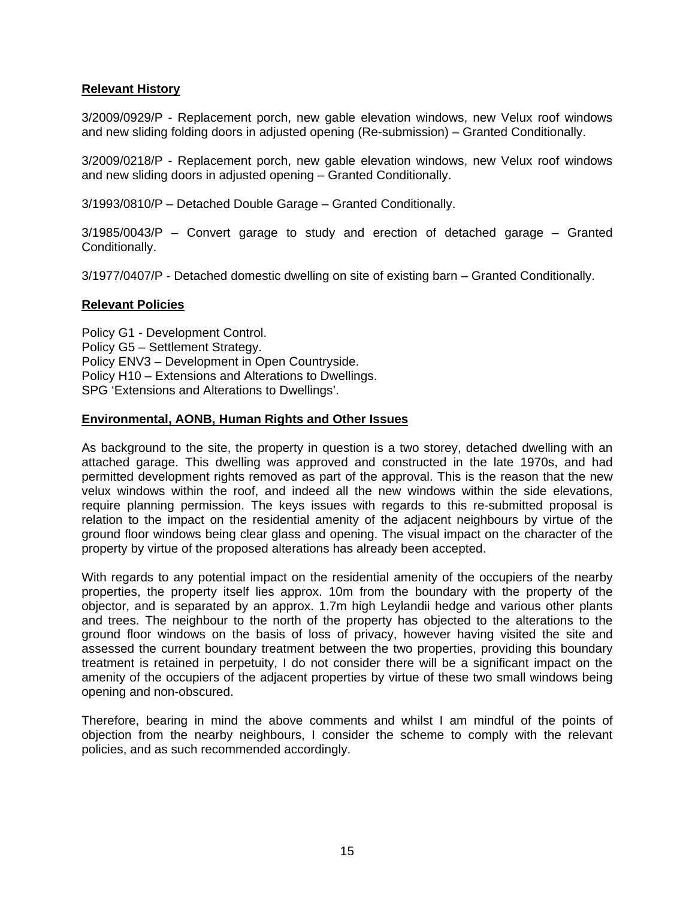#### **Relevant History**

3/2009/0929/P - Replacement porch, new gable elevation windows, new Velux roof windows and new sliding folding doors in adjusted opening (Re-submission) – Granted Conditionally.

3/2009/0218/P - Replacement porch, new gable elevation windows, new Velux roof windows and new sliding doors in adjusted opening – Granted Conditionally.

3/1993/0810/P – Detached Double Garage – Granted Conditionally.

3/1985/0043/P – Convert garage to study and erection of detached garage – Granted Conditionally.

3/1977/0407/P - Detached domestic dwelling on site of existing barn – Granted Conditionally.

#### **Relevant Policies**

Policy G1 - Development Control. Policy G5 – Settlement Strategy. Policy ENV3 – Development in Open Countryside. Policy H10 – Extensions and Alterations to Dwellings. SPG 'Extensions and Alterations to Dwellings'.

#### **Environmental, AONB, Human Rights and Other Issues**

As background to the site, the property in question is a two storey, detached dwelling with an attached garage. This dwelling was approved and constructed in the late 1970s, and had permitted development rights removed as part of the approval. This is the reason that the new velux windows within the roof, and indeed all the new windows within the side elevations, require planning permission. The keys issues with regards to this re-submitted proposal is relation to the impact on the residential amenity of the adjacent neighbours by virtue of the ground floor windows being clear glass and opening. The visual impact on the character of the property by virtue of the proposed alterations has already been accepted.

With regards to any potential impact on the residential amenity of the occupiers of the nearby properties, the property itself lies approx. 10m from the boundary with the property of the objector, and is separated by an approx. 1.7m high Leylandii hedge and various other plants and trees. The neighbour to the north of the property has objected to the alterations to the ground floor windows on the basis of loss of privacy, however having visited the site and assessed the current boundary treatment between the two properties, providing this boundary treatment is retained in perpetuity, I do not consider there will be a significant impact on the amenity of the occupiers of the adjacent properties by virtue of these two small windows being opening and non-obscured.

Therefore, bearing in mind the above comments and whilst I am mindful of the points of objection from the nearby neighbours, I consider the scheme to comply with the relevant policies, and as such recommended accordingly.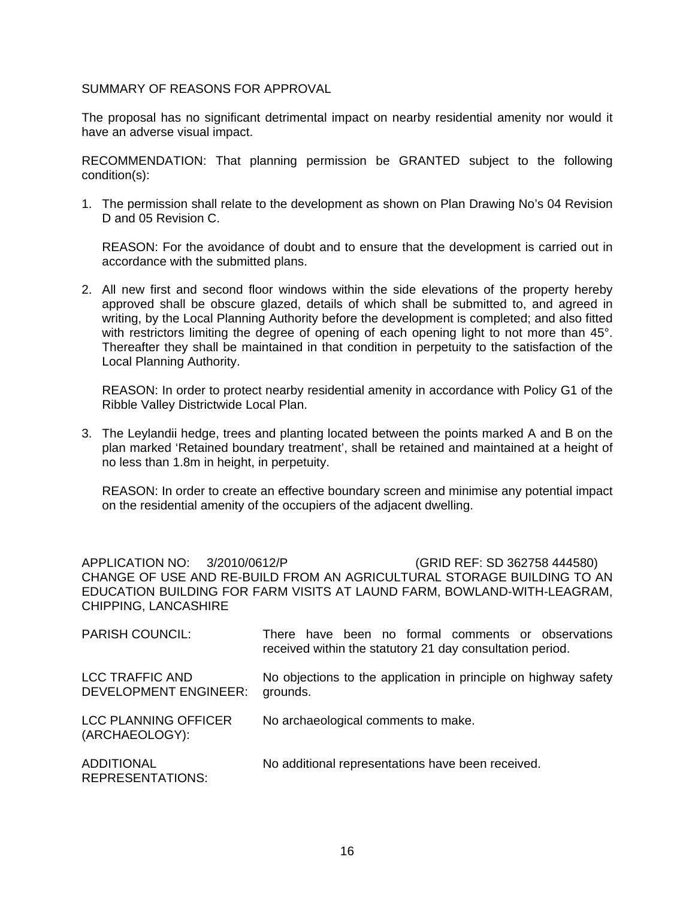#### SUMMARY OF REASONS FOR APPROVAL

The proposal has no significant detrimental impact on nearby residential amenity nor would it have an adverse visual impact.

RECOMMENDATION: That planning permission be GRANTED subject to the following condition(s):

1. The permission shall relate to the development as shown on Plan Drawing No's 04 Revision D and 05 Revision C.

 REASON: For the avoidance of doubt and to ensure that the development is carried out in accordance with the submitted plans.

2. All new first and second floor windows within the side elevations of the property hereby approved shall be obscure glazed, details of which shall be submitted to, and agreed in writing, by the Local Planning Authority before the development is completed; and also fitted with restrictors limiting the degree of opening of each opening light to not more than 45°. Thereafter they shall be maintained in that condition in perpetuity to the satisfaction of the Local Planning Authority.

 REASON: In order to protect nearby residential amenity in accordance with Policy G1 of the Ribble Valley Districtwide Local Plan.

3. The Leylandii hedge, trees and planting located between the points marked A and B on the plan marked 'Retained boundary treatment', shall be retained and maintained at a height of no less than 1.8m in height, in perpetuity.

 REASON: In order to create an effective boundary screen and minimise any potential impact on the residential amenity of the occupiers of the adjacent dwelling.

APPLICATION NO: 3/2010/0612/P (GRID REF: SD 362758 444580) CHANGE OF USE AND RE-BUILD FROM AN AGRICULTURAL STORAGE BUILDING TO AN EDUCATION BUILDING FOR FARM VISITS AT LAUND FARM, BOWLAND-WITH-LEAGRAM, CHIPPING, LANCASHIRE

| <b>PARISH COUNCIL:</b>                          | There have been no formal comments or observations<br>received within the statutory 21 day consultation period. |
|-------------------------------------------------|-----------------------------------------------------------------------------------------------------------------|
| <b>LCC TRAFFIC AND</b><br>DEVELOPMENT ENGINEER: | No objections to the application in principle on highway safety<br>grounds.                                     |
| <b>LCC PLANNING OFFICER</b><br>(ARCHAEOLOGY):   | No archaeological comments to make.                                                                             |
| <b>ADDITIONAL</b><br>REPRESENTATIONS:           | No additional representations have been received.                                                               |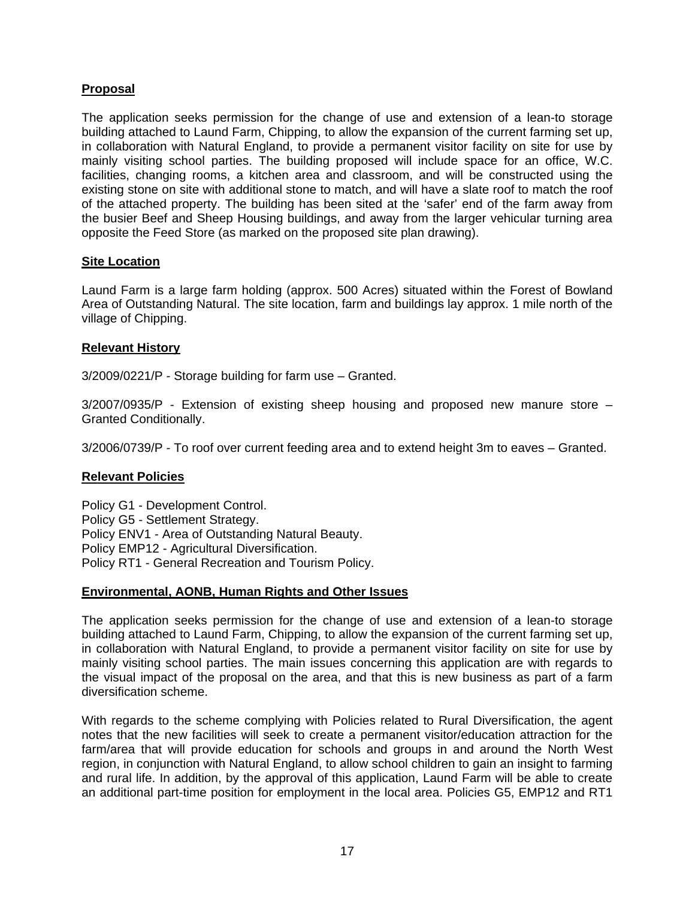### **Proposal**

The application seeks permission for the change of use and extension of a lean-to storage building attached to Laund Farm, Chipping, to allow the expansion of the current farming set up, in collaboration with Natural England, to provide a permanent visitor facility on site for use by mainly visiting school parties. The building proposed will include space for an office, W.C. facilities, changing rooms, a kitchen area and classroom, and will be constructed using the existing stone on site with additional stone to match, and will have a slate roof to match the roof of the attached property. The building has been sited at the 'safer' end of the farm away from the busier Beef and Sheep Housing buildings, and away from the larger vehicular turning area opposite the Feed Store (as marked on the proposed site plan drawing).

#### **Site Location**

Laund Farm is a large farm holding (approx. 500 Acres) situated within the Forest of Bowland Area of Outstanding Natural. The site location, farm and buildings lay approx. 1 mile north of the village of Chipping.

#### **Relevant History**

3/2009/0221/P - Storage building for farm use – Granted.

3/2007/0935/P - Extension of existing sheep housing and proposed new manure store – Granted Conditionally.

3/2006/0739/P - To roof over current feeding area and to extend height 3m to eaves – Granted.

### **Relevant Policies**

Policy G1 - Development Control. Policy G5 - Settlement Strategy. Policy ENV1 - Area of Outstanding Natural Beauty. Policy EMP12 - Agricultural Diversification. Policy RT1 - General Recreation and Tourism Policy.

#### **Environmental, AONB, Human Rights and Other Issues**

The application seeks permission for the change of use and extension of a lean-to storage building attached to Laund Farm, Chipping, to allow the expansion of the current farming set up, in collaboration with Natural England, to provide a permanent visitor facility on site for use by mainly visiting school parties. The main issues concerning this application are with regards to the visual impact of the proposal on the area, and that this is new business as part of a farm diversification scheme.

With regards to the scheme complying with Policies related to Rural Diversification, the agent notes that the new facilities will seek to create a permanent visitor/education attraction for the farm/area that will provide education for schools and groups in and around the North West region, in conjunction with Natural England, to allow school children to gain an insight to farming and rural life. In addition, by the approval of this application, Laund Farm will be able to create an additional part-time position for employment in the local area. Policies G5, EMP12 and RT1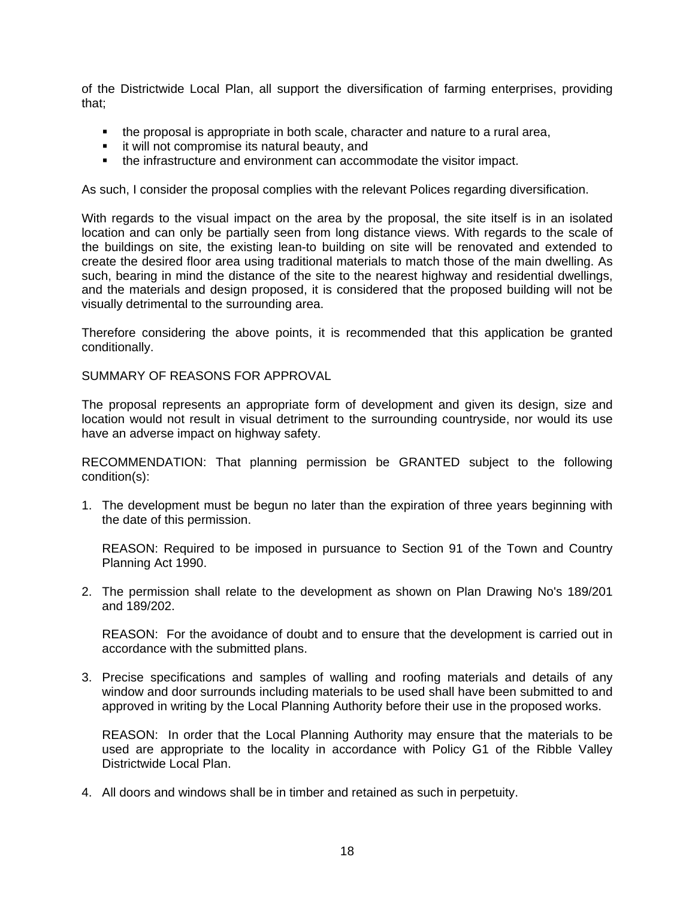of the Districtwide Local Plan, all support the diversification of farming enterprises, providing that;

- the proposal is appropriate in both scale, character and nature to a rural area,
- **E** it will not compromise its natural beauty, and
- the infrastructure and environment can accommodate the visitor impact.

As such, I consider the proposal complies with the relevant Polices regarding diversification.

With regards to the visual impact on the area by the proposal, the site itself is in an isolated location and can only be partially seen from long distance views. With regards to the scale of the buildings on site, the existing lean-to building on site will be renovated and extended to create the desired floor area using traditional materials to match those of the main dwelling. As such, bearing in mind the distance of the site to the nearest highway and residential dwellings, and the materials and design proposed, it is considered that the proposed building will not be visually detrimental to the surrounding area.

Therefore considering the above points, it is recommended that this application be granted conditionally.

SUMMARY OF REASONS FOR APPROVAL

The proposal represents an appropriate form of development and given its design, size and location would not result in visual detriment to the surrounding countryside, nor would its use have an adverse impact on highway safety.

RECOMMENDATION: That planning permission be GRANTED subject to the following condition(s):

1. The development must be begun no later than the expiration of three years beginning with the date of this permission.

 REASON: Required to be imposed in pursuance to Section 91 of the Town and Country Planning Act 1990.

2. The permission shall relate to the development as shown on Plan Drawing No's 189/201 and 189/202.

 REASON: For the avoidance of doubt and to ensure that the development is carried out in accordance with the submitted plans.

3. Precise specifications and samples of walling and roofing materials and details of any window and door surrounds including materials to be used shall have been submitted to and approved in writing by the Local Planning Authority before their use in the proposed works.

 REASON: In order that the Local Planning Authority may ensure that the materials to be used are appropriate to the locality in accordance with Policy G1 of the Ribble Valley Districtwide Local Plan.

4. All doors and windows shall be in timber and retained as such in perpetuity.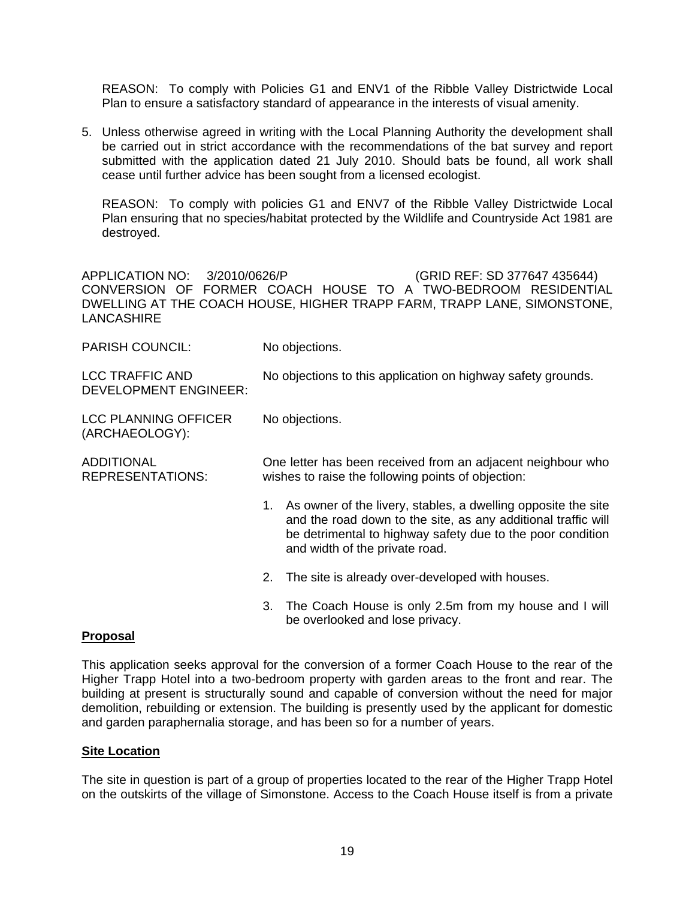REASON: To comply with Policies G1 and ENV1 of the Ribble Valley Districtwide Local Plan to ensure a satisfactory standard of appearance in the interests of visual amenity.

5. Unless otherwise agreed in writing with the Local Planning Authority the development shall be carried out in strict accordance with the recommendations of the bat survey and report submitted with the application dated 21 July 2010. Should bats be found, all work shall cease until further advice has been sought from a licensed ecologist.

 REASON: To comply with policies G1 and ENV7 of the Ribble Valley Districtwide Local Plan ensuring that no species/habitat protected by the Wildlife and Countryside Act 1981 are destroyed.

APPLICATION NO: 3/2010/0626/P (GRID REF: SD 377647 435644) CONVERSION OF FORMER COACH HOUSE TO A TWO-BEDROOM RESIDENTIAL DWELLING AT THE COACH HOUSE, HIGHER TRAPP FARM, TRAPP LANE, SIMONSTONE, LANCASHIRE

PARISH COUNCIL: No objections.

- LCC TRAFFIC AND DEVELOPMENT ENGINEER: No objections to this application on highway safety grounds.
- LCC PLANNING OFFICER (ARCHAEOLOGY): No objections.

ADDITIONAL REPRESENTATIONS: One letter has been received from an adjacent neighbour who wishes to raise the following points of objection:

- 1. As owner of the livery, stables, a dwelling opposite the site and the road down to the site, as any additional traffic will be detrimental to highway safety due to the poor condition and width of the private road.
- 2. The site is already over-developed with houses.
- 3. The Coach House is only 2.5m from my house and I will be overlooked and lose privacy.

### **Proposal**

This application seeks approval for the conversion of a former Coach House to the rear of the Higher Trapp Hotel into a two-bedroom property with garden areas to the front and rear. The building at present is structurally sound and capable of conversion without the need for major demolition, rebuilding or extension. The building is presently used by the applicant for domestic and garden paraphernalia storage, and has been so for a number of years.

#### **Site Location**

The site in question is part of a group of properties located to the rear of the Higher Trapp Hotel on the outskirts of the village of Simonstone. Access to the Coach House itself is from a private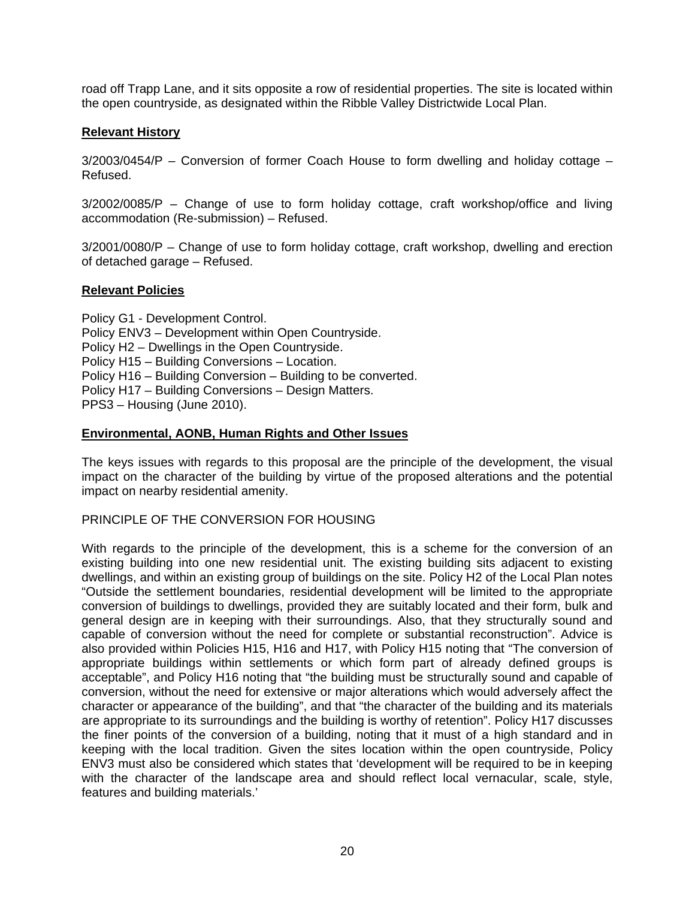road off Trapp Lane, and it sits opposite a row of residential properties. The site is located within the open countryside, as designated within the Ribble Valley Districtwide Local Plan.

#### **Relevant History**

3/2003/0454/P – Conversion of former Coach House to form dwelling and holiday cottage – Refused.

3/2002/0085/P – Change of use to form holiday cottage, craft workshop/office and living accommodation (Re-submission) – Refused.

3/2001/0080/P – Change of use to form holiday cottage, craft workshop, dwelling and erection of detached garage – Refused.

#### **Relevant Policies**

Policy G1 - Development Control. Policy ENV3 – Development within Open Countryside. Policy H2 – Dwellings in the Open Countryside. Policy H15 – Building Conversions – Location. Policy H16 – Building Conversion – Building to be converted. Policy H17 – Building Conversions – Design Matters. PPS3 – Housing (June 2010).

#### **Environmental, AONB, Human Rights and Other Issues**

The keys issues with regards to this proposal are the principle of the development, the visual impact on the character of the building by virtue of the proposed alterations and the potential impact on nearby residential amenity.

#### PRINCIPLE OF THE CONVERSION FOR HOUSING.

With regards to the principle of the development, this is a scheme for the conversion of an existing building into one new residential unit. The existing building sits adjacent to existing dwellings, and within an existing group of buildings on the site. Policy H2 of the Local Plan notes "Outside the settlement boundaries, residential development will be limited to the appropriate conversion of buildings to dwellings, provided they are suitably located and their form, bulk and general design are in keeping with their surroundings. Also, that they structurally sound and capable of conversion without the need for complete or substantial reconstruction". Advice is also provided within Policies H15, H16 and H17, with Policy H15 noting that "The conversion of appropriate buildings within settlements or which form part of already defined groups is acceptable", and Policy H16 noting that "the building must be structurally sound and capable of conversion, without the need for extensive or major alterations which would adversely affect the character or appearance of the building", and that "the character of the building and its materials are appropriate to its surroundings and the building is worthy of retention". Policy H17 discusses the finer points of the conversion of a building, noting that it must of a high standard and in keeping with the local tradition. Given the sites location within the open countryside, Policy ENV3 must also be considered which states that 'development will be required to be in keeping with the character of the landscape area and should reflect local vernacular, scale, style, features and building materials.'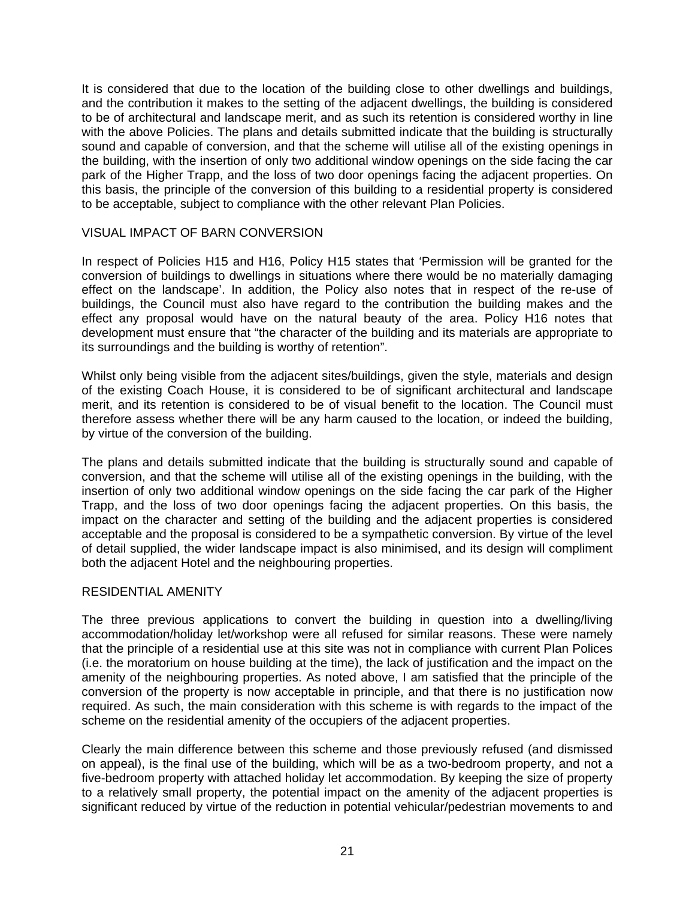It is considered that due to the location of the building close to other dwellings and buildings, and the contribution it makes to the setting of the adjacent dwellings, the building is considered to be of architectural and landscape merit, and as such its retention is considered worthy in line with the above Policies. The plans and details submitted indicate that the building is structurally sound and capable of conversion, and that the scheme will utilise all of the existing openings in the building, with the insertion of only two additional window openings on the side facing the car park of the Higher Trapp, and the loss of two door openings facing the adjacent properties. On this basis, the principle of the conversion of this building to a residential property is considered to be acceptable, subject to compliance with the other relevant Plan Policies.

#### VISUAL IMPACT OF BARN CONVERSION

In respect of Policies H15 and H16, Policy H15 states that 'Permission will be granted for the conversion of buildings to dwellings in situations where there would be no materially damaging effect on the landscape'. In addition, the Policy also notes that in respect of the re-use of buildings, the Council must also have regard to the contribution the building makes and the effect any proposal would have on the natural beauty of the area. Policy H16 notes that development must ensure that "the character of the building and its materials are appropriate to its surroundings and the building is worthy of retention".

Whilst only being visible from the adjacent sites/buildings, given the style, materials and design of the existing Coach House, it is considered to be of significant architectural and landscape merit, and its retention is considered to be of visual benefit to the location. The Council must therefore assess whether there will be any harm caused to the location, or indeed the building, by virtue of the conversion of the building.

The plans and details submitted indicate that the building is structurally sound and capable of conversion, and that the scheme will utilise all of the existing openings in the building, with the insertion of only two additional window openings on the side facing the car park of the Higher Trapp, and the loss of two door openings facing the adjacent properties. On this basis, the impact on the character and setting of the building and the adjacent properties is considered acceptable and the proposal is considered to be a sympathetic conversion. By virtue of the level of detail supplied, the wider landscape impact is also minimised, and its design will compliment both the adjacent Hotel and the neighbouring properties.

#### RESIDENTIAL AMENITY

The three previous applications to convert the building in question into a dwelling/living accommodation/holiday let/workshop were all refused for similar reasons. These were namely that the principle of a residential use at this site was not in compliance with current Plan Polices (i.e. the moratorium on house building at the time), the lack of justification and the impact on the amenity of the neighbouring properties. As noted above, I am satisfied that the principle of the conversion of the property is now acceptable in principle, and that there is no justification now required. As such, the main consideration with this scheme is with regards to the impact of the scheme on the residential amenity of the occupiers of the adjacent properties.

Clearly the main difference between this scheme and those previously refused (and dismissed on appeal), is the final use of the building, which will be as a two-bedroom property, and not a five-bedroom property with attached holiday let accommodation. By keeping the size of property to a relatively small property, the potential impact on the amenity of the adjacent properties is significant reduced by virtue of the reduction in potential vehicular/pedestrian movements to and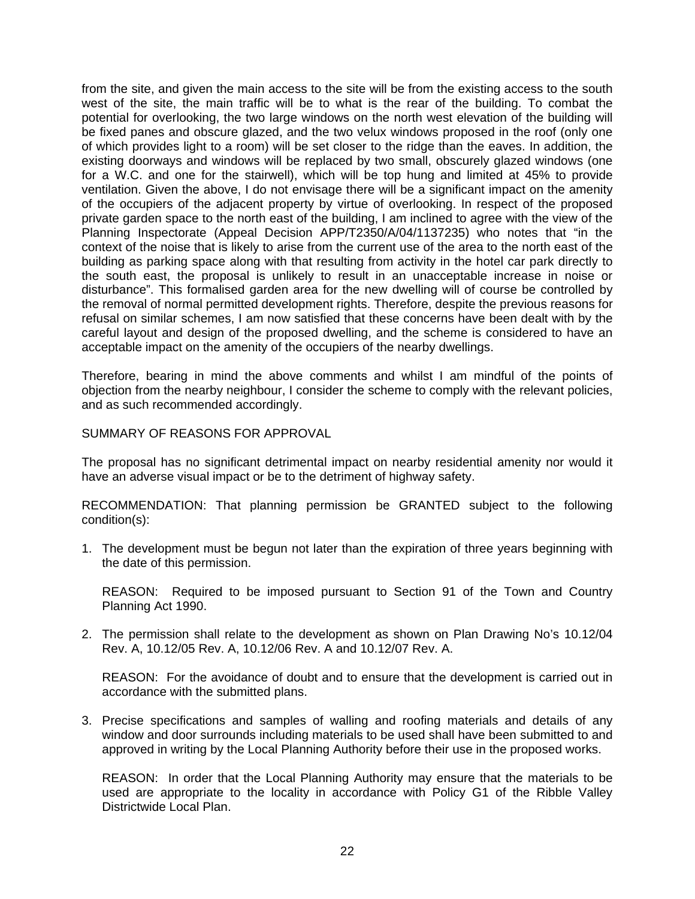from the site, and given the main access to the site will be from the existing access to the south west of the site, the main traffic will be to what is the rear of the building. To combat the potential for overlooking, the two large windows on the north west elevation of the building will be fixed panes and obscure glazed, and the two velux windows proposed in the roof (only one of which provides light to a room) will be set closer to the ridge than the eaves. In addition, the existing doorways and windows will be replaced by two small, obscurely glazed windows (one for a W.C. and one for the stairwell), which will be top hung and limited at 45% to provide ventilation. Given the above, I do not envisage there will be a significant impact on the amenity of the occupiers of the adjacent property by virtue of overlooking. In respect of the proposed private garden space to the north east of the building, I am inclined to agree with the view of the Planning Inspectorate (Appeal Decision APP/T2350/A/04/1137235) who notes that "in the context of the noise that is likely to arise from the current use of the area to the north east of the building as parking space along with that resulting from activity in the hotel car park directly to the south east, the proposal is unlikely to result in an unacceptable increase in noise or disturbance". This formalised garden area for the new dwelling will of course be controlled by the removal of normal permitted development rights. Therefore, despite the previous reasons for refusal on similar schemes, I am now satisfied that these concerns have been dealt with by the careful layout and design of the proposed dwelling, and the scheme is considered to have an acceptable impact on the amenity of the occupiers of the nearby dwellings.

Therefore, bearing in mind the above comments and whilst I am mindful of the points of objection from the nearby neighbour, I consider the scheme to comply with the relevant policies, and as such recommended accordingly.

#### SUMMARY OF REASONS FOR APPROVAL

The proposal has no significant detrimental impact on nearby residential amenity nor would it have an adverse visual impact or be to the detriment of highway safety.

RECOMMENDATION: That planning permission be GRANTED subject to the following condition(s):

1. The development must be begun not later than the expiration of three years beginning with the date of this permission.

 REASON: Required to be imposed pursuant to Section 91 of the Town and Country Planning Act 1990.

2. The permission shall relate to the development as shown on Plan Drawing No's 10.12/04 Rev. A, 10.12/05 Rev. A, 10.12/06 Rev. A and 10.12/07 Rev. A.

 REASON: For the avoidance of doubt and to ensure that the development is carried out in accordance with the submitted plans.

3. Precise specifications and samples of walling and roofing materials and details of any window and door surrounds including materials to be used shall have been submitted to and approved in writing by the Local Planning Authority before their use in the proposed works.

 REASON: In order that the Local Planning Authority may ensure that the materials to be used are appropriate to the locality in accordance with Policy G1 of the Ribble Valley Districtwide Local Plan.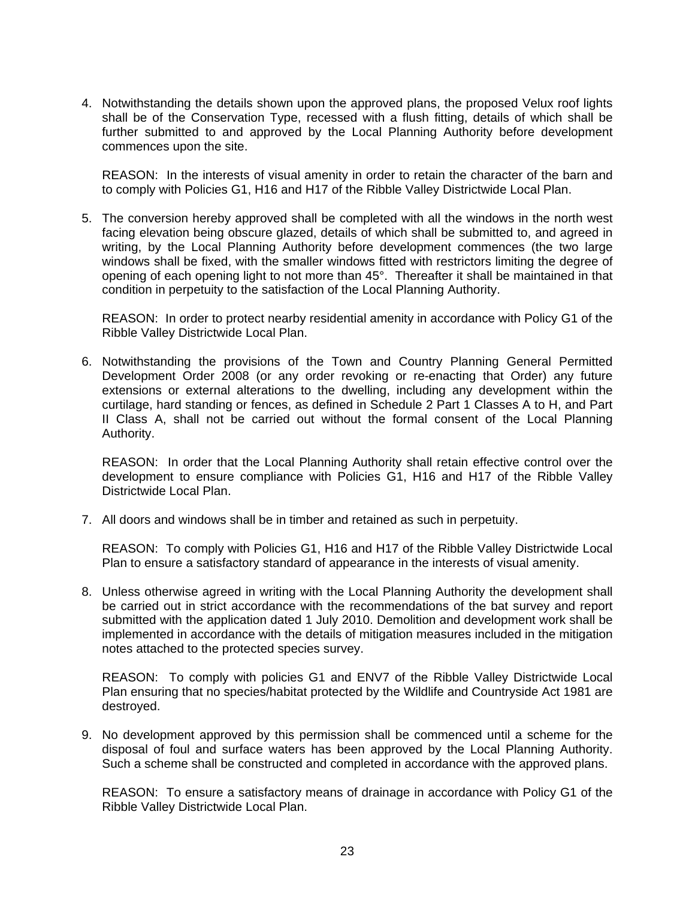4. Notwithstanding the details shown upon the approved plans, the proposed Velux roof lights shall be of the Conservation Type, recessed with a flush fitting, details of which shall be further submitted to and approved by the Local Planning Authority before development commences upon the site.

 REASON: In the interests of visual amenity in order to retain the character of the barn and to comply with Policies G1, H16 and H17 of the Ribble Valley Districtwide Local Plan.

5. The conversion hereby approved shall be completed with all the windows in the north west facing elevation being obscure glazed, details of which shall be submitted to, and agreed in writing, by the Local Planning Authority before development commences (the two large windows shall be fixed, with the smaller windows fitted with restrictors limiting the degree of opening of each opening light to not more than 45°. Thereafter it shall be maintained in that condition in perpetuity to the satisfaction of the Local Planning Authority.

 REASON: In order to protect nearby residential amenity in accordance with Policy G1 of the Ribble Valley Districtwide Local Plan.

6. Notwithstanding the provisions of the Town and Country Planning General Permitted Development Order 2008 (or any order revoking or re-enacting that Order) any future extensions or external alterations to the dwelling, including any development within the curtilage, hard standing or fences, as defined in Schedule 2 Part 1 Classes A to H, and Part II Class A, shall not be carried out without the formal consent of the Local Planning Authority.

 REASON: In order that the Local Planning Authority shall retain effective control over the development to ensure compliance with Policies G1, H16 and H17 of the Ribble Valley Districtwide Local Plan.

7. All doors and windows shall be in timber and retained as such in perpetuity.

 REASON: To comply with Policies G1, H16 and H17 of the Ribble Valley Districtwide Local Plan to ensure a satisfactory standard of appearance in the interests of visual amenity.

8. Unless otherwise agreed in writing with the Local Planning Authority the development shall be carried out in strict accordance with the recommendations of the bat survey and report submitted with the application dated 1 July 2010. Demolition and development work shall be implemented in accordance with the details of mitigation measures included in the mitigation notes attached to the protected species survey.

 REASON: To comply with policies G1 and ENV7 of the Ribble Valley Districtwide Local Plan ensuring that no species/habitat protected by the Wildlife and Countryside Act 1981 are destroyed.

9. No development approved by this permission shall be commenced until a scheme for the disposal of foul and surface waters has been approved by the Local Planning Authority. Such a scheme shall be constructed and completed in accordance with the approved plans.

 REASON: To ensure a satisfactory means of drainage in accordance with Policy G1 of the Ribble Valley Districtwide Local Plan.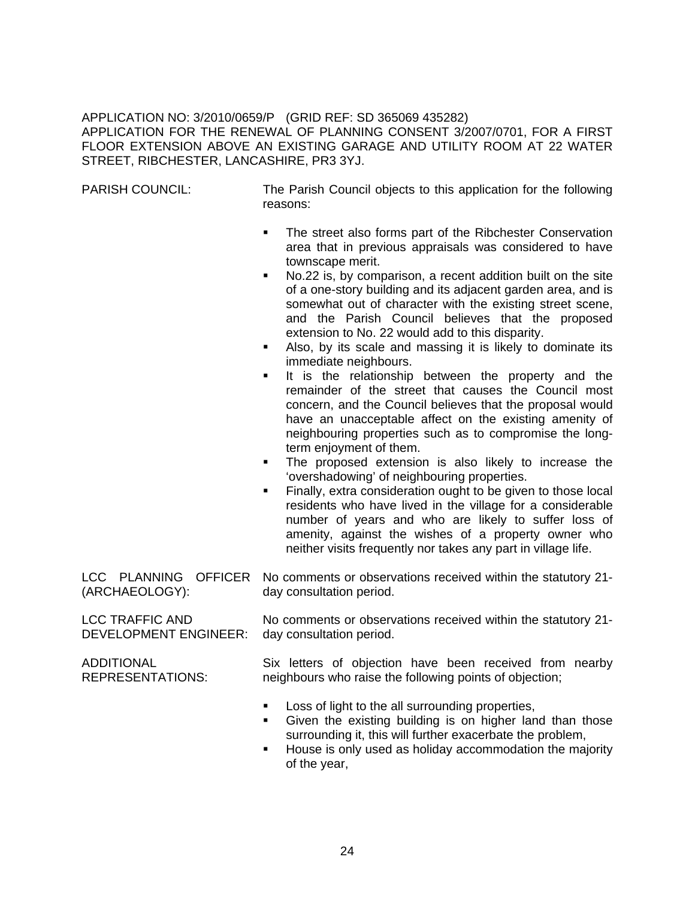APPLICATION NO: 3/2010/0659/P (GRID REF: SD 365069 435282) APPLICATION FOR THE RENEWAL OF PLANNING CONSENT 3/2007/0701, FOR A FIRST FLOOR EXTENSION ABOVE AN EXISTING GARAGE AND UTILITY ROOM AT 22 WATER STREET, RIBCHESTER, LANCASHIRE, PR3 3YJ.

PARISH COUNCIL: The Parish Council objects to this application for the following reasons:

- The street also forms part of the Ribchester Conservation area that in previous appraisals was considered to have townscape merit.
- No.22 is, by comparison, a recent addition built on the site of a one-story building and its adjacent garden area, and is somewhat out of character with the existing street scene, and the Parish Council believes that the proposed extension to No. 22 would add to this disparity.
- Also, by its scale and massing it is likely to dominate its immediate neighbours.
- It is the relationship between the property and the remainder of the street that causes the Council most concern, and the Council believes that the proposal would have an unacceptable affect on the existing amenity of neighbouring properties such as to compromise the longterm enjoyment of them.
- **The proposed extension is also likely to increase the** 'overshadowing' of neighbouring properties.
- Finally, extra consideration ought to be given to those local residents who have lived in the village for a considerable number of years and who are likely to suffer loss of amenity, against the wishes of a property owner who neither visits frequently nor takes any part in village life.

LCC PLANNING OFFICER No comments or observations received within the statutory 21-(ARCHAEOLOGY): day consultation period.

LCC TRAFFIC AND DEVELOPMENT ENGINEER: No comments or observations received within the statutory 21 day consultation period.

ADDITIONAL REPRESENTATIONS: Six letters of objection have been received from nearby neighbours who raise the following points of objection;

- **EXEC** Loss of light to the all surrounding properties,
- Given the existing building is on higher land than those surrounding it, this will further exacerbate the problem,
- **House is only used as holiday accommodation the majority** of the year,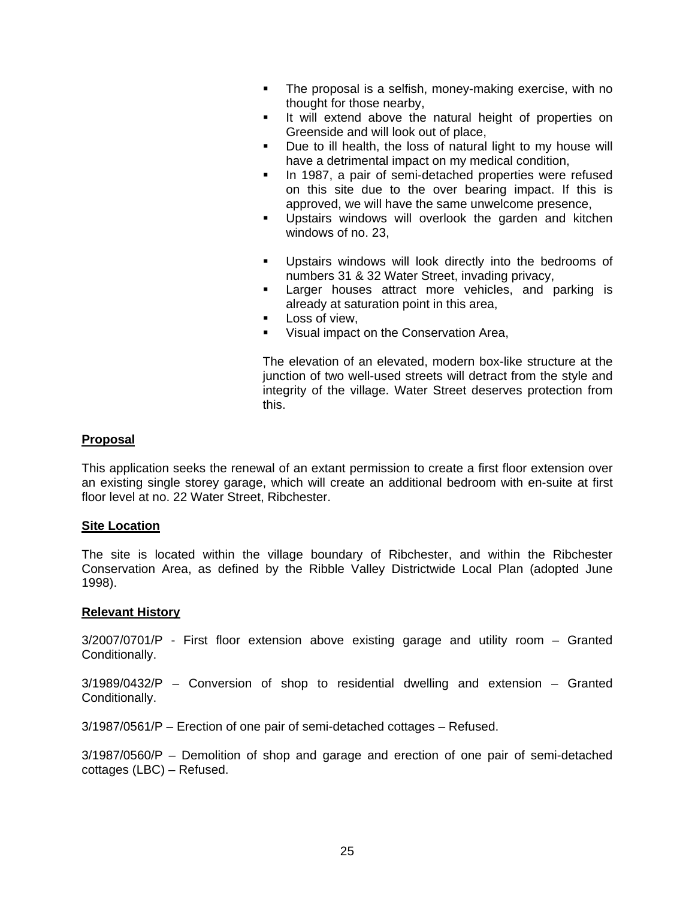- The proposal is a selfish, money-making exercise, with no thought for those nearby,
- It will extend above the natural height of properties on Greenside and will look out of place,
- **Due to ill health, the loss of natural light to my house will** have a detrimental impact on my medical condition,
- In 1987, a pair of semi-detached properties were refused on this site due to the over bearing impact. If this is approved, we will have the same unwelcome presence,
- Upstairs windows will overlook the garden and kitchen windows of no. 23,
- Upstairs windows will look directly into the bedrooms of numbers 31 & 32 Water Street, invading privacy,
- **EXECT** Larger houses attract more vehicles, and parking is already at saturation point in this area,
- Loss of view,
- Visual impact on the Conservation Area,

The elevation of an elevated, modern box-like structure at the junction of two well-used streets will detract from the style and integrity of the village. Water Street deserves protection from this.

#### **Proposal**

This application seeks the renewal of an extant permission to create a first floor extension over an existing single storey garage, which will create an additional bedroom with en-suite at first floor level at no. 22 Water Street, Ribchester.

#### **Site Location**

The site is located within the village boundary of Ribchester, and within the Ribchester Conservation Area, as defined by the Ribble Valley Districtwide Local Plan (adopted June 1998).

#### **Relevant History**

3/2007/0701/P - First floor extension above existing garage and utility room – Granted Conditionally.

3/1989/0432/P – Conversion of shop to residential dwelling and extension – Granted Conditionally.

3/1987/0561/P – Erection of one pair of semi-detached cottages – Refused.

3/1987/0560/P – Demolition of shop and garage and erection of one pair of semi-detached cottages (LBC) – Refused.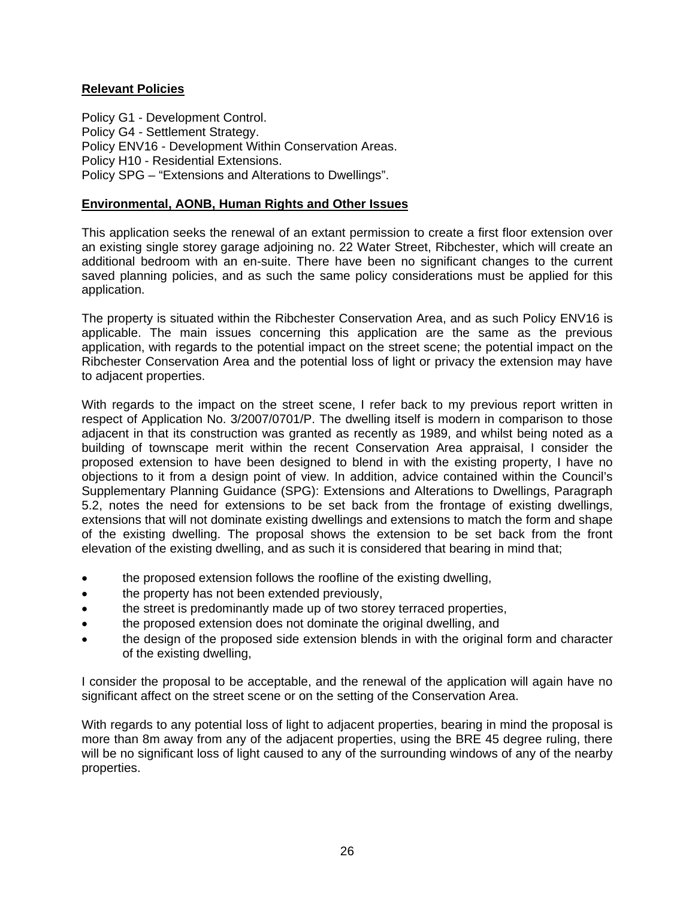### **Relevant Policies**

Policy G1 - Development Control. Policy G4 - Settlement Strategy. Policy ENV16 - Development Within Conservation Areas. Policy H10 - Residential Extensions. Policy SPG – "Extensions and Alterations to Dwellings".

#### **Environmental, AONB, Human Rights and Other Issues**

This application seeks the renewal of an extant permission to create a first floor extension over an existing single storey garage adjoining no. 22 Water Street, Ribchester, which will create an additional bedroom with an en-suite. There have been no significant changes to the current saved planning policies, and as such the same policy considerations must be applied for this application.

The property is situated within the Ribchester Conservation Area, and as such Policy ENV16 is applicable. The main issues concerning this application are the same as the previous application, with regards to the potential impact on the street scene; the potential impact on the Ribchester Conservation Area and the potential loss of light or privacy the extension may have to adjacent properties.

With regards to the impact on the street scene, I refer back to my previous report written in respect of Application No. 3/2007/0701/P. The dwelling itself is modern in comparison to those adjacent in that its construction was granted as recently as 1989, and whilst being noted as a building of townscape merit within the recent Conservation Area appraisal, I consider the proposed extension to have been designed to blend in with the existing property, I have no objections to it from a design point of view. In addition, advice contained within the Council's Supplementary Planning Guidance (SPG): Extensions and Alterations to Dwellings, Paragraph 5.2, notes the need for extensions to be set back from the frontage of existing dwellings, extensions that will not dominate existing dwellings and extensions to match the form and shape of the existing dwelling. The proposal shows the extension to be set back from the front elevation of the existing dwelling, and as such it is considered that bearing in mind that;

- the proposed extension follows the roofline of the existing dwelling,
- the property has not been extended previously,
- the street is predominantly made up of two storey terraced properties,
- the proposed extension does not dominate the original dwelling, and
- the design of the proposed side extension blends in with the original form and character of the existing dwelling,

I consider the proposal to be acceptable, and the renewal of the application will again have no significant affect on the street scene or on the setting of the Conservation Area.

With regards to any potential loss of light to adjacent properties, bearing in mind the proposal is more than 8m away from any of the adjacent properties, using the BRE 45 degree ruling, there will be no significant loss of light caused to any of the surrounding windows of any of the nearby properties.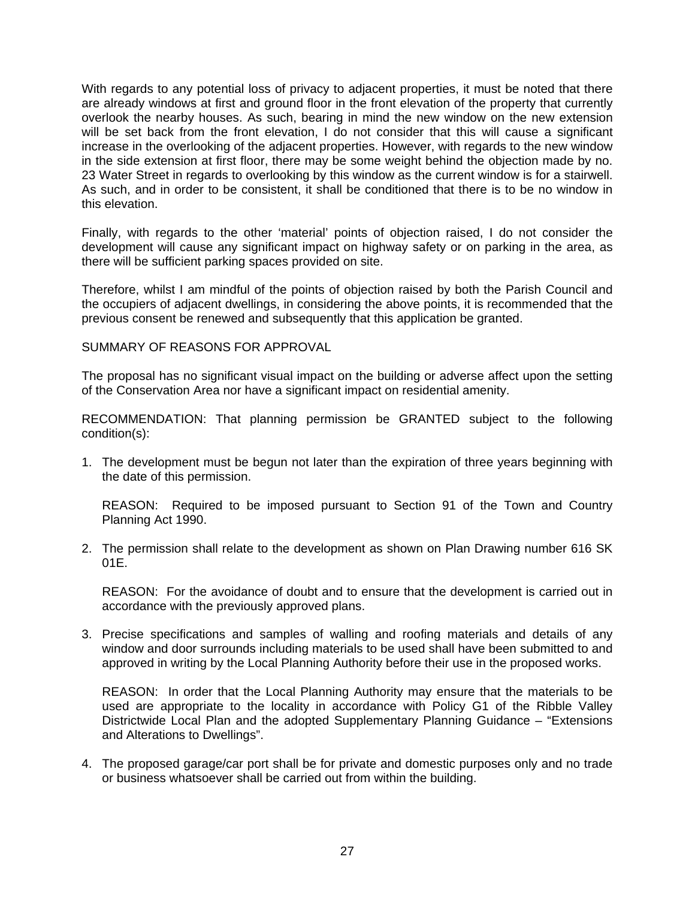With regards to any potential loss of privacy to adjacent properties, it must be noted that there are already windows at first and ground floor in the front elevation of the property that currently overlook the nearby houses. As such, bearing in mind the new window on the new extension will be set back from the front elevation, I do not consider that this will cause a significant increase in the overlooking of the adjacent properties. However, with regards to the new window in the side extension at first floor, there may be some weight behind the objection made by no. 23 Water Street in regards to overlooking by this window as the current window is for a stairwell. As such, and in order to be consistent, it shall be conditioned that there is to be no window in this elevation.

Finally, with regards to the other 'material' points of objection raised, I do not consider the development will cause any significant impact on highway safety or on parking in the area, as there will be sufficient parking spaces provided on site.

Therefore, whilst I am mindful of the points of objection raised by both the Parish Council and the occupiers of adjacent dwellings, in considering the above points, it is recommended that the previous consent be renewed and subsequently that this application be granted.

SUMMARY OF REASONS FOR APPROVAL

The proposal has no significant visual impact on the building or adverse affect upon the setting of the Conservation Area nor have a significant impact on residential amenity.

RECOMMENDATION: That planning permission be GRANTED subject to the following condition(s):

1. The development must be begun not later than the expiration of three years beginning with the date of this permission.

REASON: Required to be imposed pursuant to Section 91 of the Town and Country Planning Act 1990.

2. The permission shall relate to the development as shown on Plan Drawing number 616 SK 01E.

REASON: For the avoidance of doubt and to ensure that the development is carried out in accordance with the previously approved plans.

3. Precise specifications and samples of walling and roofing materials and details of any window and door surrounds including materials to be used shall have been submitted to and approved in writing by the Local Planning Authority before their use in the proposed works.

 REASON: In order that the Local Planning Authority may ensure that the materials to be used are appropriate to the locality in accordance with Policy G1 of the Ribble Valley Districtwide Local Plan and the adopted Supplementary Planning Guidance – "Extensions and Alterations to Dwellings".

4. The proposed garage/car port shall be for private and domestic purposes only and no trade or business whatsoever shall be carried out from within the building.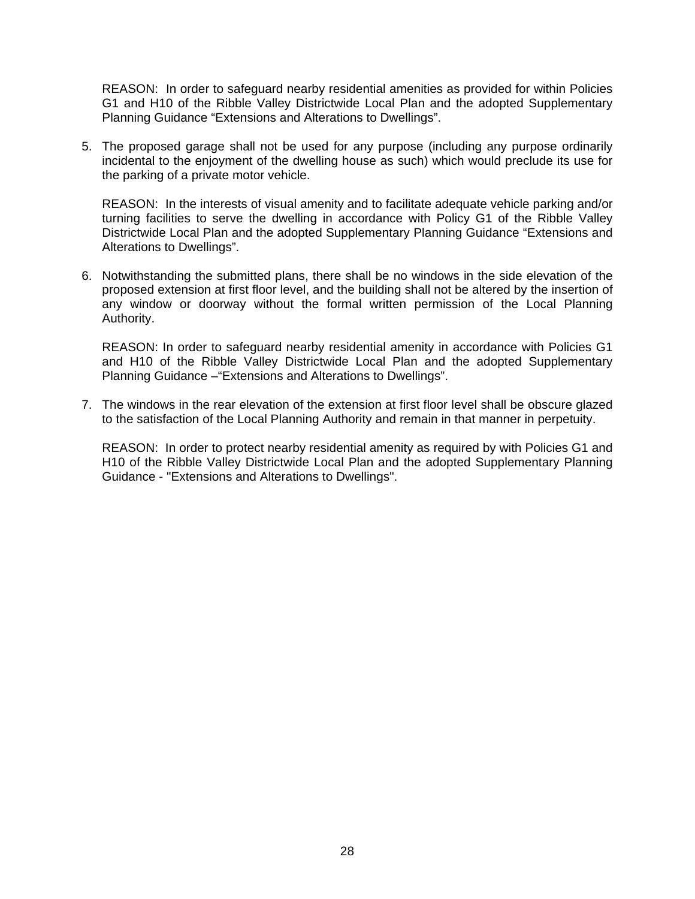REASON: In order to safeguard nearby residential amenities as provided for within Policies G1 and H10 of the Ribble Valley Districtwide Local Plan and the adopted Supplementary Planning Guidance "Extensions and Alterations to Dwellings".

5. The proposed garage shall not be used for any purpose (including any purpose ordinarily incidental to the enjoyment of the dwelling house as such) which would preclude its use for the parking of a private motor vehicle.

 REASON: In the interests of visual amenity and to facilitate adequate vehicle parking and/or turning facilities to serve the dwelling in accordance with Policy G1 of the Ribble Valley Districtwide Local Plan and the adopted Supplementary Planning Guidance "Extensions and Alterations to Dwellings".

6. Notwithstanding the submitted plans, there shall be no windows in the side elevation of the proposed extension at first floor level, and the building shall not be altered by the insertion of any window or doorway without the formal written permission of the Local Planning Authority.

 REASON: In order to safeguard nearby residential amenity in accordance with Policies G1 and H10 of the Ribble Valley Districtwide Local Plan and the adopted Supplementary Planning Guidance –"Extensions and Alterations to Dwellings".

7. The windows in the rear elevation of the extension at first floor level shall be obscure glazed to the satisfaction of the Local Planning Authority and remain in that manner in perpetuity.

 REASON: In order to protect nearby residential amenity as required by with Policies G1 and H10 of the Ribble Valley Districtwide Local Plan and the adopted Supplementary Planning Guidance - "Extensions and Alterations to Dwellings".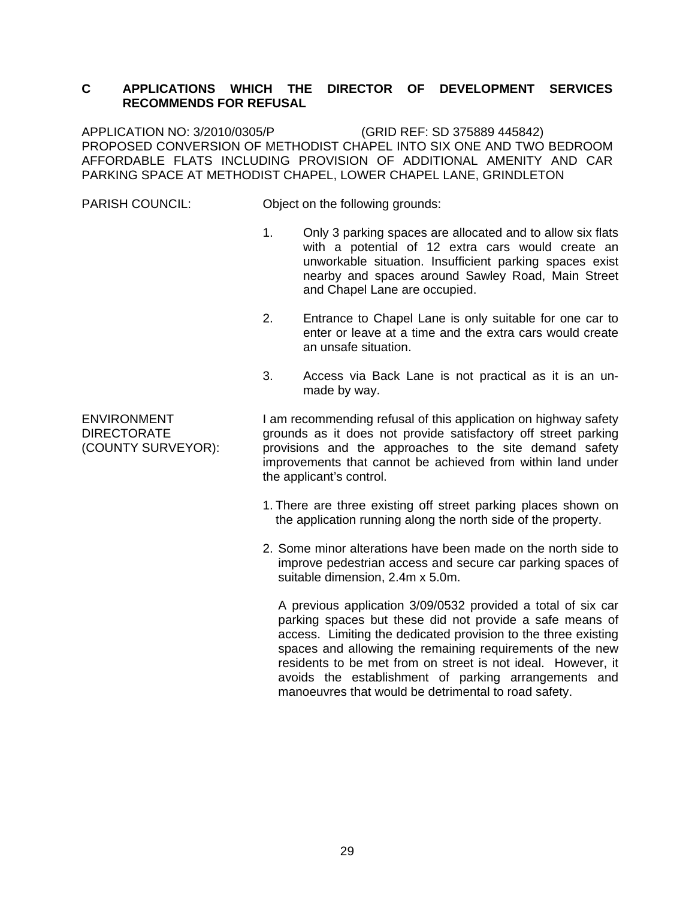#### **C APPLICATIONS WHICH THE DIRECTOR OF DEVELOPMENT SERVICES RECOMMENDS FOR REFUSAL**

APPLICATION NO: 3/2010/0305/P(GRID REF: SD 375889 445842) PROPOSED CONVERSION OF METHODIST CHAPEL INTO SIX ONE AND TWO BEDROOM AFFORDABLE FLATS INCLUDING PROVISION OF ADDITIONAL AMENITY AND CAR PARKING SPACE AT METHODIST CHAPEL, LOWER CHAPEL LANE, GRINDLETON

PARISH COUNCIL: Object on the following grounds:

- 1. Only 3 parking spaces are allocated and to allow six flats with a potential of 12 extra cars would create an unworkable situation. Insufficient parking spaces exist nearby and spaces around Sawley Road, Main Street and Chapel Lane are occupied.
- 2. Entrance to Chapel Lane is only suitable for one car to enter or leave at a time and the extra cars would create an unsafe situation.
- 3. Access via Back Lane is not practical as it is an unmade by way.

ENVIRONMENT **DIRECTORATE** (COUNTY SURVEYOR): I am recommending refusal of this application on highway safety grounds as it does not provide satisfactory off street parking provisions and the approaches to the site demand safety improvements that cannot be achieved from within land under the applicant's control.

- 1. There are three existing off street parking places shown on the application running along the north side of the property.
- 2. Some minor alterations have been made on the north side to improve pedestrian access and secure car parking spaces of suitable dimension, 2.4m x 5.0m.

 A previous application 3/09/0532 provided a total of six car parking spaces but these did not provide a safe means of access. Limiting the dedicated provision to the three existing spaces and allowing the remaining requirements of the new residents to be met from on street is not ideal. However, it avoids the establishment of parking arrangements and manoeuvres that would be detrimental to road safety.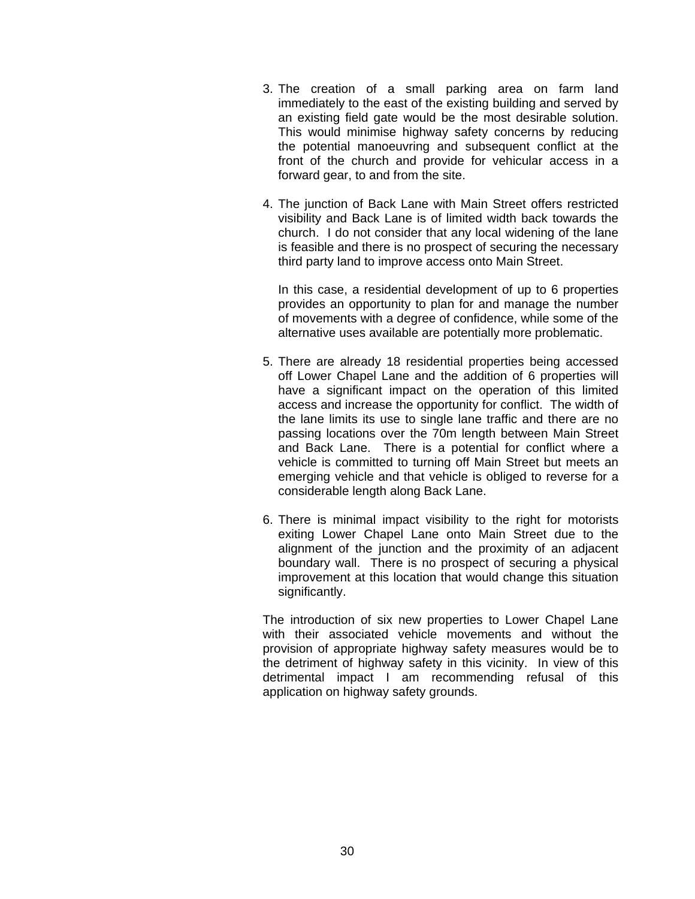- 3. The creation of a small parking area on farm land immediately to the east of the existing building and served by an existing field gate would be the most desirable solution. This would minimise highway safety concerns by reducing the potential manoeuvring and subsequent conflict at the front of the church and provide for vehicular access in a forward gear, to and from the site.
- 4. The junction of Back Lane with Main Street offers restricted visibility and Back Lane is of limited width back towards the church. I do not consider that any local widening of the lane is feasible and there is no prospect of securing the necessary third party land to improve access onto Main Street.

 In this case, a residential development of up to 6 properties provides an opportunity to plan for and manage the number of movements with a degree of confidence, while some of the alternative uses available are potentially more problematic.

- 5. There are already 18 residential properties being accessed off Lower Chapel Lane and the addition of 6 properties will have a significant impact on the operation of this limited access and increase the opportunity for conflict. The width of the lane limits its use to single lane traffic and there are no passing locations over the 70m length between Main Street and Back Lane. There is a potential for conflict where a vehicle is committed to turning off Main Street but meets an emerging vehicle and that vehicle is obliged to reverse for a considerable length along Back Lane.
- 6. There is minimal impact visibility to the right for motorists exiting Lower Chapel Lane onto Main Street due to the alignment of the junction and the proximity of an adjacent boundary wall. There is no prospect of securing a physical improvement at this location that would change this situation significantly.

The introduction of six new properties to Lower Chapel Lane with their associated vehicle movements and without the provision of appropriate highway safety measures would be to the detriment of highway safety in this vicinity. In view of this detrimental impact I am recommending refusal of this application on highway safety grounds.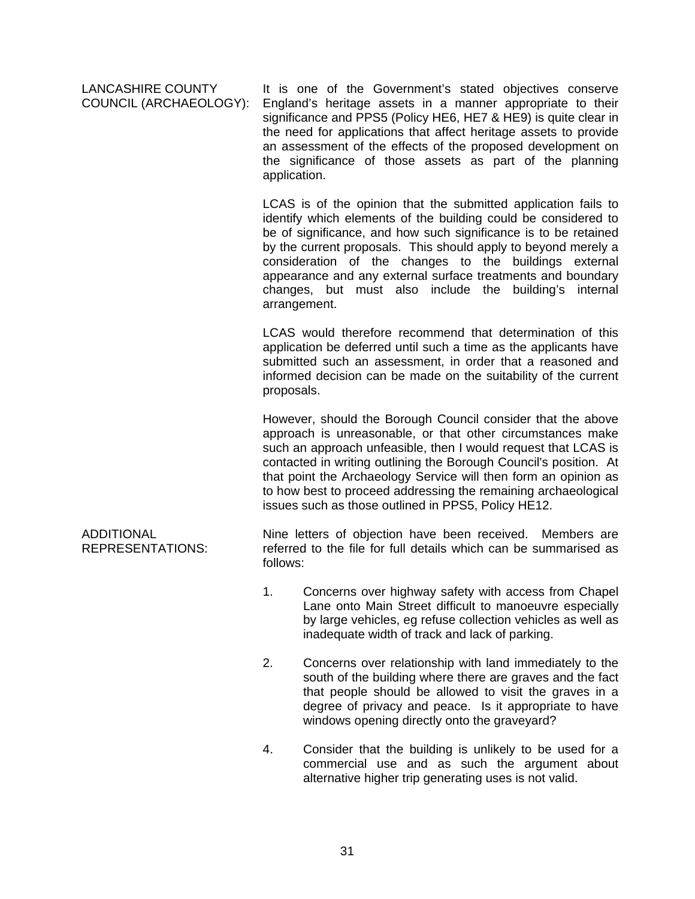LANCASHIRE COUNTY COUNCIL (ARCHAEOLOGY):

It is one of the Government's stated objectives conserve England's heritage assets in a manner appropriate to their significance and PPS5 (Policy HE6, HE7 & HE9) is quite clear in the need for applications that affect heritage assets to provide an assessment of the effects of the proposed development on the significance of those assets as part of the planning application.

LCAS is of the opinion that the submitted application fails to identify which elements of the building could be considered to be of significance, and how such significance is to be retained by the current proposals. This should apply to beyond merely a consideration of the changes to the buildings external appearance and any external surface treatments and boundary changes, but must also include the building's internal arrangement.

LCAS would therefore recommend that determination of this application be deferred until such a time as the applicants have submitted such an assessment, in order that a reasoned and informed decision can be made on the suitability of the current proposals.

However, should the Borough Council consider that the above approach is unreasonable, or that other circumstances make such an approach unfeasible, then I would request that LCAS is contacted in writing outlining the Borough Council's position. At that point the Archaeology Service will then form an opinion as to how best to proceed addressing the remaining archaeological issues such as those outlined in PPS5, Policy HE12.

Nine letters of objection have been received. Members are referred to the file for full details which can be summarised as follows:

- 1. Concerns over highway safety with access from Chapel Lane onto Main Street difficult to manoeuvre especially by large vehicles, eg refuse collection vehicles as well as inadequate width of track and lack of parking.
- 2. Concerns over relationship with land immediately to the south of the building where there are graves and the fact that people should be allowed to visit the graves in a degree of privacy and peace. Is it appropriate to have windows opening directly onto the graveyard?
- 4. Consider that the building is unlikely to be used for a commercial use and as such the argument about alternative higher trip generating uses is not valid.

ADDITIONAL REPRESENTATIONS: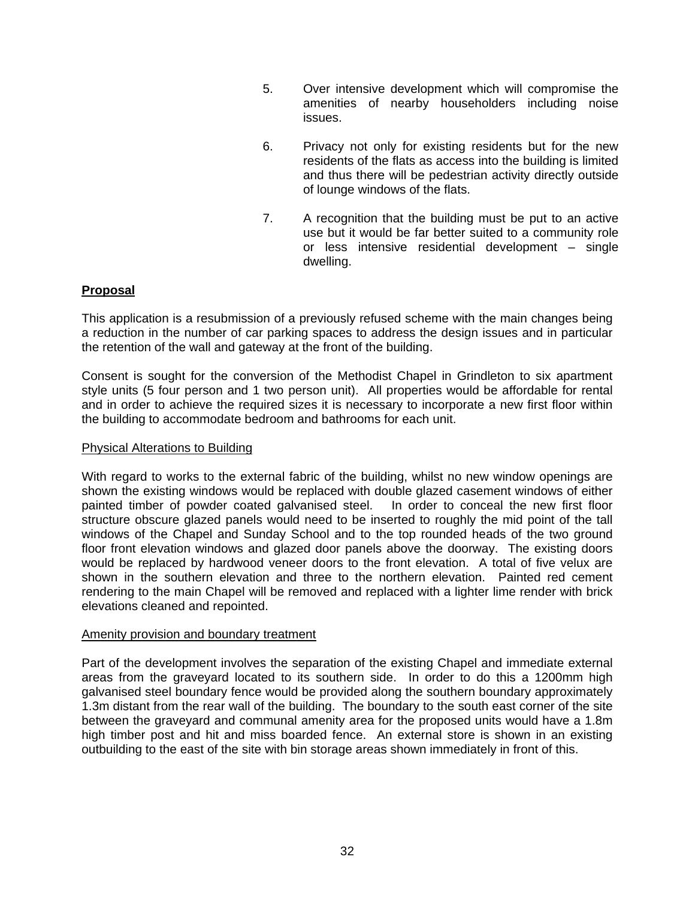- 5. Over intensive development which will compromise the amenities of nearby householders including noise issues.
- 6. Privacy not only for existing residents but for the new residents of the flats as access into the building is limited and thus there will be pedestrian activity directly outside of lounge windows of the flats.
- 7. A recognition that the building must be put to an active use but it would be far better suited to a community role or less intensive residential development – single dwelling.

### **Proposal**

This application is a resubmission of a previously refused scheme with the main changes being a reduction in the number of car parking spaces to address the design issues and in particular the retention of the wall and gateway at the front of the building.

Consent is sought for the conversion of the Methodist Chapel in Grindleton to six apartment style units (5 four person and 1 two person unit). All properties would be affordable for rental and in order to achieve the required sizes it is necessary to incorporate a new first floor within the building to accommodate bedroom and bathrooms for each unit.

#### Physical Alterations to Building

With regard to works to the external fabric of the building, whilst no new window openings are shown the existing windows would be replaced with double glazed casement windows of either painted timber of powder coated galvanised steel. In order to conceal the new first floor structure obscure glazed panels would need to be inserted to roughly the mid point of the tall windows of the Chapel and Sunday School and to the top rounded heads of the two ground floor front elevation windows and glazed door panels above the doorway. The existing doors would be replaced by hardwood veneer doors to the front elevation. A total of five velux are shown in the southern elevation and three to the northern elevation. Painted red cement rendering to the main Chapel will be removed and replaced with a lighter lime render with brick elevations cleaned and repointed.

#### Amenity provision and boundary treatment

Part of the development involves the separation of the existing Chapel and immediate external areas from the graveyard located to its southern side. In order to do this a 1200mm high galvanised steel boundary fence would be provided along the southern boundary approximately 1.3m distant from the rear wall of the building. The boundary to the south east corner of the site between the graveyard and communal amenity area for the proposed units would have a 1.8m high timber post and hit and miss boarded fence. An external store is shown in an existing outbuilding to the east of the site with bin storage areas shown immediately in front of this.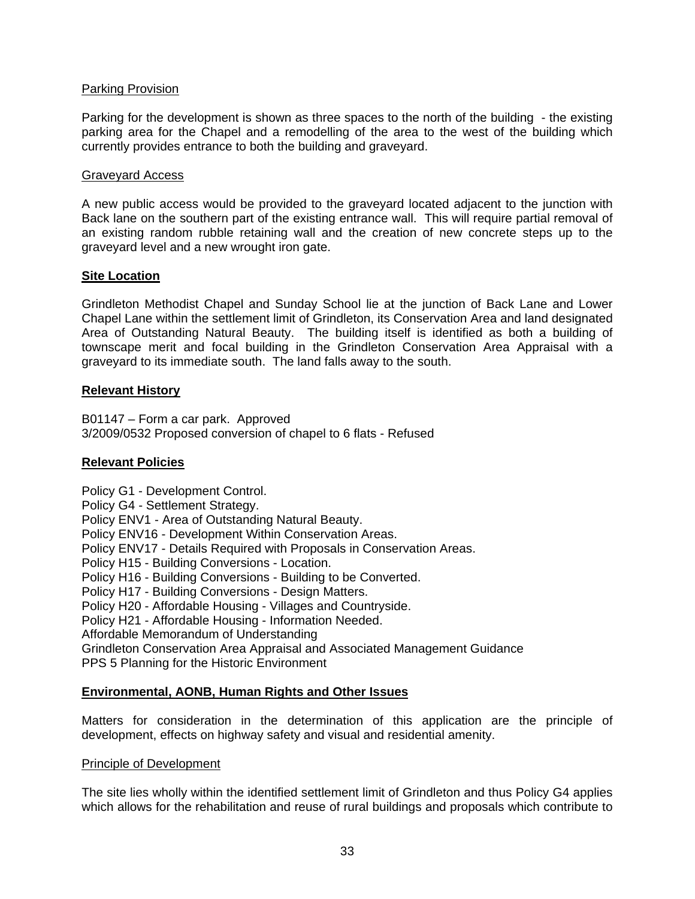#### Parking Provision

Parking for the development is shown as three spaces to the north of the building - the existing parking area for the Chapel and a remodelling of the area to the west of the building which currently provides entrance to both the building and graveyard.

#### Graveyard Access

A new public access would be provided to the graveyard located adjacent to the junction with Back lane on the southern part of the existing entrance wall. This will require partial removal of an existing random rubble retaining wall and the creation of new concrete steps up to the graveyard level and a new wrought iron gate.

#### **Site Location**

Grindleton Methodist Chapel and Sunday School lie at the junction of Back Lane and Lower Chapel Lane within the settlement limit of Grindleton, its Conservation Area and land designated Area of Outstanding Natural Beauty. The building itself is identified as both a building of townscape merit and focal building in the Grindleton Conservation Area Appraisal with a graveyard to its immediate south. The land falls away to the south.

#### **Relevant History**

B01147 – Form a car park. Approved 3/2009/0532 Proposed conversion of chapel to 6 flats - Refused

#### **Relevant Policies**

Policy G1 - Development Control. Policy G4 - Settlement Strategy. Policy ENV1 - Area of Outstanding Natural Beauty. Policy ENV16 - Development Within Conservation Areas. Policy ENV17 - Details Required with Proposals in Conservation Areas. Policy H15 - Building Conversions - Location. Policy H16 - Building Conversions - Building to be Converted. Policy H17 - Building Conversions - Design Matters. Policy H20 - Affordable Housing - Villages and Countryside. Policy H21 - Affordable Housing - Information Needed. Affordable Memorandum of Understanding Grindleton Conservation Area Appraisal and Associated Management Guidance PPS 5 Planning for the Historic Environment

#### **Environmental, AONB, Human Rights and Other Issues**

Matters for consideration in the determination of this application are the principle of development, effects on highway safety and visual and residential amenity.

#### Principle of Development

The site lies wholly within the identified settlement limit of Grindleton and thus Policy G4 applies which allows for the rehabilitation and reuse of rural buildings and proposals which contribute to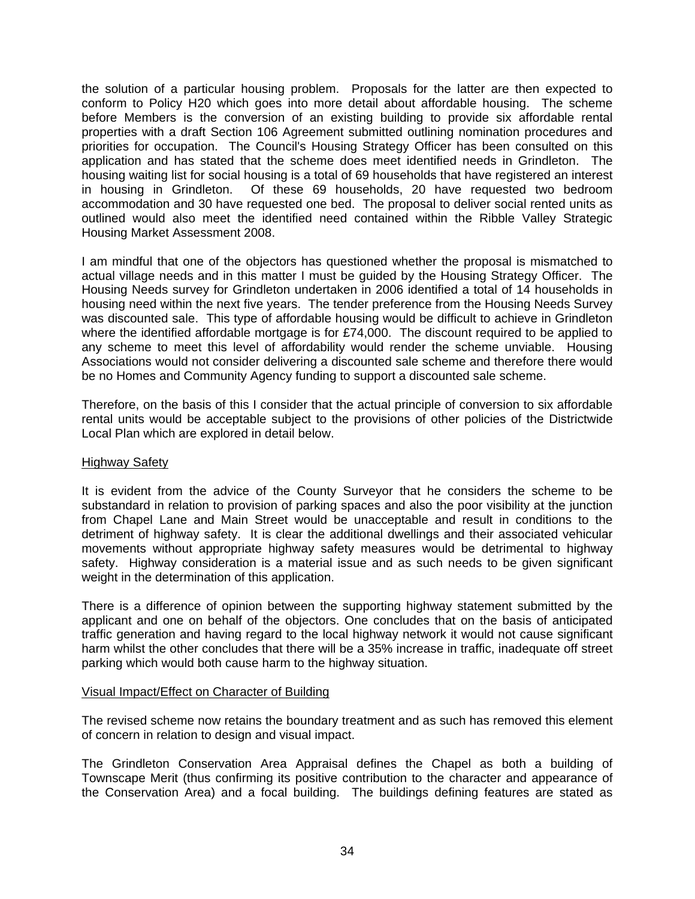the solution of a particular housing problem. Proposals for the latter are then expected to conform to Policy H20 which goes into more detail about affordable housing. The scheme before Members is the conversion of an existing building to provide six affordable rental properties with a draft Section 106 Agreement submitted outlining nomination procedures and priorities for occupation. The Council's Housing Strategy Officer has been consulted on this application and has stated that the scheme does meet identified needs in Grindleton. The housing waiting list for social housing is a total of 69 households that have registered an interest in housing in Grindleton. Of these 69 households, 20 have requested two bedroom accommodation and 30 have requested one bed. The proposal to deliver social rented units as outlined would also meet the identified need contained within the Ribble Valley Strategic Housing Market Assessment 2008.

I am mindful that one of the objectors has questioned whether the proposal is mismatched to actual village needs and in this matter I must be guided by the Housing Strategy Officer. The Housing Needs survey for Grindleton undertaken in 2006 identified a total of 14 households in housing need within the next five years. The tender preference from the Housing Needs Survey was discounted sale. This type of affordable housing would be difficult to achieve in Grindleton where the identified affordable mortgage is for £74,000. The discount required to be applied to any scheme to meet this level of affordability would render the scheme unviable. Housing Associations would not consider delivering a discounted sale scheme and therefore there would be no Homes and Community Agency funding to support a discounted sale scheme.

Therefore, on the basis of this I consider that the actual principle of conversion to six affordable rental units would be acceptable subject to the provisions of other policies of the Districtwide Local Plan which are explored in detail below.

#### **Highway Safety**

It is evident from the advice of the County Surveyor that he considers the scheme to be substandard in relation to provision of parking spaces and also the poor visibility at the junction from Chapel Lane and Main Street would be unacceptable and result in conditions to the detriment of highway safety. It is clear the additional dwellings and their associated vehicular movements without appropriate highway safety measures would be detrimental to highway safety. Highway consideration is a material issue and as such needs to be given significant weight in the determination of this application.

There is a difference of opinion between the supporting highway statement submitted by the applicant and one on behalf of the objectors. One concludes that on the basis of anticipated traffic generation and having regard to the local highway network it would not cause significant harm whilst the other concludes that there will be a 35% increase in traffic, inadequate off street parking which would both cause harm to the highway situation.

#### Visual Impact/Effect on Character of Building

The revised scheme now retains the boundary treatment and as such has removed this element of concern in relation to design and visual impact.

The Grindleton Conservation Area Appraisal defines the Chapel as both a building of Townscape Merit (thus confirming its positive contribution to the character and appearance of the Conservation Area) and a focal building. The buildings defining features are stated as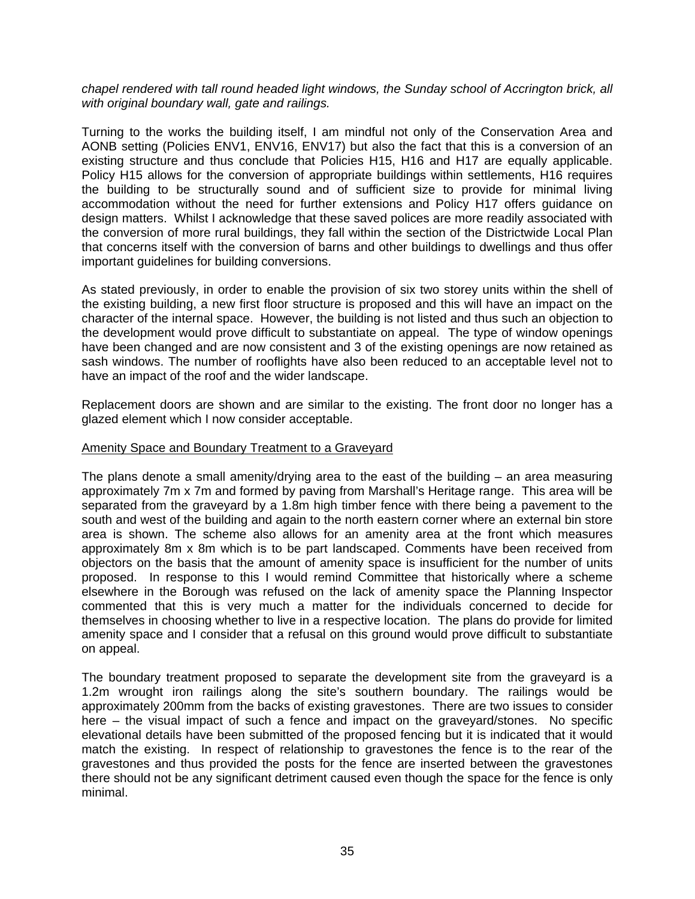#### *chapel rendered with tall round headed light windows, the Sunday school of Accrington brick, all with original boundary wall, gate and railings.*

Turning to the works the building itself, I am mindful not only of the Conservation Area and AONB setting (Policies ENV1, ENV16, ENV17) but also the fact that this is a conversion of an existing structure and thus conclude that Policies H15, H16 and H17 are equally applicable. Policy H15 allows for the conversion of appropriate buildings within settlements, H16 requires the building to be structurally sound and of sufficient size to provide for minimal living accommodation without the need for further extensions and Policy H17 offers guidance on design matters. Whilst I acknowledge that these saved polices are more readily associated with the conversion of more rural buildings, they fall within the section of the Districtwide Local Plan that concerns itself with the conversion of barns and other buildings to dwellings and thus offer important guidelines for building conversions.

As stated previously, in order to enable the provision of six two storey units within the shell of the existing building, a new first floor structure is proposed and this will have an impact on the character of the internal space. However, the building is not listed and thus such an objection to the development would prove difficult to substantiate on appeal. The type of window openings have been changed and are now consistent and 3 of the existing openings are now retained as sash windows. The number of rooflights have also been reduced to an acceptable level not to have an impact of the roof and the wider landscape.

Replacement doors are shown and are similar to the existing. The front door no longer has a glazed element which I now consider acceptable.

#### Amenity Space and Boundary Treatment to a Graveyard

The plans denote a small amenity/drying area to the east of the building – an area measuring approximately 7m x 7m and formed by paving from Marshall's Heritage range. This area will be separated from the graveyard by a 1.8m high timber fence with there being a pavement to the south and west of the building and again to the north eastern corner where an external bin store area is shown. The scheme also allows for an amenity area at the front which measures approximately 8m x 8m which is to be part landscaped. Comments have been received from objectors on the basis that the amount of amenity space is insufficient for the number of units proposed. In response to this I would remind Committee that historically where a scheme elsewhere in the Borough was refused on the lack of amenity space the Planning Inspector commented that this is very much a matter for the individuals concerned to decide for themselves in choosing whether to live in a respective location. The plans do provide for limited amenity space and I consider that a refusal on this ground would prove difficult to substantiate on appeal.

The boundary treatment proposed to separate the development site from the graveyard is a 1.2m wrought iron railings along the site's southern boundary. The railings would be approximately 200mm from the backs of existing gravestones. There are two issues to consider here – the visual impact of such a fence and impact on the graveyard/stones. No specific elevational details have been submitted of the proposed fencing but it is indicated that it would match the existing. In respect of relationship to gravestones the fence is to the rear of the gravestones and thus provided the posts for the fence are inserted between the gravestones there should not be any significant detriment caused even though the space for the fence is only minimal.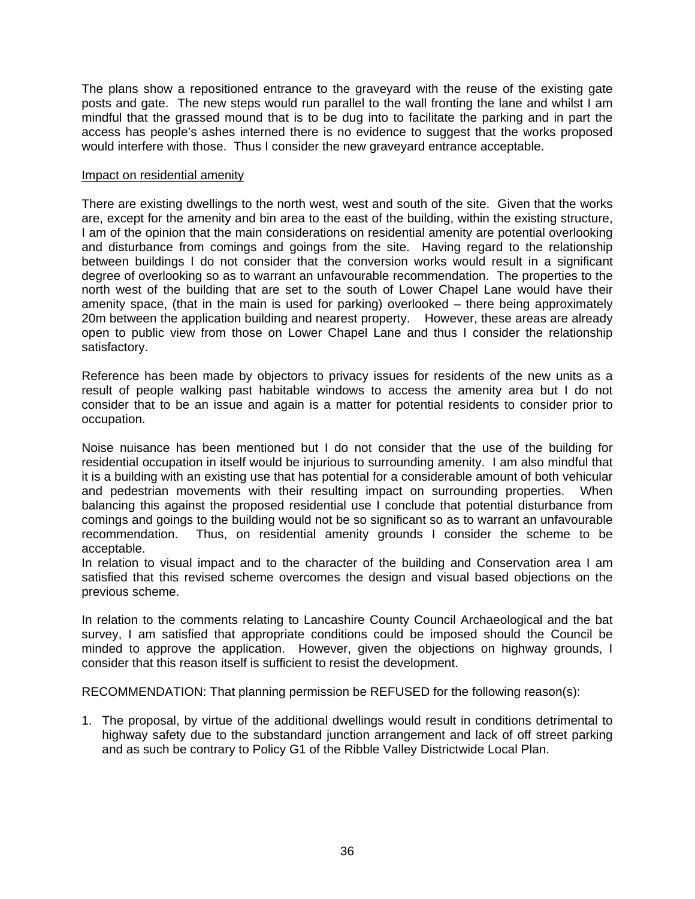The plans show a repositioned entrance to the graveyard with the reuse of the existing gate posts and gate. The new steps would run parallel to the wall fronting the lane and whilst I am mindful that the grassed mound that is to be dug into to facilitate the parking and in part the access has people's ashes interned there is no evidence to suggest that the works proposed would interfere with those. Thus I consider the new graveyard entrance acceptable.

#### Impact on residential amenity

There are existing dwellings to the north west, west and south of the site. Given that the works are, except for the amenity and bin area to the east of the building, within the existing structure, I am of the opinion that the main considerations on residential amenity are potential overlooking and disturbance from comings and goings from the site. Having regard to the relationship between buildings I do not consider that the conversion works would result in a significant degree of overlooking so as to warrant an unfavourable recommendation. The properties to the north west of the building that are set to the south of Lower Chapel Lane would have their amenity space, (that in the main is used for parking) overlooked – there being approximately 20m between the application building and nearest property. However, these areas are already open to public view from those on Lower Chapel Lane and thus I consider the relationship satisfactory.

Reference has been made by objectors to privacy issues for residents of the new units as a result of people walking past habitable windows to access the amenity area but I do not consider that to be an issue and again is a matter for potential residents to consider prior to occupation.

Noise nuisance has been mentioned but I do not consider that the use of the building for residential occupation in itself would be injurious to surrounding amenity. I am also mindful that it is a building with an existing use that has potential for a considerable amount of both vehicular and pedestrian movements with their resulting impact on surrounding properties. When balancing this against the proposed residential use I conclude that potential disturbance from comings and goings to the building would not be so significant so as to warrant an unfavourable recommendation. Thus, on residential amenity grounds I consider the scheme to be acceptable.

In relation to visual impact and to the character of the building and Conservation area I am satisfied that this revised scheme overcomes the design and visual based objections on the previous scheme.

In relation to the comments relating to Lancashire County Council Archaeological and the bat survey, I am satisfied that appropriate conditions could be imposed should the Council be minded to approve the application. However, given the objections on highway grounds, I consider that this reason itself is sufficient to resist the development.

RECOMMENDATION: That planning permission be REFUSED for the following reason(s):

1. The proposal, by virtue of the additional dwellings would result in conditions detrimental to highway safety due to the substandard junction arrangement and lack of off street parking and as such be contrary to Policy G1 of the Ribble Valley Districtwide Local Plan.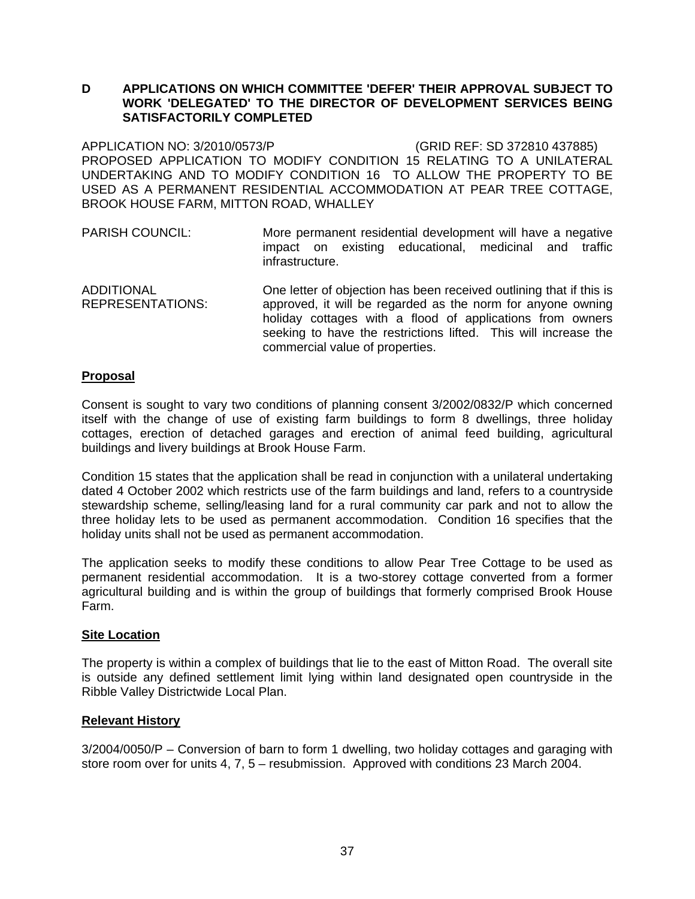#### **D APPLICATIONS ON WHICH COMMITTEE 'DEFER' THEIR APPROVAL SUBJECT TO WORK 'DELEGATED' TO THE DIRECTOR OF DEVELOPMENT SERVICES BEING SATISFACTORILY COMPLETED**

APPLICATION NO: 3/2010/0573/P (GRID REF: SD 372810 437885) PROPOSED APPLICATION TO MODIFY CONDITION 15 RELATING TO A UNILATERAL UNDERTAKING AND TO MODIFY CONDITION 16 TO ALLOW THE PROPERTY TO BE USED AS A PERMANENT RESIDENTIAL ACCOMMODATION AT PEAR TREE COTTAGE, BROOK HOUSE FARM, MITTON ROAD, WHALLEY

- PARISH COUNCIL: More permanent residential development will have a negative impact on existing educational, medicinal and traffic infrastructure.
- ADDITIONAL REPRESENTATIONS: One letter of objection has been received outlining that if this is approved, it will be regarded as the norm for anyone owning holiday cottages with a flood of applications from owners seeking to have the restrictions lifted. This will increase the commercial value of properties.

#### **Proposal**

Consent is sought to vary two conditions of planning consent 3/2002/0832/P which concerned itself with the change of use of existing farm buildings to form 8 dwellings, three holiday cottages, erection of detached garages and erection of animal feed building, agricultural buildings and livery buildings at Brook House Farm.

Condition 15 states that the application shall be read in conjunction with a unilateral undertaking dated 4 October 2002 which restricts use of the farm buildings and land, refers to a countryside stewardship scheme, selling/leasing land for a rural community car park and not to allow the three holiday lets to be used as permanent accommodation. Condition 16 specifies that the holiday units shall not be used as permanent accommodation.

The application seeks to modify these conditions to allow Pear Tree Cottage to be used as permanent residential accommodation. It is a two-storey cottage converted from a former agricultural building and is within the group of buildings that formerly comprised Brook House Farm.

### **Site Location**

The property is within a complex of buildings that lie to the east of Mitton Road. The overall site is outside any defined settlement limit lying within land designated open countryside in the Ribble Valley Districtwide Local Plan.

#### **Relevant History**

3/2004/0050/P – Conversion of barn to form 1 dwelling, two holiday cottages and garaging with store room over for units 4, 7, 5 – resubmission. Approved with conditions 23 March 2004.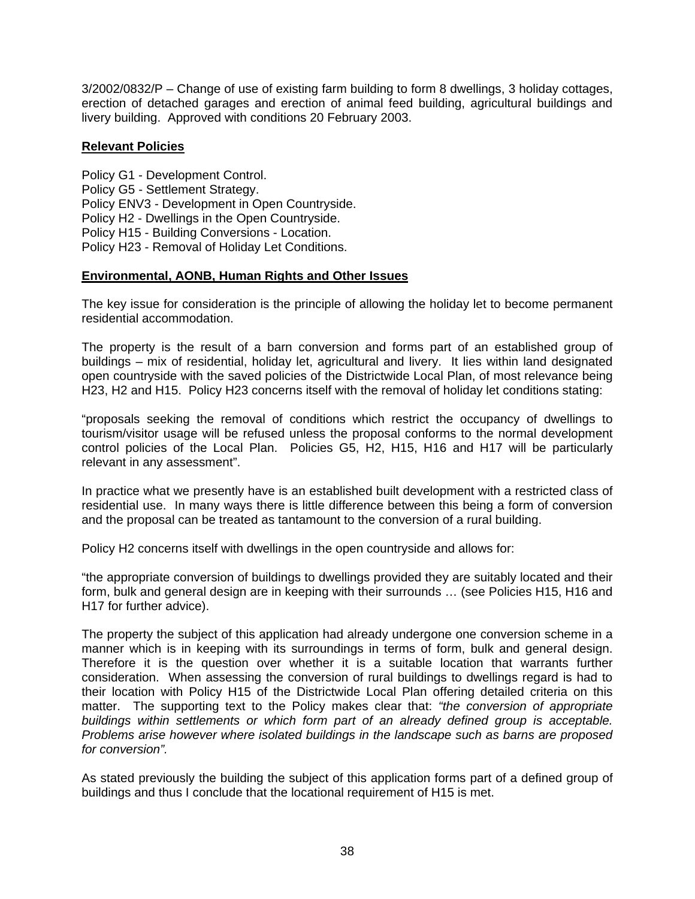3/2002/0832/P – Change of use of existing farm building to form 8 dwellings, 3 holiday cottages, erection of detached garages and erection of animal feed building, agricultural buildings and livery building. Approved with conditions 20 February 2003.

#### **Relevant Policies**

Policy G1 - Development Control. Policy G5 - Settlement Strategy. Policy ENV3 - Development in Open Countryside. Policy H2 - Dwellings in the Open Countryside. Policy H15 - Building Conversions - Location. Policy H23 - Removal of Holiday Let Conditions.

### **Environmental, AONB, Human Rights and Other Issues**

The key issue for consideration is the principle of allowing the holiday let to become permanent residential accommodation.

The property is the result of a barn conversion and forms part of an established group of buildings – mix of residential, holiday let, agricultural and livery. It lies within land designated open countryside with the saved policies of the Districtwide Local Plan, of most relevance being H23, H2 and H15. Policy H23 concerns itself with the removal of holiday let conditions stating:

"proposals seeking the removal of conditions which restrict the occupancy of dwellings to tourism/visitor usage will be refused unless the proposal conforms to the normal development control policies of the Local Plan. Policies G5, H2, H15, H16 and H17 will be particularly relevant in any assessment".

In practice what we presently have is an established built development with a restricted class of residential use. In many ways there is little difference between this being a form of conversion and the proposal can be treated as tantamount to the conversion of a rural building.

Policy H2 concerns itself with dwellings in the open countryside and allows for:

"the appropriate conversion of buildings to dwellings provided they are suitably located and their form, bulk and general design are in keeping with their surrounds … (see Policies H15, H16 and H17 for further advice).

The property the subject of this application had already undergone one conversion scheme in a manner which is in keeping with its surroundings in terms of form, bulk and general design. Therefore it is the question over whether it is a suitable location that warrants further consideration. When assessing the conversion of rural buildings to dwellings regard is had to their location with Policy H15 of the Districtwide Local Plan offering detailed criteria on this matter. The supporting text to the Policy makes clear that: *"the conversion of appropriate buildings within settlements or which form part of an already defined group is acceptable. Problems arise however where isolated buildings in the landscape such as barns are proposed for conversion".*

As stated previously the building the subject of this application forms part of a defined group of buildings and thus I conclude that the locational requirement of H15 is met.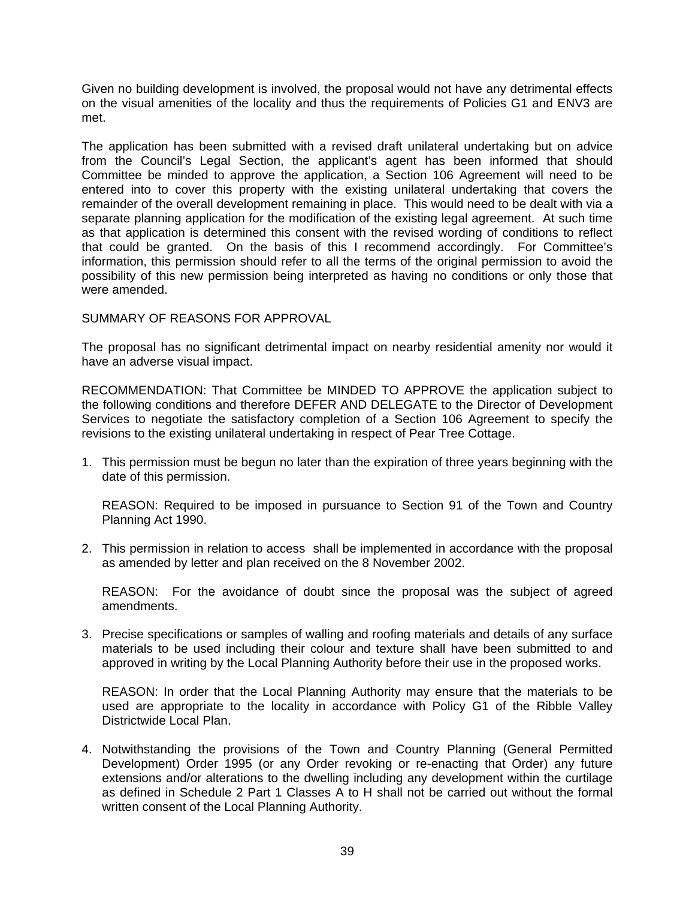Given no building development is involved, the proposal would not have any detrimental effects on the visual amenities of the locality and thus the requirements of Policies G1 and ENV3 are met.

The application has been submitted with a revised draft unilateral undertaking but on advice from the Council's Legal Section, the applicant's agent has been informed that should Committee be minded to approve the application, a Section 106 Agreement will need to be entered into to cover this property with the existing unilateral undertaking that covers the remainder of the overall development remaining in place. This would need to be dealt with via a separate planning application for the modification of the existing legal agreement. At such time as that application is determined this consent with the revised wording of conditions to reflect that could be granted. On the basis of this I recommend accordingly. For Committee's information, this permission should refer to all the terms of the original permission to avoid the possibility of this new permission being interpreted as having no conditions or only those that were amended.

#### SUMMARY OF REASONS FOR APPROVAL

The proposal has no significant detrimental impact on nearby residential amenity nor would it have an adverse visual impact.

RECOMMENDATION: That Committee be MINDED TO APPROVE the application subject to the following conditions and therefore DEFER AND DELEGATE to the Director of Development Services to negotiate the satisfactory completion of a Section 106 Agreement to specify the revisions to the existing unilateral undertaking in respect of Pear Tree Cottage.

1. This permission must be begun no later than the expiration of three years beginning with the date of this permission.

 REASON: Required to be imposed in pursuance to Section 91 of the Town and Country Planning Act 1990.

2. This permission in relation to access shall be implemented in accordance with the proposal as amended by letter and plan received on the 8 November 2002.

 REASON: For the avoidance of doubt since the proposal was the subject of agreed amendments.

3. Precise specifications or samples of walling and roofing materials and details of any surface materials to be used including their colour and texture shall have been submitted to and approved in writing by the Local Planning Authority before their use in the proposed works.

 REASON: In order that the Local Planning Authority may ensure that the materials to be used are appropriate to the locality in accordance with Policy G1 of the Ribble Valley Districtwide Local Plan.

4. Notwithstanding the provisions of the Town and Country Planning (General Permitted Development) Order 1995 (or any Order revoking or re-enacting that Order) any future extensions and/or alterations to the dwelling including any development within the curtilage as defined in Schedule 2 Part 1 Classes A to H shall not be carried out without the formal written consent of the Local Planning Authority.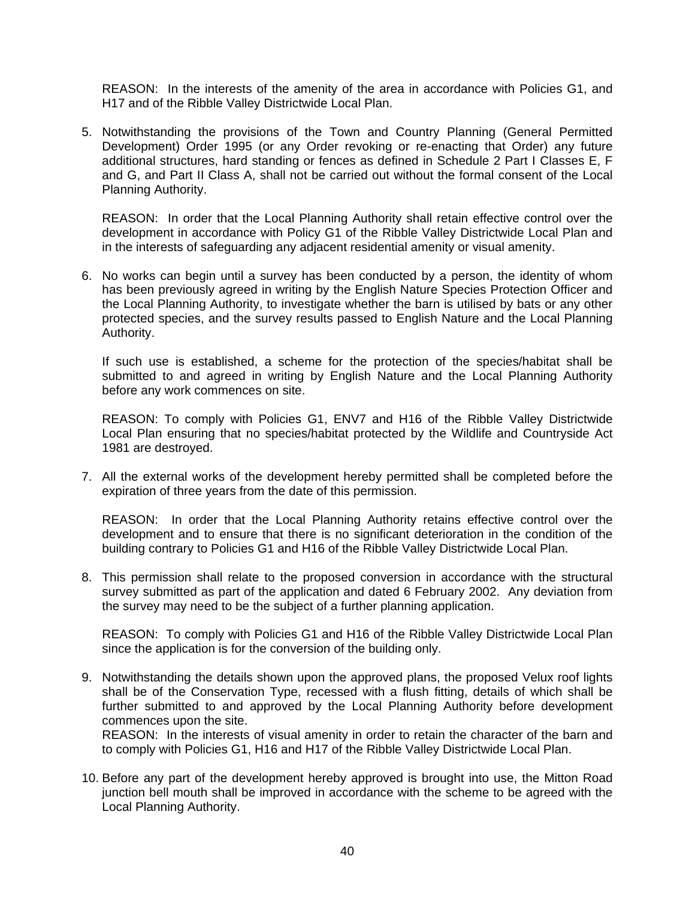REASON: In the interests of the amenity of the area in accordance with Policies G1, and H17 and of the Ribble Valley Districtwide Local Plan.

5. Notwithstanding the provisions of the Town and Country Planning (General Permitted Development) Order 1995 (or any Order revoking or re-enacting that Order) any future additional structures, hard standing or fences as defined in Schedule 2 Part I Classes E, F and G, and Part II Class A, shall not be carried out without the formal consent of the Local Planning Authority.

 REASON: In order that the Local Planning Authority shall retain effective control over the development in accordance with Policy G1 of the Ribble Valley Districtwide Local Plan and in the interests of safeguarding any adjacent residential amenity or visual amenity.

6. No works can begin until a survey has been conducted by a person, the identity of whom has been previously agreed in writing by the English Nature Species Protection Officer and the Local Planning Authority, to investigate whether the barn is utilised by bats or any other protected species, and the survey results passed to English Nature and the Local Planning Authority.

 If such use is established, a scheme for the protection of the species/habitat shall be submitted to and agreed in writing by English Nature and the Local Planning Authority before any work commences on site.

 REASON: To comply with Policies G1, ENV7 and H16 of the Ribble Valley Districtwide Local Plan ensuring that no species/habitat protected by the Wildlife and Countryside Act 1981 are destroyed.

7. All the external works of the development hereby permitted shall be completed before the expiration of three years from the date of this permission.

 REASON: In order that the Local Planning Authority retains effective control over the development and to ensure that there is no significant deterioration in the condition of the building contrary to Policies G1 and H16 of the Ribble Valley Districtwide Local Plan.

8. This permission shall relate to the proposed conversion in accordance with the structural survey submitted as part of the application and dated 6 February 2002. Any deviation from the survey may need to be the subject of a further planning application.

 REASON: To comply with Policies G1 and H16 of the Ribble Valley Districtwide Local Plan since the application is for the conversion of the building only.

9. Notwithstanding the details shown upon the approved plans, the proposed Velux roof lights shall be of the Conservation Type, recessed with a flush fitting, details of which shall be further submitted to and approved by the Local Planning Authority before development commences upon the site. REASON: In the interests of visual amenity in order to retain the character of the barn and

to comply with Policies G1, H16 and H17 of the Ribble Valley Districtwide Local Plan.

10. Before any part of the development hereby approved is brought into use, the Mitton Road junction bell mouth shall be improved in accordance with the scheme to be agreed with the Local Planning Authority.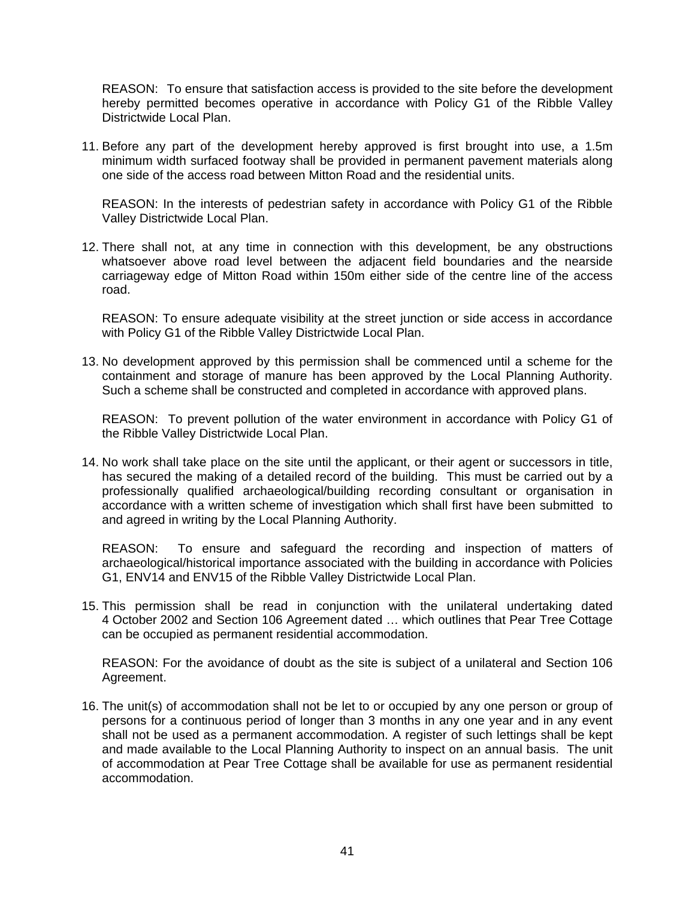REASON: To ensure that satisfaction access is provided to the site before the development hereby permitted becomes operative in accordance with Policy G1 of the Ribble Valley Districtwide Local Plan.

11. Before any part of the development hereby approved is first brought into use, a 1.5m minimum width surfaced footway shall be provided in permanent pavement materials along one side of the access road between Mitton Road and the residential units.

 REASON: In the interests of pedestrian safety in accordance with Policy G1 of the Ribble Valley Districtwide Local Plan.

12. There shall not, at any time in connection with this development, be any obstructions whatsoever above road level between the adjacent field boundaries and the nearside carriageway edge of Mitton Road within 150m either side of the centre line of the access road.

 REASON: To ensure adequate visibility at the street junction or side access in accordance with Policy G1 of the Ribble Valley Districtwide Local Plan.

13. No development approved by this permission shall be commenced until a scheme for the containment and storage of manure has been approved by the Local Planning Authority. Such a scheme shall be constructed and completed in accordance with approved plans.

 REASON: To prevent pollution of the water environment in accordance with Policy G1 of the Ribble Valley Districtwide Local Plan.

14. No work shall take place on the site until the applicant, or their agent or successors in title, has secured the making of a detailed record of the building. This must be carried out by a professionally qualified archaeological/building recording consultant or organisation in accordance with a written scheme of investigation which shall first have been submitted to and agreed in writing by the Local Planning Authority.

 REASON: To ensure and safeguard the recording and inspection of matters of archaeological/historical importance associated with the building in accordance with Policies G1, ENV14 and ENV15 of the Ribble Valley Districtwide Local Plan.

15. This permission shall be read in conjunction with the unilateral undertaking dated 4 October 2002 and Section 106 Agreement dated … which outlines that Pear Tree Cottage can be occupied as permanent residential accommodation.

 REASON: For the avoidance of doubt as the site is subject of a unilateral and Section 106 Agreement.

16. The unit(s) of accommodation shall not be let to or occupied by any one person or group of persons for a continuous period of longer than 3 months in any one year and in any event shall not be used as a permanent accommodation. A register of such lettings shall be kept and made available to the Local Planning Authority to inspect on an annual basis. The unit of accommodation at Pear Tree Cottage shall be available for use as permanent residential accommodation.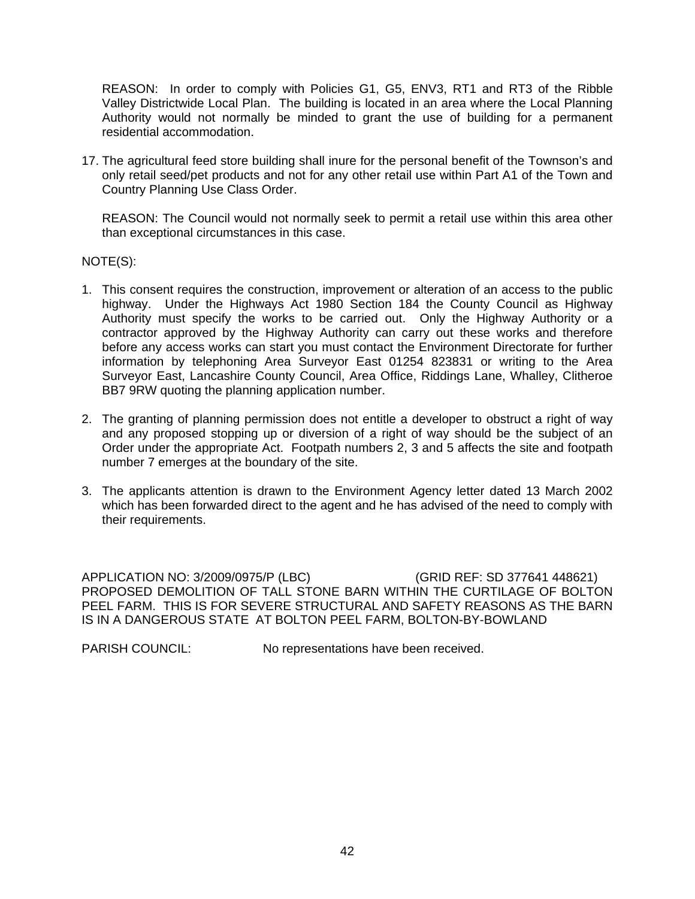REASON: In order to comply with Policies G1, G5, ENV3, RT1 and RT3 of the Ribble Valley Districtwide Local Plan. The building is located in an area where the Local Planning Authority would not normally be minded to grant the use of building for a permanent residential accommodation.

17. The agricultural feed store building shall inure for the personal benefit of the Townson's and only retail seed/pet products and not for any other retail use within Part A1 of the Town and Country Planning Use Class Order.

 REASON: The Council would not normally seek to permit a retail use within this area other than exceptional circumstances in this case.

NOTE(S):

- 1. This consent requires the construction, improvement or alteration of an access to the public highway. Under the Highways Act 1980 Section 184 the County Council as Highway Authority must specify the works to be carried out. Only the Highway Authority or a contractor approved by the Highway Authority can carry out these works and therefore before any access works can start you must contact the Environment Directorate for further information by telephoning Area Surveyor East 01254 823831 or writing to the Area Surveyor East, Lancashire County Council, Area Office, Riddings Lane, Whalley, Clitheroe BB7 9RW quoting the planning application number.
- 2. The granting of planning permission does not entitle a developer to obstruct a right of way and any proposed stopping up or diversion of a right of way should be the subject of an Order under the appropriate Act. Footpath numbers 2, 3 and 5 affects the site and footpath number 7 emerges at the boundary of the site.
- 3. The applicants attention is drawn to the Environment Agency letter dated 13 March 2002 which has been forwarded direct to the agent and he has advised of the need to comply with their requirements.

APPLICATION NO: 3/2009/0975/P (LBC) (GRID REF: SD 377641 448621) PROPOSED DEMOLITION OF TALL STONE BARN WITHIN THE CURTILAGE OF BOLTON PEEL FARM. THIS IS FOR SEVERE STRUCTURAL AND SAFETY REASONS AS THE BARN IS IN A DANGEROUS STATE AT BOLTON PEEL FARM, BOLTON-BY-BOWLAND

PARISH COUNCIL: No representations have been received.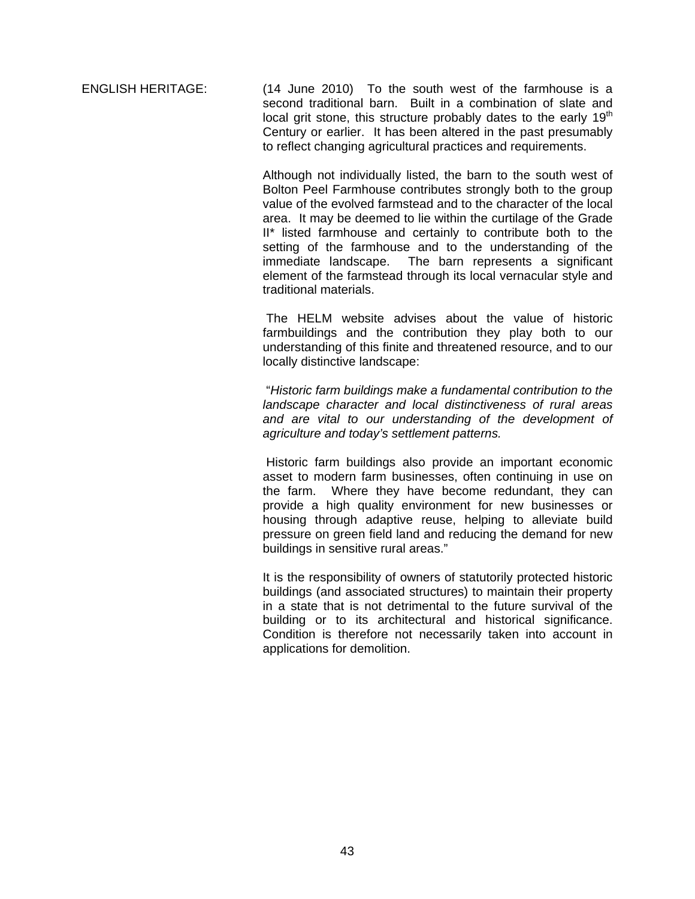ENGLISH HERITAGE: (14 June 2010) To the south west of the farmhouse is a second traditional barn. Built in a combination of slate and local grit stone, this structure probably dates to the early  $19<sup>th</sup>$ Century or earlier. It has been altered in the past presumably to reflect changing agricultural practices and requirements.

> Although not individually listed, the barn to the south west of Bolton Peel Farmhouse contributes strongly both to the group value of the evolved farmstead and to the character of the local area. It may be deemed to lie within the curtilage of the Grade II\* listed farmhouse and certainly to contribute both to the setting of the farmhouse and to the understanding of the immediate landscape. The barn represents a significant element of the farmstead through its local vernacular style and traditional materials.

> The HELM website advises about the value of historic farmbuildings and the contribution they play both to our understanding of this finite and threatened resource, and to our locally distinctive landscape:

> "*Historic farm buildings make a fundamental contribution to the landscape character and local distinctiveness of rural areas and are vital to our understanding of the development of agriculture and today's settlement patterns.*

> Historic farm buildings also provide an important economic asset to modern farm businesses, often continuing in use on the farm. Where they have become redundant, they can provide a high quality environment for new businesses or housing through adaptive reuse, helping to alleviate build pressure on green field land and reducing the demand for new buildings in sensitive rural areas."

> It is the responsibility of owners of statutorily protected historic buildings (and associated structures) to maintain their property in a state that is not detrimental to the future survival of the building or to its architectural and historical significance. Condition is therefore not necessarily taken into account in applications for demolition.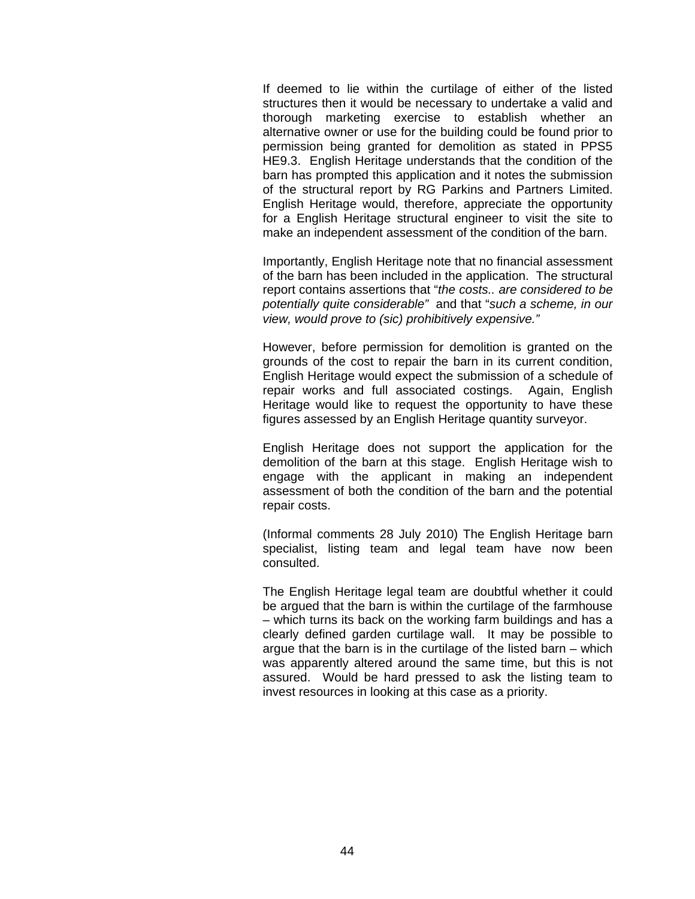If deemed to lie within the curtilage of either of the listed structures then it would be necessary to undertake a valid and thorough marketing exercise to establish whether an alternative owner or use for the building could be found prior to permission being granted for demolition as stated in PPS5 HE9.3. English Heritage understands that the condition of the barn has prompted this application and it notes the submission of the structural report by RG Parkins and Partners Limited. English Heritage would, therefore, appreciate the opportunity for a English Heritage structural engineer to visit the site to make an independent assessment of the condition of the barn.

Importantly, English Heritage note that no financial assessment of the barn has been included in the application. The structural report contains assertions that "*the costs.. are considered to be potentially quite considerable"* and that "*such a scheme, in our view, would prove to (sic) prohibitively expensive."*

However, before permission for demolition is granted on the grounds of the cost to repair the barn in its current condition, English Heritage would expect the submission of a schedule of repair works and full associated costings. Again, English Heritage would like to request the opportunity to have these figures assessed by an English Heritage quantity surveyor.

English Heritage does not support the application for the demolition of the barn at this stage. English Heritage wish to engage with the applicant in making an independent assessment of both the condition of the barn and the potential repair costs.

(Informal comments 28 July 2010) The English Heritage barn specialist, listing team and legal team have now been consulted.

The English Heritage legal team are doubtful whether it could be argued that the barn is within the curtilage of the farmhouse – which turns its back on the working farm buildings and has a clearly defined garden curtilage wall. It may be possible to argue that the barn is in the curtilage of the listed barn – which was apparently altered around the same time, but this is not assured. Would be hard pressed to ask the listing team to invest resources in looking at this case as a priority.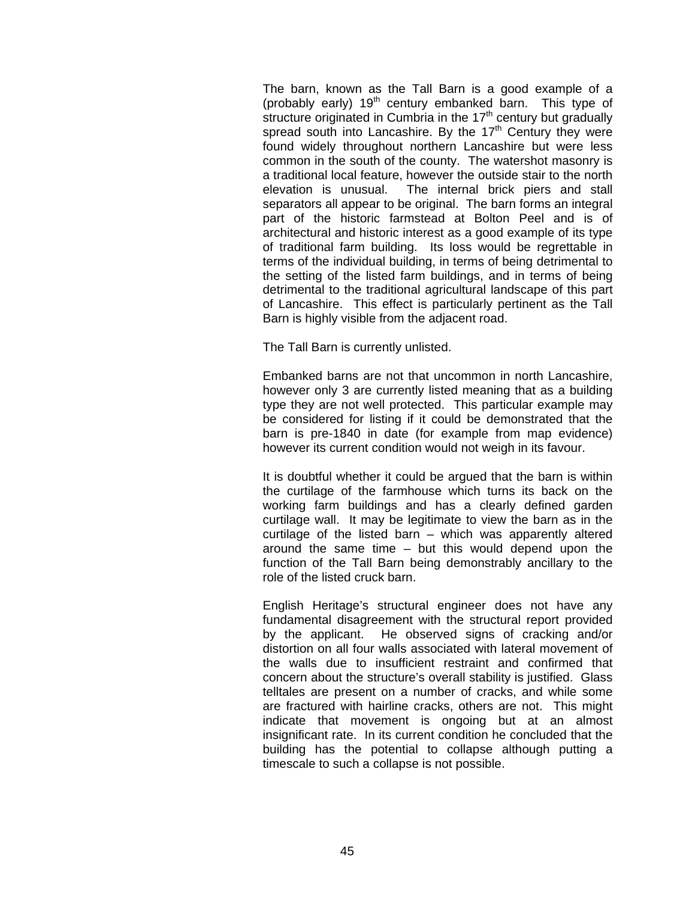The barn, known as the Tall Barn is a good example of a (probably early)  $19<sup>th</sup>$  century embanked barn. This type of structure originated in Cumbria in the  $17<sup>th</sup>$  century but gradually spread south into Lancashire. By the  $17<sup>th</sup>$  Century they were found widely throughout northern Lancashire but were less common in the south of the county. The watershot masonry is a traditional local feature, however the outside stair to the north elevation is unusual. The internal brick piers and stall separators all appear to be original. The barn forms an integral part of the historic farmstead at Bolton Peel and is of architectural and historic interest as a good example of its type of traditional farm building. Its loss would be regrettable in terms of the individual building, in terms of being detrimental to the setting of the listed farm buildings, and in terms of being detrimental to the traditional agricultural landscape of this part of Lancashire. This effect is particularly pertinent as the Tall Barn is highly visible from the adjacent road.

The Tall Barn is currently unlisted.

Embanked barns are not that uncommon in north Lancashire, however only 3 are currently listed meaning that as a building type they are not well protected. This particular example may be considered for listing if it could be demonstrated that the barn is pre-1840 in date (for example from map evidence) however its current condition would not weigh in its favour.

It is doubtful whether it could be argued that the barn is within the curtilage of the farmhouse which turns its back on the working farm buildings and has a clearly defined garden curtilage wall. It may be legitimate to view the barn as in the curtilage of the listed barn – which was apparently altered around the same time – but this would depend upon the function of the Tall Barn being demonstrably ancillary to the role of the listed cruck barn.

English Heritage's structural engineer does not have any fundamental disagreement with the structural report provided by the applicant. He observed signs of cracking and/or distortion on all four walls associated with lateral movement of the walls due to insufficient restraint and confirmed that concern about the structure's overall stability is justified. Glass telltales are present on a number of cracks, and while some are fractured with hairline cracks, others are not. This might indicate that movement is ongoing but at an almost insignificant rate. In its current condition he concluded that the building has the potential to collapse although putting a timescale to such a collapse is not possible.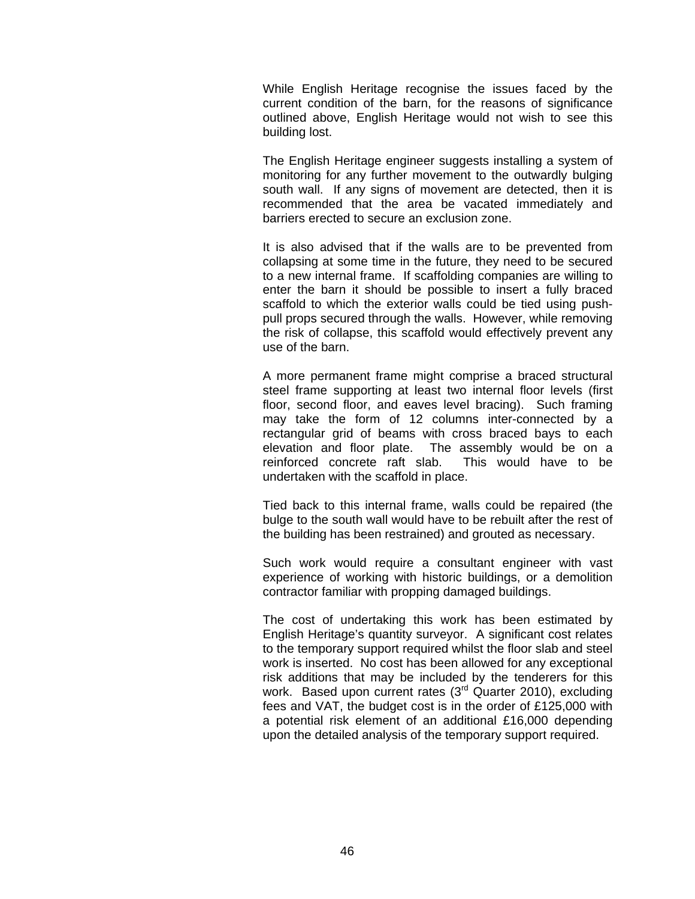While English Heritage recognise the issues faced by the current condition of the barn, for the reasons of significance outlined above, English Heritage would not wish to see this building lost.

The English Heritage engineer suggests installing a system of monitoring for any further movement to the outwardly bulging south wall. If any signs of movement are detected, then it is recommended that the area be vacated immediately and barriers erected to secure an exclusion zone.

It is also advised that if the walls are to be prevented from collapsing at some time in the future, they need to be secured to a new internal frame. If scaffolding companies are willing to enter the barn it should be possible to insert a fully braced scaffold to which the exterior walls could be tied using pushpull props secured through the walls. However, while removing the risk of collapse, this scaffold would effectively prevent any use of the barn.

A more permanent frame might comprise a braced structural steel frame supporting at least two internal floor levels (first floor, second floor, and eaves level bracing). Such framing may take the form of 12 columns inter-connected by a rectangular grid of beams with cross braced bays to each elevation and floor plate. The assembly would be on a reinforced concrete raft slab. This would have to be undertaken with the scaffold in place.

Tied back to this internal frame, walls could be repaired (the bulge to the south wall would have to be rebuilt after the rest of the building has been restrained) and grouted as necessary.

Such work would require a consultant engineer with vast experience of working with historic buildings, or a demolition contractor familiar with propping damaged buildings.

The cost of undertaking this work has been estimated by English Heritage's quantity surveyor. A significant cost relates to the temporary support required whilst the floor slab and steel work is inserted. No cost has been allowed for any exceptional risk additions that may be included by the tenderers for this work. Based upon current rates (3<sup>rd</sup> Quarter 2010), excluding fees and VAT, the budget cost is in the order of £125,000 with a potential risk element of an additional £16,000 depending upon the detailed analysis of the temporary support required.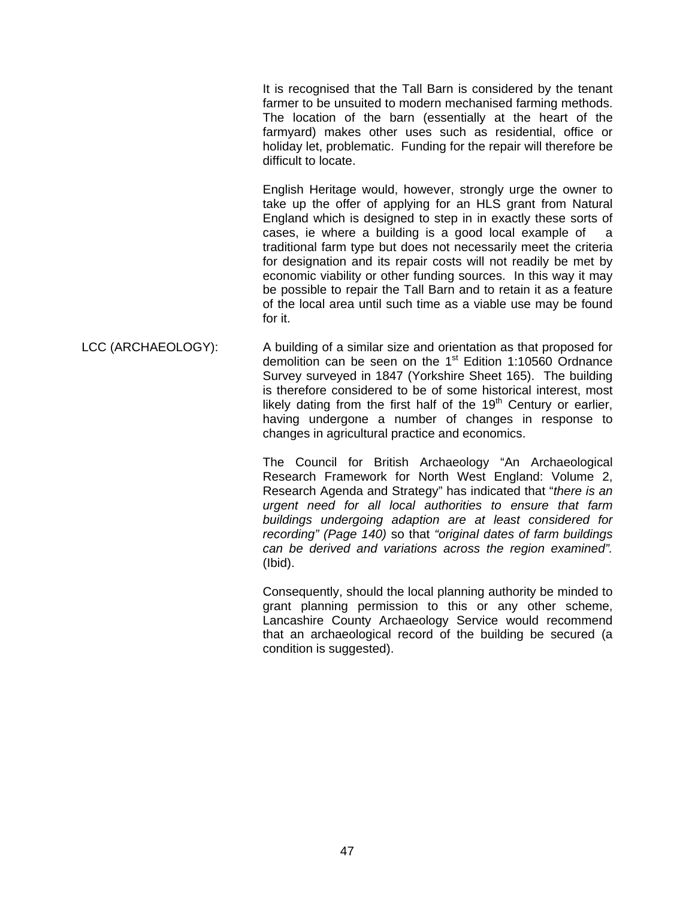It is recognised that the Tall Barn is considered by the tenant farmer to be unsuited to modern mechanised farming methods. The location of the barn (essentially at the heart of the farmyard) makes other uses such as residential, office or holiday let, problematic. Funding for the repair will therefore be difficult to locate.

English Heritage would, however, strongly urge the owner to take up the offer of applying for an HLS grant from Natural England which is designed to step in in exactly these sorts of cases, ie where a building is a good local example of a traditional farm type but does not necessarily meet the criteria for designation and its repair costs will not readily be met by economic viability or other funding sources. In this way it may be possible to repair the Tall Barn and to retain it as a feature of the local area until such time as a viable use may be found for it.

LCC (ARCHAEOLOGY): A building of a similar size and orientation as that proposed for demolition can be seen on the  $1<sup>st</sup>$  Edition 1:10560 Ordnance Survey surveyed in 1847 (Yorkshire Sheet 165). The building is therefore considered to be of some historical interest, most likely dating from the first half of the  $19<sup>th</sup>$  Century or earlier, having undergone a number of changes in response to changes in agricultural practice and economics.

> The Council for British Archaeology "An Archaeological Research Framework for North West England: Volume 2, Research Agenda and Strategy" has indicated that "*there is an urgent need for all local authorities to ensure that farm buildings undergoing adaption are at least considered for recording" (Page 140)* so that *"original dates of farm buildings can be derived and variations across the region examined".*  (Ibid).

> Consequently, should the local planning authority be minded to grant planning permission to this or any other scheme, Lancashire County Archaeology Service would recommend that an archaeological record of the building be secured (a condition is suggested).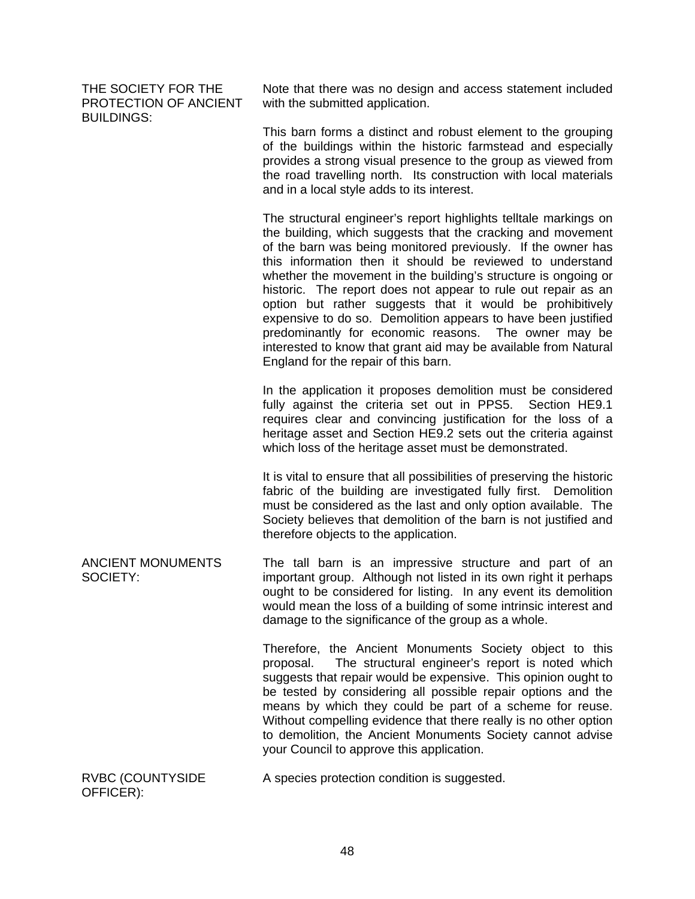| THE SOCIETY FOR THE<br>PROTECTION OF ANCIENT<br><b>BUILDINGS:</b> | Note that there was no design and access statement included<br>with the submitted application.                                                                                                                                                                                                                                                                                                                                                                                                                                                                                                                                                                                                   |
|-------------------------------------------------------------------|--------------------------------------------------------------------------------------------------------------------------------------------------------------------------------------------------------------------------------------------------------------------------------------------------------------------------------------------------------------------------------------------------------------------------------------------------------------------------------------------------------------------------------------------------------------------------------------------------------------------------------------------------------------------------------------------------|
|                                                                   | This barn forms a distinct and robust element to the grouping<br>of the buildings within the historic farmstead and especially<br>provides a strong visual presence to the group as viewed from<br>the road travelling north. Its construction with local materials<br>and in a local style adds to its interest.                                                                                                                                                                                                                                                                                                                                                                                |
|                                                                   | The structural engineer's report highlights telltale markings on<br>the building, which suggests that the cracking and movement<br>of the barn was being monitored previously. If the owner has<br>this information then it should be reviewed to understand<br>whether the movement in the building's structure is ongoing or<br>historic. The report does not appear to rule out repair as an<br>option but rather suggests that it would be prohibitively<br>expensive to do so. Demolition appears to have been justified<br>predominantly for economic reasons. The owner may be<br>interested to know that grant aid may be available from Natural<br>England for the repair of this barn. |
|                                                                   | In the application it proposes demolition must be considered<br>fully against the criteria set out in PPS5. Section HE9.1<br>requires clear and convincing justification for the loss of a<br>heritage asset and Section HE9.2 sets out the criteria against<br>which loss of the heritage asset must be demonstrated.                                                                                                                                                                                                                                                                                                                                                                           |
|                                                                   | It is vital to ensure that all possibilities of preserving the historic<br>fabric of the building are investigated fully first. Demolition<br>must be considered as the last and only option available. The<br>Society believes that demolition of the barn is not justified and<br>therefore objects to the application.                                                                                                                                                                                                                                                                                                                                                                        |
| <b>ANCIENT MONUMENTS</b><br>SOCIETY:                              | The tall barn is an impressive structure and part of an<br>important group. Although not listed in its own right it perhaps<br>ought to be considered for listing. In any event its demolition<br>would mean the loss of a building of some intrinsic interest and<br>damage to the significance of the group as a whole.                                                                                                                                                                                                                                                                                                                                                                        |
|                                                                   | Therefore, the Ancient Monuments Society object to this<br>The structural engineer's report is noted which<br>proposal.<br>suggests that repair would be expensive. This opinion ought to<br>be tested by considering all possible repair options and the<br>means by which they could be part of a scheme for reuse.<br>Without compelling evidence that there really is no other option<br>to demolition, the Ancient Monuments Society cannot advise<br>your Council to approve this application.                                                                                                                                                                                             |
| <b>RVBC (COUNTYSIDE</b>                                           | A species protection condition is suggested.                                                                                                                                                                                                                                                                                                                                                                                                                                                                                                                                                                                                                                                     |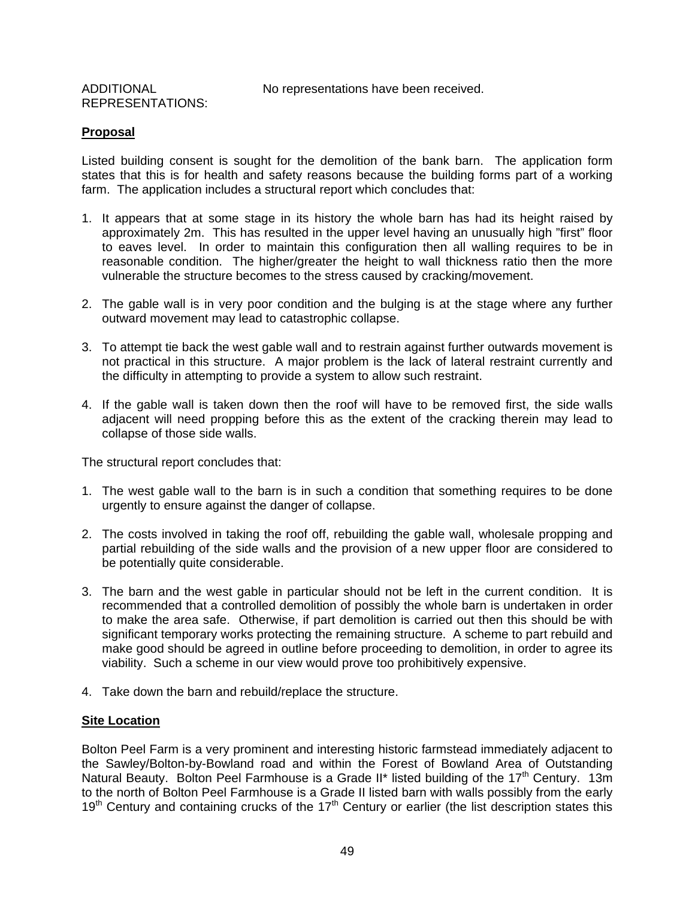ADDITIONAL REPRESENTATIONS: No representations have been received.

#### **Proposal**

Listed building consent is sought for the demolition of the bank barn. The application form states that this is for health and safety reasons because the building forms part of a working farm. The application includes a structural report which concludes that:

- 1. It appears that at some stage in its history the whole barn has had its height raised by approximately 2m. This has resulted in the upper level having an unusually high "first" floor to eaves level. In order to maintain this configuration then all walling requires to be in reasonable condition. The higher/greater the height to wall thickness ratio then the more vulnerable the structure becomes to the stress caused by cracking/movement.
- 2. The gable wall is in very poor condition and the bulging is at the stage where any further outward movement may lead to catastrophic collapse.
- 3. To attempt tie back the west gable wall and to restrain against further outwards movement is not practical in this structure. A major problem is the lack of lateral restraint currently and the difficulty in attempting to provide a system to allow such restraint.
- 4. If the gable wall is taken down then the roof will have to be removed first, the side walls adjacent will need propping before this as the extent of the cracking therein may lead to collapse of those side walls.

The structural report concludes that:

- 1. The west gable wall to the barn is in such a condition that something requires to be done urgently to ensure against the danger of collapse.
- 2. The costs involved in taking the roof off, rebuilding the gable wall, wholesale propping and partial rebuilding of the side walls and the provision of a new upper floor are considered to be potentially quite considerable.
- 3. The barn and the west gable in particular should not be left in the current condition. It is recommended that a controlled demolition of possibly the whole barn is undertaken in order to make the area safe. Otherwise, if part demolition is carried out then this should be with significant temporary works protecting the remaining structure. A scheme to part rebuild and make good should be agreed in outline before proceeding to demolition, in order to agree its viability. Such a scheme in our view would prove too prohibitively expensive.
- 4. Take down the barn and rebuild/replace the structure.

#### **Site Location**

Bolton Peel Farm is a very prominent and interesting historic farmstead immediately adjacent to the Sawley/Bolton-by-Bowland road and within the Forest of Bowland Area of Outstanding Natural Beauty. Bolton Peel Farmhouse is a Grade II\* listed building of the 17<sup>th</sup> Century. 13m to the north of Bolton Peel Farmhouse is a Grade II listed barn with walls possibly from the early  $19<sup>th</sup>$  Century and containing crucks of the  $17<sup>th</sup>$  Century or earlier (the list description states this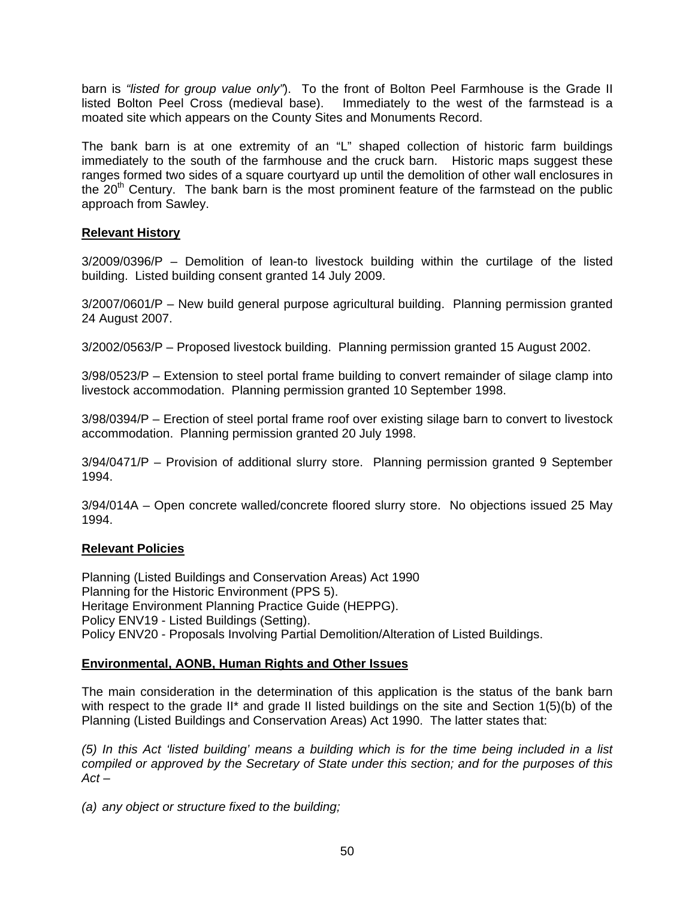barn is *"listed for group value only"*). To the front of Bolton Peel Farmhouse is the Grade II listed Bolton Peel Cross (medieval base). Immediately to the west of the farmstead is a moated site which appears on the County Sites and Monuments Record.

The bank barn is at one extremity of an "L" shaped collection of historic farm buildings immediately to the south of the farmhouse and the cruck barn. Historic maps suggest these ranges formed two sides of a square courtyard up until the demolition of other wall enclosures in the  $20<sup>th</sup>$  Century. The bank barn is the most prominent feature of the farmstead on the public approach from Sawley.

### **Relevant History**

3/2009/0396/P – Demolition of lean-to livestock building within the curtilage of the listed building. Listed building consent granted 14 July 2009.

3/2007/0601/P – New build general purpose agricultural building. Planning permission granted 24 August 2007.

3/2002/0563/P – Proposed livestock building. Planning permission granted 15 August 2002.

3/98/0523/P – Extension to steel portal frame building to convert remainder of silage clamp into livestock accommodation. Planning permission granted 10 September 1998.

3/98/0394/P – Erection of steel portal frame roof over existing silage barn to convert to livestock accommodation. Planning permission granted 20 July 1998.

3/94/0471/P – Provision of additional slurry store. Planning permission granted 9 September 1994.

3/94/014A – Open concrete walled/concrete floored slurry store. No objections issued 25 May 1994.

#### **Relevant Policies**

Planning (Listed Buildings and Conservation Areas) Act 1990 Planning for the Historic Environment (PPS 5). Heritage Environment Planning Practice Guide (HEPPG). Policy ENV19 - Listed Buildings (Setting). Policy ENV20 - Proposals Involving Partial Demolition/Alteration of Listed Buildings.

### **Environmental, AONB, Human Rights and Other Issues**

The main consideration in the determination of this application is the status of the bank barn with respect to the grade II<sup>\*</sup> and grade II listed buildings on the site and Section 1(5)(b) of the Planning (Listed Buildings and Conservation Areas) Act 1990. The latter states that:

*(5) In this Act 'listed building' means a building which is for the time being included in a list compiled or approved by the Secretary of State under this section; and for the purposes of this Act –* 

*(a) any object or structure fixed to the building;*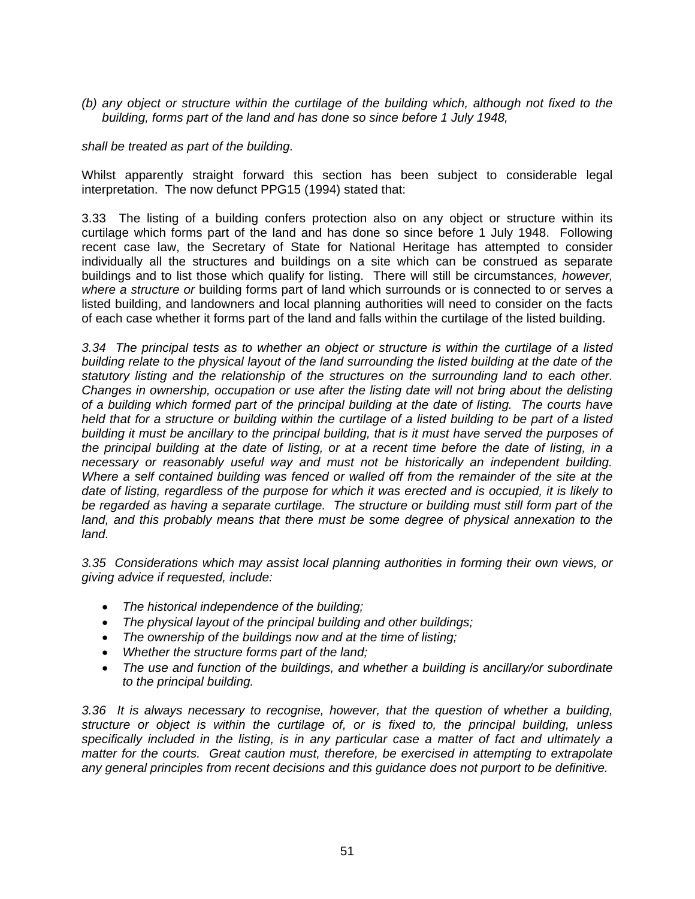*(b) any object or structure within the curtilage of the building which, although not fixed to the building, forms part of the land and has done so since before 1 July 1948,* 

#### *shall be treated as part of the building.*

Whilst apparently straight forward this section has been subject to considerable legal interpretation. The now defunct PPG15 (1994) stated that:

3.33 The listing of a building confers protection also on any object or structure within its curtilage which forms part of the land and has done so since before 1 July 1948. Following recent case law, the Secretary of State for National Heritage has attempted to consider individually all the structures and buildings on a site which can be construed as separate buildings and to list those which qualify for listing. There will still be circumstance*s, however, where a structure or* building forms part of land which surrounds or is connected to or serves a listed building, and landowners and local planning authorities will need to consider on the facts of each case whether it forms part of the land and falls within the curtilage of the listed building.

*3.34 The principal tests as to whether an object or structure is within the curtilage of a listed building relate to the physical layout of the land surrounding the listed building at the date of the statutory listing and the relationship of the structures on the surrounding land to each other. Changes in ownership, occupation or use after the listing date will not bring about the delisting of a building which formed part of the principal building at the date of listing. The courts have held that for a structure or building within the curtilage of a listed building to be part of a listed building it must be ancillary to the principal building, that is it must have served the purposes of the principal building at the date of listing, or at a recent time before the date of listing, in a necessary or reasonably useful way and must not be historically an independent building. Where a self contained building was fenced or walled off from the remainder of the site at the date of listing, regardless of the purpose for which it was erected and is occupied, it is likely to be regarded as having a separate curtilage. The structure or building must still form part of the land, and this probably means that there must be some degree of physical annexation to the land.* 

*3.35 Considerations which may assist local planning authorities in forming their own views, or giving advice if requested, include:* 

- *The historical independence of the building;*
- *The physical layout of the principal building and other buildings;*
- *The ownership of the buildings now and at the time of listing;*
- *Whether the structure forms part of the land;*
- *The use and function of the buildings, and whether a building is ancillary/or subordinate to the principal building.*

*3.36 It is always necessary to recognise, however, that the question of whether a building, structure or object is within the curtilage of, or is fixed to, the principal building, unless specifically included in the listing, is in any particular case a matter of fact and ultimately a matter for the courts. Great caution must, therefore, be exercised in attempting to extrapolate any general principles from recent decisions and this guidance does not purport to be definitive.*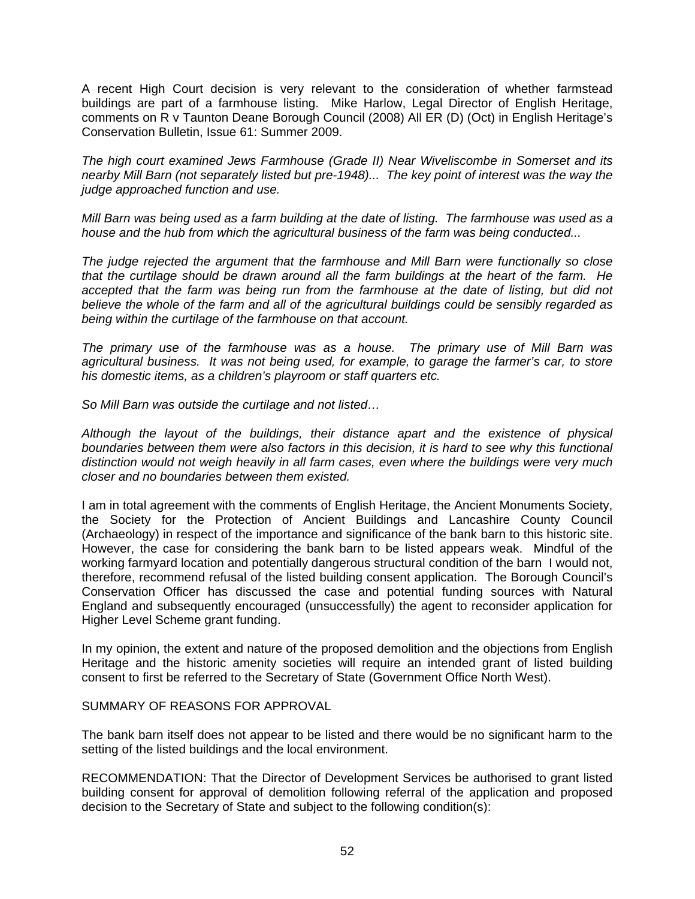A recent High Court decision is very relevant to the consideration of whether farmstead buildings are part of a farmhouse listing. Mike Harlow, Legal Director of English Heritage, comments on R v Taunton Deane Borough Council (2008) All ER (D) (Oct) in English Heritage's Conservation Bulletin, Issue 61: Summer 2009.

*The high court examined Jews Farmhouse (Grade II) Near Wiveliscombe in Somerset and its nearby Mill Barn (not separately listed but pre-1948)... The key point of interest was the way the judge approached function and use.* 

*Mill Barn was being used as a farm building at the date of listing. The farmhouse was used as a house and the hub from which the agricultural business of the farm was being conducted...* 

*The judge rejected the argument that the farmhouse and Mill Barn were functionally so close that the curtilage should be drawn around all the farm buildings at the heart of the farm. He*  accepted that the farm was being run from the farmhouse at the date of listing, but did not *believe the whole of the farm and all of the agricultural buildings could be sensibly regarded as being within the curtilage of the farmhouse on that account.* 

*The primary use of the farmhouse was as a house. The primary use of Mill Barn was agricultural business. It was not being used, for example, to garage the farmer's car, to store his domestic items, as a children's playroom or staff quarters etc.* 

*So Mill Barn was outside the curtilage and not listed…* 

*Although the layout of the buildings, their distance apart and the existence of physical boundaries between them were also factors in this decision, it is hard to see why this functional distinction would not weigh heavily in all farm cases, even where the buildings were very much closer and no boundaries between them existed.* 

I am in total agreement with the comments of English Heritage, the Ancient Monuments Society, the Society for the Protection of Ancient Buildings and Lancashire County Council (Archaeology) in respect of the importance and significance of the bank barn to this historic site. However, the case for considering the bank barn to be listed appears weak. Mindful of the working farmyard location and potentially dangerous structural condition of the barn I would not, therefore, recommend refusal of the listed building consent application. The Borough Council's Conservation Officer has discussed the case and potential funding sources with Natural England and subsequently encouraged (unsuccessfully) the agent to reconsider application for Higher Level Scheme grant funding.

In my opinion, the extent and nature of the proposed demolition and the objections from English Heritage and the historic amenity societies will require an intended grant of listed building consent to first be referred to the Secretary of State (Government Office North West).

#### SUMMARY OF REASONS FOR APPROVAL

The bank barn itself does not appear to be listed and there would be no significant harm to the setting of the listed buildings and the local environment.

RECOMMENDATION: That the Director of Development Services be authorised to grant listed building consent for approval of demolition following referral of the application and proposed decision to the Secretary of State and subject to the following condition(s):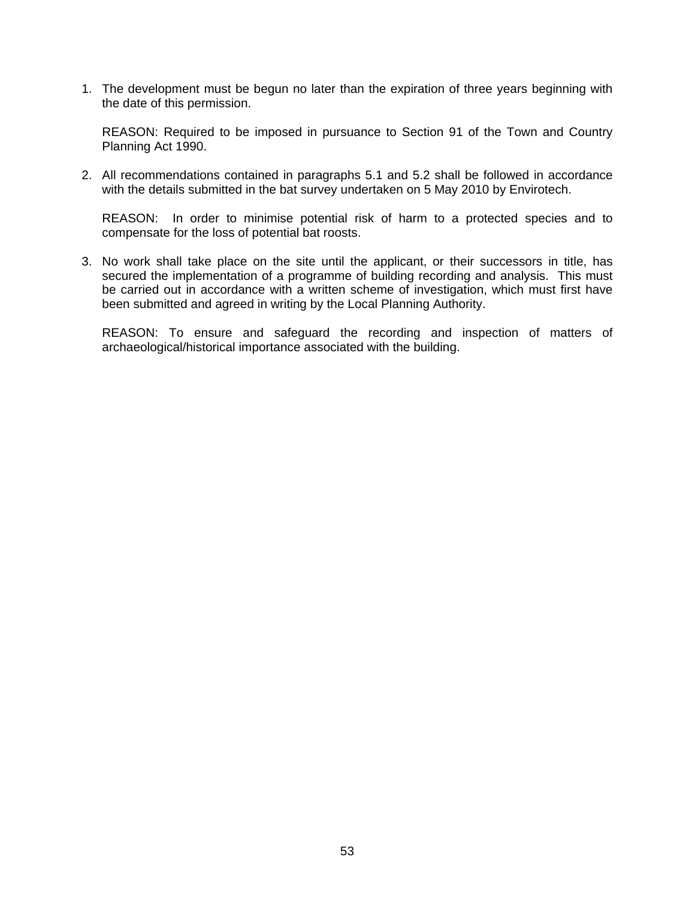1. The development must be begun no later than the expiration of three years beginning with the date of this permission.

 REASON: Required to be imposed in pursuance to Section 91 of the Town and Country Planning Act 1990.

2. All recommendations contained in paragraphs 5.1 and 5.2 shall be followed in accordance with the details submitted in the bat survey undertaken on 5 May 2010 by Envirotech.

 REASON: In order to minimise potential risk of harm to a protected species and to compensate for the loss of potential bat roosts.

3. No work shall take place on the site until the applicant, or their successors in title, has secured the implementation of a programme of building recording and analysis. This must be carried out in accordance with a written scheme of investigation, which must first have been submitted and agreed in writing by the Local Planning Authority.

 REASON: To ensure and safeguard the recording and inspection of matters of archaeological/historical importance associated with the building.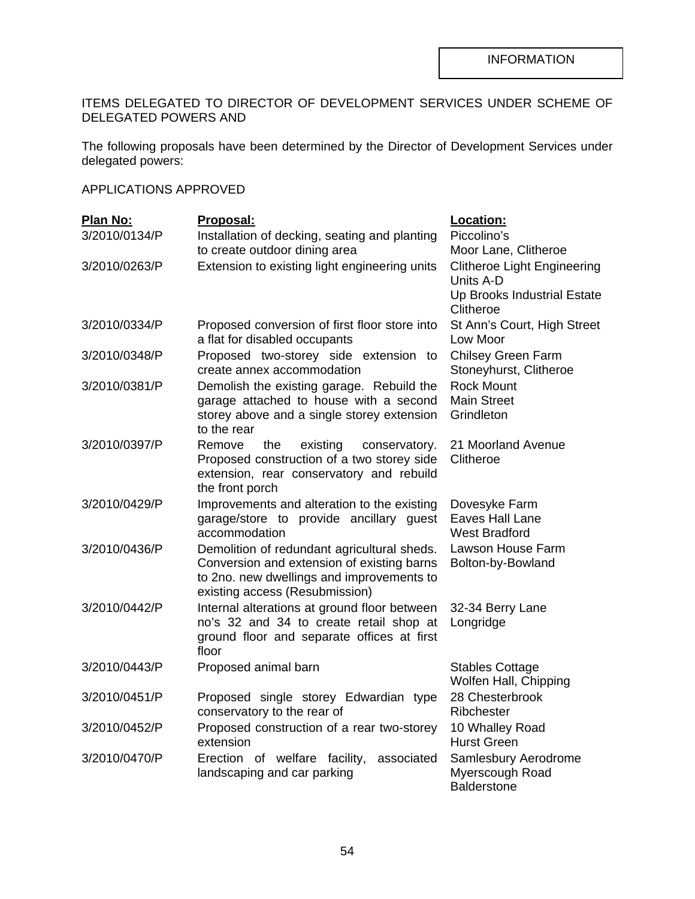# ITEMS DELEGATED TO DIRECTOR OF DEVELOPMENT SERVICES UNDER SCHEME OF DELEGATED POWERS AND

The following proposals have been determined by the Director of Development Services under delegated powers:

# APPLICATIONS APPROVED

| Plan No:      | Proposal:                                                                                                                                                                | Location:                                                                      |
|---------------|--------------------------------------------------------------------------------------------------------------------------------------------------------------------------|--------------------------------------------------------------------------------|
| 3/2010/0134/P | Installation of decking, seating and planting<br>to create outdoor dining area                                                                                           | Piccolino's<br>Moor Lane, Clitheroe                                            |
| 3/2010/0263/P | Extension to existing light engineering units                                                                                                                            | <b>Clitheroe Light Engineering</b><br>Units A-D<br>Up Brooks Industrial Estate |
|               |                                                                                                                                                                          | Clitheroe                                                                      |
| 3/2010/0334/P | Proposed conversion of first floor store into<br>a flat for disabled occupants                                                                                           | St Ann's Court, High Street<br>Low Moor                                        |
| 3/2010/0348/P | Proposed two-storey side extension to<br>create annex accommodation                                                                                                      | <b>Chilsey Green Farm</b><br>Stoneyhurst, Clitheroe                            |
| 3/2010/0381/P | Demolish the existing garage. Rebuild the<br>garage attached to house with a second<br>storey above and a single storey extension<br>to the rear                         | <b>Rock Mount</b><br><b>Main Street</b><br>Grindleton                          |
| 3/2010/0397/P | the<br>Remove<br>existing<br>conservatory.<br>Proposed construction of a two storey side<br>extension, rear conservatory and rebuild<br>the front porch                  | 21 Moorland Avenue<br>Clitheroe                                                |
| 3/2010/0429/P | Improvements and alteration to the existing<br>garage/store to provide ancillary guest<br>accommodation                                                                  | Dovesyke Farm<br><b>Eaves Hall Lane</b><br><b>West Bradford</b>                |
| 3/2010/0436/P | Demolition of redundant agricultural sheds.<br>Conversion and extension of existing barns<br>to 2no. new dwellings and improvements to<br>existing access (Resubmission) | Lawson House Farm<br>Bolton-by-Bowland                                         |
| 3/2010/0442/P | Internal alterations at ground floor between<br>no's 32 and 34 to create retail shop at<br>ground floor and separate offices at first<br>floor                           | 32-34 Berry Lane<br>Longridge                                                  |
| 3/2010/0443/P | Proposed animal barn                                                                                                                                                     | <b>Stables Cottage</b><br>Wolfen Hall, Chipping                                |
| 3/2010/0451/P | Proposed single storey Edwardian type<br>conservatory to the rear of                                                                                                     | 28 Chesterbrook<br>Ribchester                                                  |
| 3/2010/0452/P | Proposed construction of a rear two-storey<br>extension                                                                                                                  | 10 Whalley Road<br><b>Hurst Green</b>                                          |
| 3/2010/0470/P | Erection of welfare facility,<br>associated<br>landscaping and car parking                                                                                               | Samlesbury Aerodrome<br>Myerscough Road<br><b>Balderstone</b>                  |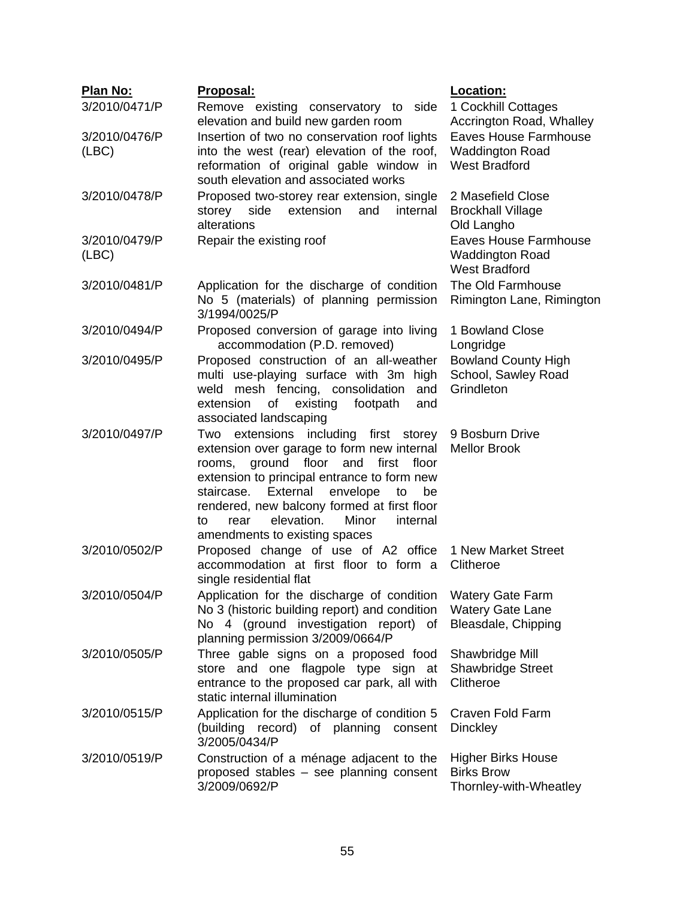| <b>Plan No:</b>        | Proposal:                                                                                     | Location:                                              |
|------------------------|-----------------------------------------------------------------------------------------------|--------------------------------------------------------|
| 3/2010/0471/P          | Remove existing conservatory to side                                                          | 1 Cockhill Cottages                                    |
|                        | elevation and build new garden room                                                           | Accrington Road, Whalley                               |
| 3/2010/0476/P<br>(ABC) | Insertion of two no conservation roof lights<br>into the west (rear) elevation of the roof,   | <b>Eaves House Farmhouse</b><br><b>Waddington Road</b> |
|                        | reformation of original gable window in                                                       | <b>West Bradford</b>                                   |
|                        | south elevation and associated works                                                          |                                                        |
| 3/2010/0478/P          | Proposed two-storey rear extension, single                                                    | 2 Masefield Close                                      |
|                        | storey<br>side<br>extension<br>and<br>internal<br>alterations                                 | <b>Brockhall Village</b><br>Old Langho                 |
| 3/2010/0479/P          | Repair the existing roof                                                                      | <b>Eaves House Farmhouse</b>                           |
| (ABC)                  |                                                                                               | <b>Waddington Road</b>                                 |
|                        |                                                                                               | <b>West Bradford</b>                                   |
| 3/2010/0481/P          | Application for the discharge of condition                                                    | The Old Farmhouse                                      |
|                        | No 5 (materials) of planning permission<br>3/1994/0025/P                                      | Rimington Lane, Rimington                              |
| 3/2010/0494/P          | Proposed conversion of garage into living                                                     | 1 Bowland Close                                        |
|                        | accommodation (P.D. removed)                                                                  | Longridge                                              |
| 3/2010/0495/P          | Proposed construction of an all-weather                                                       | <b>Bowland County High</b>                             |
|                        | multi use-playing surface with 3m high<br>weld mesh fencing, consolidation<br>and             | School, Sawley Road<br>Grindleton                      |
|                        | existing<br>footpath<br>extension<br>οf<br>and                                                |                                                        |
|                        | associated landscaping                                                                        |                                                        |
| 3/2010/0497/P          | Two extensions including first storey                                                         | 9 Bosburn Drive                                        |
|                        | extension over garage to form new internal                                                    | <b>Mellor Brook</b>                                    |
|                        | floor<br>first<br>ground<br>and<br>floor<br>rooms,                                            |                                                        |
|                        | extension to principal entrance to form new<br>External<br>envelope<br>staircase.<br>to<br>be |                                                        |
|                        | rendered, new balcony formed at first floor                                                   |                                                        |
|                        | elevation.<br>Minor<br>internal<br>to<br>rear                                                 |                                                        |
|                        | amendments to existing spaces                                                                 |                                                        |
| 3/2010/0502/P          | Proposed change of use of A2 office                                                           | 1 New Market Street                                    |
|                        | accommodation at first floor to form a                                                        | Clitheroe                                              |
| 3/2010/0504/P          | single residential flat<br>Application for the discharge of condition                         | <b>Watery Gate Farm</b>                                |
|                        | No 3 (historic building report) and condition                                                 | <b>Watery Gate Lane</b>                                |
|                        | No 4 (ground investigation report) of                                                         | Bleasdale, Chipping                                    |
|                        | planning permission 3/2009/0664/P                                                             |                                                        |
| 3/2010/0505/P          | Three gable signs on a proposed food                                                          | Shawbridge Mill                                        |
|                        | store and one flagpole type sign at                                                           | <b>Shawbridge Street</b>                               |
|                        | entrance to the proposed car park, all with<br>static internal illumination                   | Clitheroe                                              |
| 3/2010/0515/P          | Application for the discharge of condition 5                                                  | Craven Fold Farm                                       |
|                        | (building record) of planning consent<br>3/2005/0434/P                                        | <b>Dinckley</b>                                        |
| 3/2010/0519/P          | Construction of a ménage adjacent to the                                                      | <b>Higher Birks House</b>                              |
|                        | proposed stables - see planning consent                                                       | <b>Birks Brow</b>                                      |
|                        | 3/2009/0692/P                                                                                 | Thornley-with-Wheatley                                 |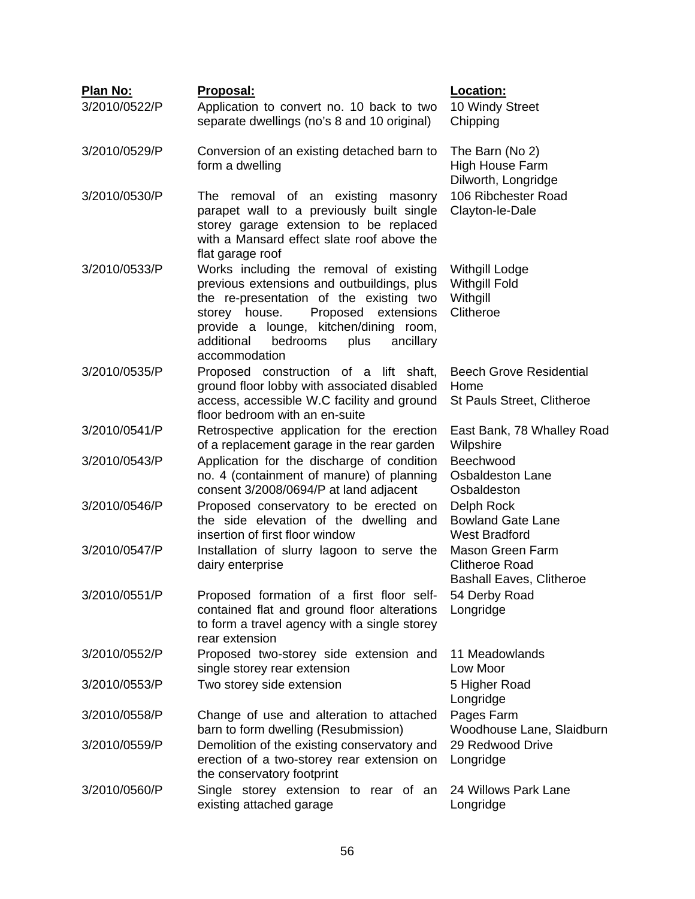| Plan No:<br>3/2010/0522/P | Proposal:<br>Application to convert no. 10 back to two<br>separate dwellings (no's 8 and 10 original)                                                                                                                                                                                 | Location:<br>10 Windy Street<br>Chipping                                            |
|---------------------------|---------------------------------------------------------------------------------------------------------------------------------------------------------------------------------------------------------------------------------------------------------------------------------------|-------------------------------------------------------------------------------------|
| 3/2010/0529/P             | Conversion of an existing detached barn to<br>form a dwelling                                                                                                                                                                                                                         | The Barn (No 2)<br>High House Farm<br>Dilworth, Longridge                           |
| 3/2010/0530/P             | The removal of an existing<br>masonry<br>parapet wall to a previously built single<br>storey garage extension to be replaced<br>with a Mansard effect slate roof above the<br>flat garage roof                                                                                        | 106 Ribchester Road<br>Clayton-le-Dale                                              |
| 3/2010/0533/P             | Works including the removal of existing<br>previous extensions and outbuildings, plus<br>the re-presentation of the existing two<br>Proposed<br>storey house.<br>extensions<br>provide a lounge, kitchen/dining room,<br>additional<br>bedrooms<br>plus<br>ancillary<br>accommodation | Withgill Lodge<br><b>Withgill Fold</b><br>Withgill<br>Clitheroe                     |
| 3/2010/0535/P             | Proposed construction of a lift shaft,<br>ground floor lobby with associated disabled<br>access, accessible W.C facility and ground<br>floor bedroom with an en-suite                                                                                                                 | <b>Beech Grove Residential</b><br>Home<br><b>St Pauls Street, Clitheroe</b>         |
| 3/2010/0541/P             | Retrospective application for the erection<br>of a replacement garage in the rear garden                                                                                                                                                                                              | East Bank, 78 Whalley Road<br>Wilpshire                                             |
| 3/2010/0543/P             | Application for the discharge of condition<br>no. 4 (containment of manure) of planning<br>consent 3/2008/0694/P at land adjacent                                                                                                                                                     | Beechwood<br>Osbaldeston Lane<br>Osbaldeston                                        |
| 3/2010/0546/P             | Proposed conservatory to be erected on<br>the side elevation of the dwelling and<br>insertion of first floor window                                                                                                                                                                   | Delph Rock<br><b>Bowland Gate Lane</b><br><b>West Bradford</b>                      |
| 3/2010/0547/P             | Installation of slurry lagoon to serve the<br>dairy enterprise                                                                                                                                                                                                                        | <b>Mason Green Farm</b><br><b>Clitheroe Road</b><br><b>Bashall Eaves, Clitheroe</b> |
| 3/2010/0551/P             | Proposed formation of a first floor self-<br>contained flat and ground floor alterations<br>to form a travel agency with a single storey<br>rear extension                                                                                                                            | 54 Derby Road<br>Longridge                                                          |
| 3/2010/0552/P             | Proposed two-storey side extension and<br>single storey rear extension                                                                                                                                                                                                                | 11 Meadowlands<br>Low Moor                                                          |
| 3/2010/0553/P             | Two storey side extension                                                                                                                                                                                                                                                             | 5 Higher Road<br>Longridge                                                          |
| 3/2010/0558/P             | Change of use and alteration to attached<br>barn to form dwelling (Resubmission)                                                                                                                                                                                                      | Pages Farm<br>Woodhouse Lane, Slaidburn                                             |
| 3/2010/0559/P             | Demolition of the existing conservatory and<br>erection of a two-storey rear extension on<br>the conservatory footprint                                                                                                                                                               | 29 Redwood Drive<br>Longridge                                                       |
| 3/2010/0560/P             | Single storey extension to rear of an<br>existing attached garage                                                                                                                                                                                                                     | 24 Willows Park Lane<br>Longridge                                                   |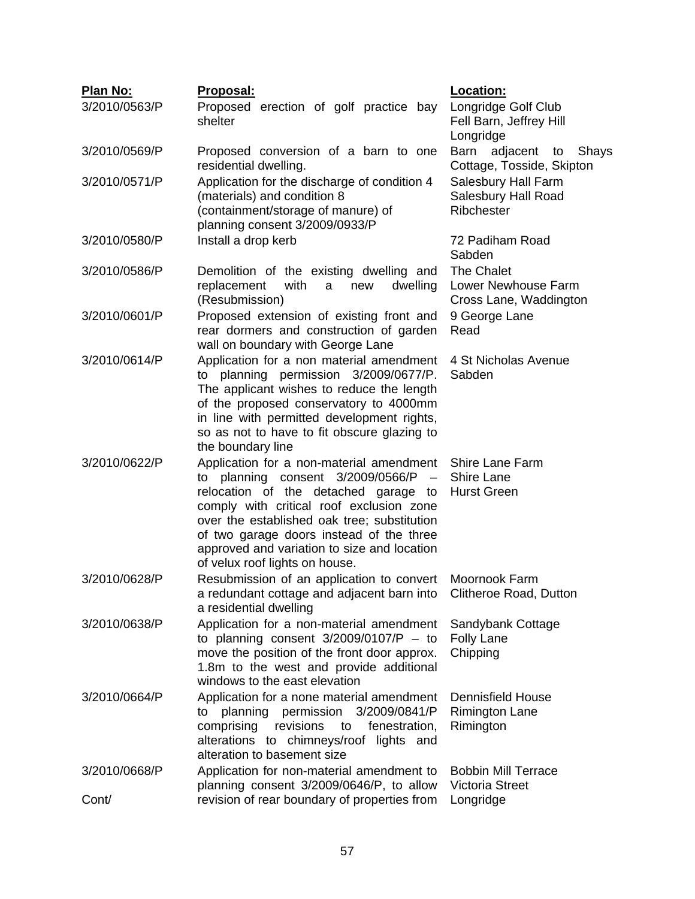| Plan No:      | Proposal:                                                                                                                                                                                                                                                                                                                                         | Location:                                                      |
|---------------|---------------------------------------------------------------------------------------------------------------------------------------------------------------------------------------------------------------------------------------------------------------------------------------------------------------------------------------------------|----------------------------------------------------------------|
| 3/2010/0563/P | Proposed erection of golf practice bay<br>shelter                                                                                                                                                                                                                                                                                                 | Longridge Golf Club<br>Fell Barn, Jeffrey Hill<br>Longridge    |
| 3/2010/0569/P | Proposed conversion of a barn to one<br>residential dwelling.                                                                                                                                                                                                                                                                                     | Barn<br>adjacent to<br>Shays<br>Cottage, Tosside, Skipton      |
| 3/2010/0571/P | Application for the discharge of condition 4<br>(materials) and condition 8<br>(containment/storage of manure) of<br>planning consent 3/2009/0933/P                                                                                                                                                                                               | Salesbury Hall Farm<br>Salesbury Hall Road<br>Ribchester       |
| 3/2010/0580/P | Install a drop kerb                                                                                                                                                                                                                                                                                                                               | 72 Padiham Road<br>Sabden                                      |
| 3/2010/0586/P | Demolition of the existing dwelling and<br>replacement<br>with<br>dwelling<br>a<br>new<br>(Resubmission)                                                                                                                                                                                                                                          | The Chalet<br>Lower Newhouse Farm<br>Cross Lane, Waddington    |
| 3/2010/0601/P | Proposed extension of existing front and<br>rear dormers and construction of garden<br>wall on boundary with George Lane                                                                                                                                                                                                                          | 9 George Lane<br>Read                                          |
| 3/2010/0614/P | Application for a non material amendment<br>to planning permission 3/2009/0677/P.<br>The applicant wishes to reduce the length<br>of the proposed conservatory to 4000mm<br>in line with permitted development rights,<br>so as not to have to fit obscure glazing to<br>the boundary line                                                        | 4 St Nicholas Avenue<br>Sabden                                 |
| 3/2010/0622/P | Application for a non-material amendment<br>to planning consent $3/2009/0566/P -$<br>relocation of the detached garage to<br>comply with critical roof exclusion zone<br>over the established oak tree; substitution<br>of two garage doors instead of the three<br>approved and variation to size and location<br>of velux roof lights on house. | Shire Lane Farm<br><b>Shire Lane</b><br><b>Hurst Green</b>     |
| 3/2010/0628/P | Resubmission of an application to convert<br>a redundant cottage and adjacent barn into  Clitheroe Road, Dutton<br>a residential dwelling                                                                                                                                                                                                         | Moornook Farm                                                  |
| 3/2010/0638/P | Application for a non-material amendment<br>to planning consent $3/2009/0107/P -$ to<br>move the position of the front door approx.<br>1.8m to the west and provide additional<br>windows to the east elevation                                                                                                                                   | Sandybank Cottage<br><b>Folly Lane</b><br>Chipping             |
| 3/2010/0664/P | Application for a none material amendment<br>planning<br>permission 3/2009/0841/P<br>to<br>comprising<br>revisions<br>fenestration,<br>to<br>alterations to chimneys/roof lights and<br>alteration to basement size                                                                                                                               | <b>Dennisfield House</b><br><b>Rimington Lane</b><br>Rimington |
| 3/2010/0668/P | Application for non-material amendment to<br>planning consent 3/2009/0646/P, to allow                                                                                                                                                                                                                                                             | <b>Bobbin Mill Terrace</b><br><b>Victoria Street</b>           |
| Cont/         | revision of rear boundary of properties from                                                                                                                                                                                                                                                                                                      | Longridge                                                      |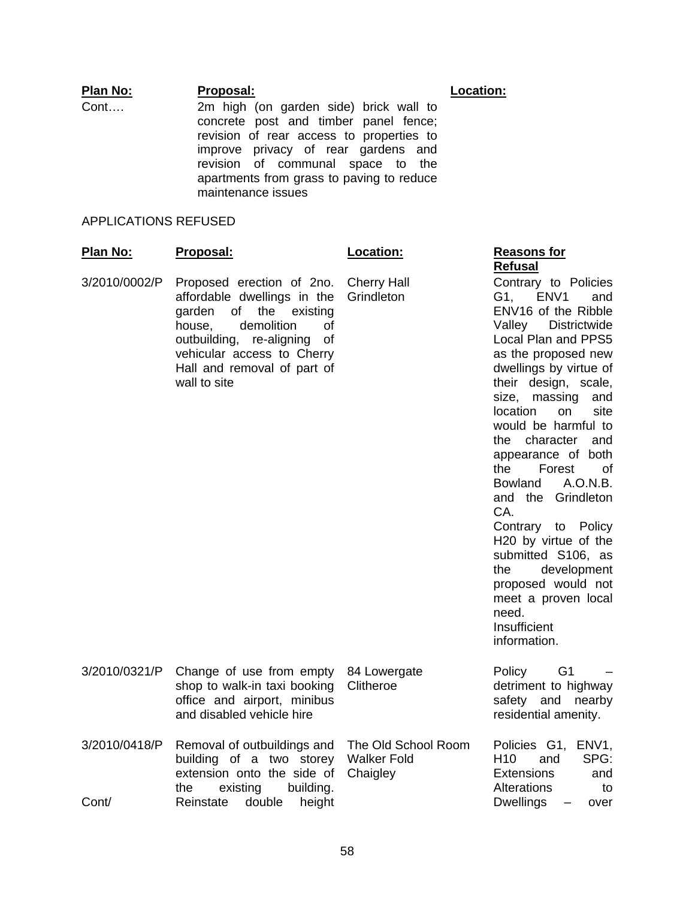| Plan No: | Proposal:                                                                                                                                                                                                                                                                  |
|----------|----------------------------------------------------------------------------------------------------------------------------------------------------------------------------------------------------------------------------------------------------------------------------|
| Cont     | 2m high (on garden side) brick wall to<br>concrete post and timber panel fence;<br>revision of rear access to properties to<br>improve privacy of rear gardens and<br>revision of communal space to the<br>apartments from grass to paving to reduce<br>maintenance issues |
|          |                                                                                                                                                                                                                                                                            |

# APPLICATIONS REFUSED

| <b>Plan No:</b>        | Proposal:                                                                                                                                                                                                                          | Location:                                             | <b>Reasons for</b><br><b>Refusal</b>                                                                                                                                                                                                                                                                                                                                                                                                                                                                                                                                                     |
|------------------------|------------------------------------------------------------------------------------------------------------------------------------------------------------------------------------------------------------------------------------|-------------------------------------------------------|------------------------------------------------------------------------------------------------------------------------------------------------------------------------------------------------------------------------------------------------------------------------------------------------------------------------------------------------------------------------------------------------------------------------------------------------------------------------------------------------------------------------------------------------------------------------------------------|
| 3/2010/0002/P          | Proposed erection of 2no.<br>affordable dwellings in the<br>of<br>the existing<br>garden<br>demolition<br>house,<br>οf<br>outbuilding, re-aligning of<br>vehicular access to Cherry<br>Hall and removal of part of<br>wall to site | <b>Cherry Hall</b><br>Grindleton                      | Contrary to Policies<br>G1, ENV1<br>and<br>ENV16 of the Ribble<br><b>Districtwide</b><br>Valley<br>Local Plan and PPS5<br>as the proposed new<br>dwellings by virtue of<br>their design, scale,<br>size, massing<br>and<br>location<br>site<br>on<br>would be harmful to<br>the character<br>and<br>appearance of both<br>Forest<br>the<br>of<br>A.O.N.B.<br><b>Bowland</b><br>and the Grindleton<br>CA.<br>Contrary to Policy<br>H20 by virtue of the<br>submitted S106, as<br>development<br>the<br>proposed would not<br>meet a proven local<br>need.<br>Insufficient<br>information. |
| 3/2010/0321/P          | Change of use from empty<br>shop to walk-in taxi booking<br>office and airport, minibus<br>and disabled vehicle hire                                                                                                               | 84 Lowergate<br>Clitheroe                             | G <sub>1</sub><br>Policy<br>detriment to highway<br>safety and nearby<br>residential amenity.                                                                                                                                                                                                                                                                                                                                                                                                                                                                                            |
| 3/2010/0418/P<br>Cont/ | Removal of outbuildings and<br>building of a two storey<br>extension onto the side of<br>the<br>existing<br>building.<br>double<br>Reinstate<br>height                                                                             | The Old School Room<br><b>Walker Fold</b><br>Chaigley | Policies G1, ENV1,<br>H <sub>10</sub><br>SPG:<br>and<br><b>Extensions</b><br>and<br>Alterations<br>to<br><b>Dwellings</b><br>over<br>—                                                                                                                                                                                                                                                                                                                                                                                                                                                   |

# **Location:**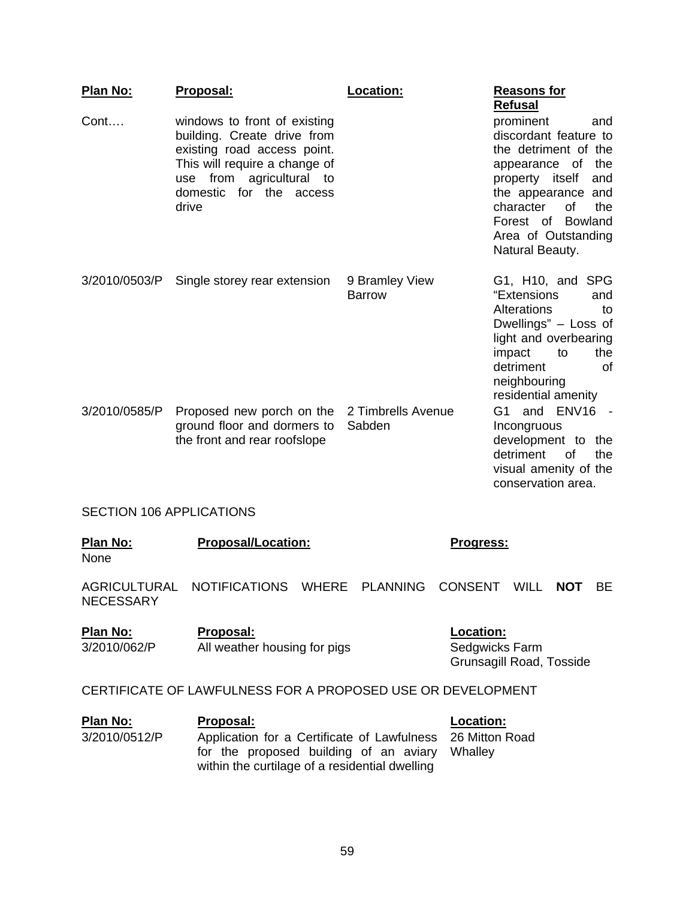| <u>Plan No:</u>                 | Proposal:                                                                                                                                                                                   | Location:                       | <b>Reasons for</b><br><b>Refusal</b>                                                                                                                                                                                                         |  |
|---------------------------------|---------------------------------------------------------------------------------------------------------------------------------------------------------------------------------------------|---------------------------------|----------------------------------------------------------------------------------------------------------------------------------------------------------------------------------------------------------------------------------------------|--|
| Cont                            | windows to front of existing<br>building. Create drive from<br>existing road access point.<br>This will require a change of<br>use from agricultural to<br>domestic for the access<br>drive |                                 | prominent<br>and<br>discordant feature to<br>the detriment of the<br>the<br>appearance of<br>property itself<br>and<br>the appearance and<br>character<br>οf<br>the<br>Forest of<br><b>Bowland</b><br>Area of Outstanding<br>Natural Beauty. |  |
| 3/2010/0503/P                   | Single storey rear extension                                                                                                                                                                | 9 Bramley View<br><b>Barrow</b> | G1, H10, and SPG<br>"Extensions<br>and<br><b>Alterations</b><br>to<br>Dwellings" - Loss of<br>light and overbearing<br>impact<br>the<br>to<br>detriment<br>Ωf<br>neighbouring<br>residential amenity                                         |  |
| 3/2010/0585/P                   | Proposed new porch on the<br>ground floor and dormers to<br>the front and rear roofslope                                                                                                    | 2 Timbrells Avenue<br>Sabden    | and ENV16<br>G1 -<br>Incongruous<br>development to the<br>detriment<br>of<br>the<br>visual amenity of the<br>conservation area.                                                                                                              |  |
| <b>SECTION 106 APPLICATIONS</b> |                                                                                                                                                                                             |                                 |                                                                                                                                                                                                                                              |  |
|                                 |                                                                                                                                                                                             |                                 |                                                                                                                                                                                                                                              |  |

**Plan No: Proposal/Location: Progress: Progress:** None AGRICULTURAL NOTIFICATIONS WHERE PLANNING CONSENT WILL **NOT** BE **NECESSARY** 

**Plan No: Proposal: Location:** 3/2010/062/P All weather housing for pigs Sedgwicks Farm

Grunsagill Road, Tosside

# CERTIFICATE OF LAWFULNESS FOR A PROPOSED USE OR DEVELOPMENT

**Plan No: Proposal: Location:** 3/2010/0512/P Application for a Certificate of Lawfulness 26 Mitton Road for the proposed building of an aviary Whalley within the curtilage of a residential dwelling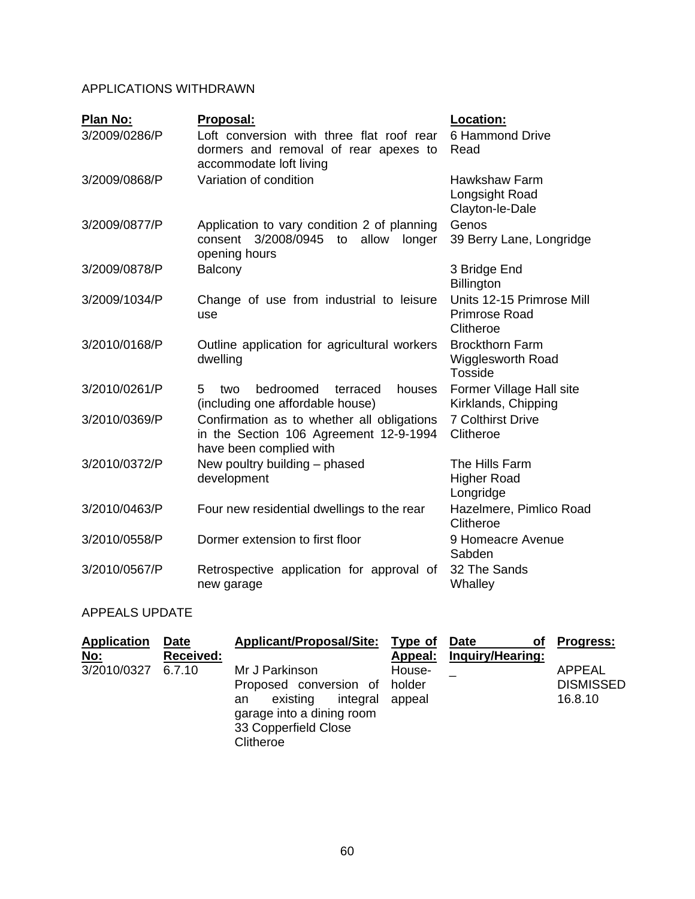# APPLICATIONS WITHDRAWN

| Plan No:<br>3/2009/0286/P | Proposal:<br>Loft conversion with three flat roof rear<br>dormers and removal of rear apexes to<br>accommodate loft living | Location:<br>6 Hammond Drive<br>Read                                 |
|---------------------------|----------------------------------------------------------------------------------------------------------------------------|----------------------------------------------------------------------|
| 3/2009/0868/P             | Variation of condition                                                                                                     | <b>Hawkshaw Farm</b><br>Longsight Road<br>Clayton-le-Dale            |
| 3/2009/0877/P             | Application to vary condition 2 of planning<br>consent 3/2008/0945<br>allow<br>to<br>longer<br>opening hours               | Genos<br>39 Berry Lane, Longridge                                    |
| 3/2009/0878/P             | Balcony                                                                                                                    | 3 Bridge End<br><b>Billington</b>                                    |
| 3/2009/1034/P             | Change of use from industrial to leisure<br>use                                                                            | Units 12-15 Primrose Mill<br><b>Primrose Road</b><br>Clitheroe       |
| 3/2010/0168/P             | Outline application for agricultural workers<br>dwelling                                                                   | <b>Brockthorn Farm</b><br><b>Wigglesworth Road</b><br><b>Tosside</b> |
| 3/2010/0261/P             | bedroomed<br>5<br>terraced<br>houses<br>two<br>(including one affordable house)                                            | Former Village Hall site<br>Kirklands, Chipping                      |
| 3/2010/0369/P             | Confirmation as to whether all obligations<br>in the Section 106 Agreement 12-9-1994<br>have been complied with            | <b>7 Colthirst Drive</b><br>Clitheroe                                |
| 3/2010/0372/P             | New poultry building - phased<br>development                                                                               | The Hills Farm<br><b>Higher Road</b><br>Longridge                    |
| 3/2010/0463/P             | Four new residential dwellings to the rear                                                                                 | Hazelmere, Pimlico Road<br>Clitheroe                                 |
| 3/2010/0558/P             | Dormer extension to first floor                                                                                            | 9 Homeacre Avenue<br>Sabden                                          |
| 3/2010/0567/P             | Retrospective application for approval of<br>new garage                                                                    | 32 The Sands<br>Whalley                                              |

# APPEALS UPDATE

| <b>Application</b> | <b>Date</b>      | <b>Applicant/Proposal/Site:</b> | Type of | <b>Date</b><br>οt | Progress:        |
|--------------------|------------------|---------------------------------|---------|-------------------|------------------|
| <u>No:</u>         | <b>Received:</b> |                                 | Appeal: | Inquiry/Hearing:  |                  |
| 3/2010/0327        | 6.7.10           | Mr J Parkinson                  | House-  |                   | APPEAL           |
|                    |                  | Proposed conversion of          | holder  |                   | <b>DISMISSED</b> |
|                    |                  | integral<br>existing<br>an      | appeal  |                   | 16.8.10          |
|                    |                  | garage into a dining room       |         |                   |                  |
|                    |                  | 33 Copperfield Close            |         |                   |                  |
|                    |                  | Clitheroe                       |         |                   |                  |